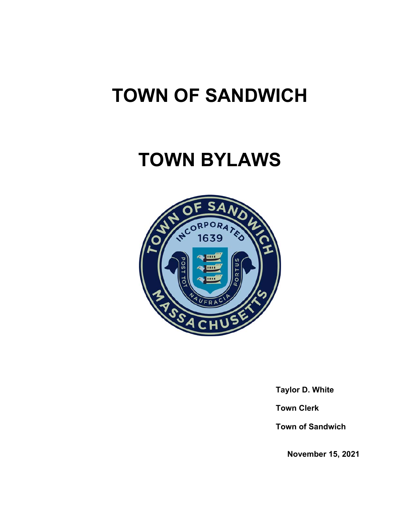# **TOWN OF SANDWICH**

# **TOWN BYLAWS**



 **Taylor D. White** 

 **Town Clerk** 

 **Town of Sandwich** 

 **November 15, 2021**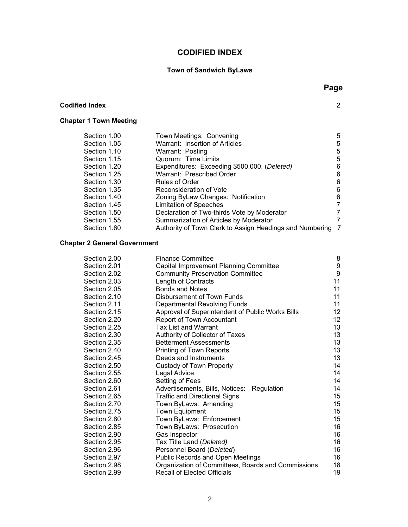# **CODIFIED INDEX**

# **Town of Sandwich ByLaws**

| <b>Codified Index</b>         |                                              | $\overline{2}$ |
|-------------------------------|----------------------------------------------|----------------|
| <b>Chapter 1 Town Meeting</b> |                                              |                |
| Section 1.00                  | Town Meetings: Convening                     | 5              |
| Section 1.05                  | Warrant: Insertion of Articles               | 5              |
| Section 1.10                  | Warrant: Posting                             | 5              |
| Section 1.15                  | Quorum: Time Limits                          | 5              |
| Section 1.20                  | Expenditures: Exceeding \$500,000. (Deleted) | 6              |
| Section 1.25                  | Warrant: Prescribed Order                    | 6              |
| Section 1.30                  | Rules of Order                               | 6              |
| Section 1.35                  | Reconsideration of Vote                      | 6              |
| Section 1.40                  | Zoning ByLaw Changes: Notification           | 6              |

| Section 1.35 | Reconsideration of Vote                                    | 6. |
|--------------|------------------------------------------------------------|----|
| Section 1.40 | Zoning ByLaw Changes: Notification                         | 6. |
| Section 1.45 | <b>Limitation of Speeches</b>                              |    |
| Section 1.50 | Declaration of Two-thirds Vote by Moderator                |    |
| Section 1.55 | Summarization of Articles by Moderator                     |    |
| Section 1.60 | Authority of Town Clerk to Assign Headings and Numbering 7 |    |

# **Chapter 2 General Government**

| Section 2.00 | <b>Finance Committee</b>                           | 8                |
|--------------|----------------------------------------------------|------------------|
| Section 2.01 | Capital Improvement Planning Committee             | $\boldsymbol{9}$ |
| Section 2.02 | <b>Community Preservation Committee</b>            | $\boldsymbol{9}$ |
| Section 2.03 | Length of Contracts                                | 11               |
| Section 2.05 | <b>Bonds and Notes</b>                             | 11               |
| Section 2.10 | Disbursement of Town Funds                         | 11               |
| Section 2.11 | Departmental Revolving Funds                       | 11               |
| Section 2.15 | Approval of Superintendent of Public Works Bills   | 12               |
| Section 2.20 | Report of Town Accountant                          | 12               |
| Section 2.25 | <b>Tax List and Warrant</b>                        | 13               |
| Section 2.30 | Authority of Collector of Taxes                    | 13               |
| Section 2.35 | <b>Betterment Assessments</b>                      | 13               |
| Section 2.40 | Printing of Town Reports                           | 13               |
| Section 2.45 | Deeds and Instruments                              | 13               |
| Section 2.50 | <b>Custody of Town Property</b>                    | 14               |
| Section 2.55 | Legal Advice                                       | 14               |
| Section 2.60 | Setting of Fees                                    | 14               |
| Section 2.61 | Advertisements, Bills, Notices:<br>Regulation      | 14               |
| Section 2.65 | <b>Traffic and Directional Signs</b>               | 15               |
| Section 2.70 | Town ByLaws: Amending                              | $15\,$           |
| Section 2.75 | <b>Town Equipment</b>                              | 15               |
| Section 2.80 | Town ByLaws: Enforcement                           | $15\,$           |
| Section 2.85 | Town ByLaws: Prosecution                           | 16               |
| Section 2.90 | Gas Inspector                                      | 16               |
| Section 2.95 | Tax Title Land (Deleted)                           | 16               |
| Section 2.96 | Personnel Board (Deleted)                          | 16               |
| Section 2.97 | Public Records and Open Meetings                   | 16               |
| Section 2.98 | Organization of Committees, Boards and Commissions | 18               |
| Section 2.99 | <b>Recall of Elected Officials</b>                 | 19               |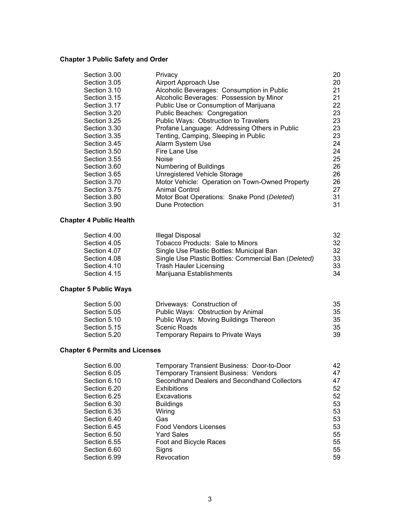# **Chapter 3 Public Safety and Order**

| Section 3.00 | Privacy                                         | 20 |
|--------------|-------------------------------------------------|----|
| Section 3.05 | Airport Approach Use                            | 20 |
| Section 3.10 | Alcoholic Beverages: Consumption in Public      | 21 |
| Section 3.15 | Alcoholic Beverages: Possession by Minor        | 21 |
| Section 3.17 | Public Use or Consumption of Marijuana          | 22 |
| Section 3.20 | Public Beaches: Congregation                    | 23 |
| Section 3.25 | Public Ways: Obstruction to Travelers           | 23 |
| Section 3.30 | Profane Language: Addressing Others in Public   | 23 |
| Section 3.35 | Tenting, Camping, Sleeping in Public            | 23 |
| Section 3.45 | Alarm System Use                                | 24 |
| Section 3.50 | Fire Lane Use                                   | 24 |
| Section 3.55 | <b>Noise</b>                                    | 25 |
| Section 3.60 | Numbering of Buildings                          | 26 |
| Section 3.65 | Unregistered Vehicle Storage                    | 26 |
| Section 3.70 | Motor Vehicle: Operation on Town-Owned Property | 26 |
| Section 3.75 | <b>Animal Control</b>                           | 27 |
| Section 3.80 | Motor Boat Operations: Snake Pond (Deleted)     | 31 |
| Section 3.90 | Dune Protection                                 | 31 |

# **Chapter 4 Public Health**

| Section 4.00 | Illegal Disposal                                     | 32 |
|--------------|------------------------------------------------------|----|
| Section 4.05 | Tobacco Products: Sale to Minors                     | 32 |
| Section 4.07 | Single Use Plastic Bottles: Municipal Ban            | 32 |
| Section 4.08 | Single Use Plastic Bottles: Commercial Ban (Deleted) | 33 |
| Section 4.10 | <b>Trash Hauler Licensing</b>                        | 33 |
| Section 4.15 | Marijuana Establishments                             | 34 |

# **Chapter 5 Public Ways**

| Section 5.00 | Driveways: Construction of            | 35 |
|--------------|---------------------------------------|----|
| Section 5.05 | Public Ways: Obstruction by Animal    | 35 |
| Section 5.10 | Public Ways: Moving Buildings Thereon | 35 |
| Section 5.15 | Scenic Roads                          | 35 |
| Section 5.20 | Temporary Repairs to Private Ways     | 39 |

# **Chapter 6 Permits and Licenses**

| Section 6.00 | Temporary Transient Business: Door-to-Door   | 42 |
|--------------|----------------------------------------------|----|
| Section 6.05 | <b>Temporary Transient Business: Vendors</b> | 47 |
| Section 6.10 | Secondhand Dealers and Secondhand Collectors | 47 |
| Section 6.20 | <b>Exhibitions</b>                           | 52 |
| Section 6.25 | Excavations                                  | 52 |
| Section 6.30 | <b>Buildings</b>                             | 53 |
| Section 6.35 | Wiring                                       | 53 |
| Section 6.40 | Gas                                          | 53 |
| Section 6.45 | <b>Food Vendors Licenses</b>                 | 53 |
| Section 6.50 | <b>Yard Sales</b>                            | 55 |
| Section 6.55 | Foot and Bicycle Races                       | 55 |
| Section 6.60 | Signs                                        | 55 |
| Section 6.99 | Revocation                                   | 59 |
|              |                                              |    |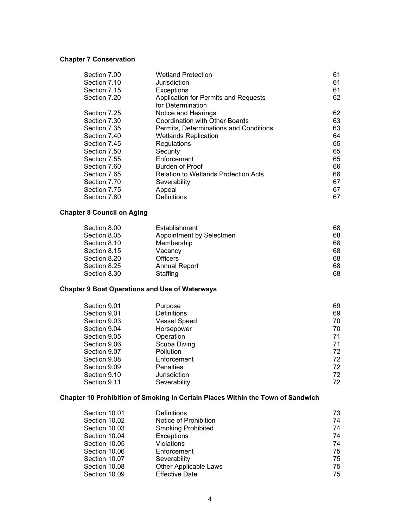# **Chapter 7 Conservation**

| Section 7.00 | <b>Wetland Protection</b>                   | 61 |
|--------------|---------------------------------------------|----|
| Section 7.10 | Jurisdiction                                | 61 |
| Section 7.15 | <b>Exceptions</b>                           | 61 |
| Section 7.20 | Application for Permits and Requests        | 62 |
|              | for Determination                           |    |
| Section 7.25 | Notice and Hearings                         | 62 |
| Section 7.30 | Coordination with Other Boards              | 63 |
| Section 7.35 | Permits, Determinations and Conditions      | 63 |
| Section 7.40 | <b>Wetlands Replication</b>                 | 64 |
| Section 7.45 | Regulations                                 | 65 |
| Section 7.50 | Security                                    | 65 |
| Section 7.55 | Enforcement                                 | 65 |
| Section 7.60 | <b>Burden of Proof</b>                      | 66 |
| Section 7.65 | <b>Relation to Wetlands Protection Acts</b> | 66 |
| Section 7.70 | Severability                                | 67 |
| Section 7.75 | Appeal                                      | 67 |
| Section 7.80 | Definitions                                 | 67 |
|              |                                             |    |

# **Chapter 8 Council on Aging**

| Section 8.00 | Establishment            | 68 |
|--------------|--------------------------|----|
| Section 8.05 | Appointment by Selectmen | 68 |
| Section 8.10 | Membership               | 68 |
| Section 8.15 | Vacancv                  | 68 |
| Section 8.20 | Officers                 | 68 |
| Section 8.25 | <b>Annual Report</b>     | 68 |
| Section 8.30 | Staffing                 | 68 |

# **Chapter 9 Boat Operations and Use of Waterways**

| Section 9.01 | Purpose             | 69 |
|--------------|---------------------|----|
| Section 9.01 | <b>Definitions</b>  | 69 |
| Section 9.03 | <b>Vessel Speed</b> | 70 |
| Section 9.04 | Horsepower          | 70 |
| Section 9.05 | Operation           | 71 |
| Section 9.06 | Scuba Diving        | 71 |
| Section 9.07 | Pollution           | 72 |
| Section 9.08 | Enforcement         | 72 |
| Section 9.09 | <b>Penalties</b>    | 72 |
| Section 9.10 | Jurisdiction        | 72 |
| Section 9.11 | Severability        | 72 |

# **Chapter 10 Prohibition of Smoking in Certain Places Within the Town of Sandwich**

| Section 10.01 | Definitions               | 73 |
|---------------|---------------------------|----|
| Section 10.02 | Notice of Prohibition     | 74 |
| Section 10.03 | <b>Smoking Prohibited</b> | 74 |
| Section 10.04 | <b>Exceptions</b>         | 74 |
| Section 10.05 | Violations                | 74 |
| Section 10.06 | Enforcement               | 75 |
| Section 10.07 | Severability              | 75 |
| Section 10.08 | Other Applicable Laws     | 75 |
| Section 10.09 | <b>Effective Date</b>     | 75 |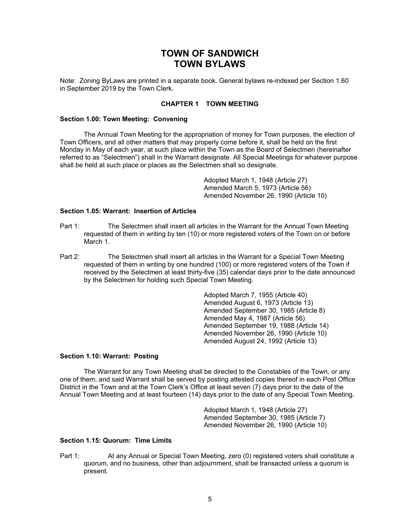# **TOWN OF SANDWICH TOWN BYLAWS**

Note: Zoning ByLaws are printed in a separate book. General bylaws re-indexed per Section 1.60 in September 2019 by the Town Clerk.

# **CHAPTER 1 TOWN MEETING**

#### **Section 1.00: Town Meeting: Convening**

 The Annual Town Meeting for the appropriation of money for Town purposes, the election of Town Officers, and all other matters that may properly come before it, shall be held on the first Monday in May of each year, at such place within the Town as the Board of Selectmen (hereinafter referred to as "Selectmen") shall in the Warrant designate. All Special Meetings for whatever purpose shall be held at such place or places as the Selectmen shall so designate.

> Adopted March 1, 1948 (Article 27) Amended March 5, 1973 (Article 56) Amended November 26, 1990 (Article 10)

## **Section 1.05: Warrant: Insertion of Articles**

- Part 1: The Selectmen shall insert all articles in the Warrant for the Annual Town Meeting requested of them in writing by ten (10) or more registered voters of the Town on or before March 1.
- Part 2: The Selectmen shall insert all articles in the Warrant for a Special Town Meeting requested of them in writing by one hundred (100) or more registered voters of the Town if received by the Selectmen at least thirty-five (35) calendar days prior to the date announced by the Selectmen for holding such Special Town Meeting.

 Adopted March 7, 1955 (Article 40) Amended August 6, 1973 (Article 13) Amended September 30, 1985 (Article 8) Amended May 4, 1987 (Article 56) Amended September 19, 1988 (Article 14) Amended November 26, 1990 (Article 10) Amended August 24, 1992 (Article 13)

#### **Section 1.10: Warrant: Posting**

 The Warrant for any Town Meeting shall be directed to the Constables of the Town, or any one of them, and said Warrant shall be served by posting attested copies thereof in each Post Office District in the Town and at the Town Clerk's Office at least seven (7) days prior to the date of the Annual Town Meeting and at least fourteen (14) days prior to the date of any Special Town Meeting.

> Adopted March 1, 1948 (Article 27) Amended September 30, 1985 (Article 7) Amended November 26, 1990 (Article 10)

# **Section 1.15: Quorum: Time Limits**

Part 1:At any Annual or Special Town Meeting, zero (0) registered voters shall constitute a quorum, and no business, other than adjournment, shall be transacted unless a quorum is present.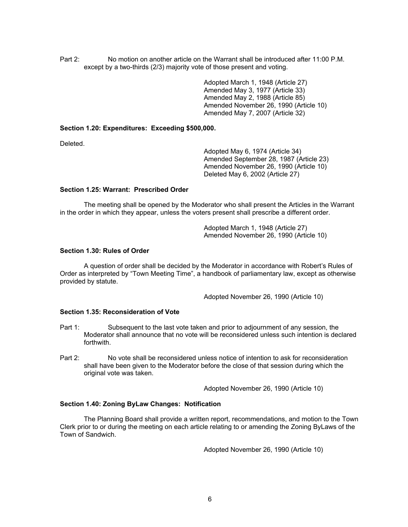Part 2: No motion on another article on the Warrant shall be introduced after 11:00 P.M. except by a two-thirds (2/3) majority vote of those present and voting.

> Adopted March 1, 1948 (Article 27) Amended May 3, 1977 (Article 33) Amended May 2, 1988 (Article 85) Amended November 26, 1990 (Article 10) Amended May 7, 2007 (Article 32)

#### **Section 1.20: Expenditures: Exceeding \$500,000.**

Deleted.

Adopted May 6, 1974 (Article 34) Amended September 28, 1987 (Article 23) Amended November 26, 1990 (Article 10) Deleted May 6, 2002 (Article 27)

# **Section 1.25: Warrant: Prescribed Order**

 The meeting shall be opened by the Moderator who shall present the Articles in the Warrant in the order in which they appear, unless the voters present shall prescribe a different order.

> Adopted March 1, 1948 (Article 27) Amended November 26, 1990 (Article 10)

#### **Section 1.30: Rules of Order**

 A question of order shall be decided by the Moderator in accordance with Robert's Rules of Order as interpreted by "Town Meeting Time", a handbook of parliamentary law, except as otherwise provided by statute.

Adopted November 26, 1990 (Article 10)

# **Section 1.35: Reconsideration of Vote**

- Part 1: Subsequent to the last vote taken and prior to adjournment of any session, the Moderator shall announce that no vote will be reconsidered unless such intention is declared forthwith.
- Part 2: No vote shall be reconsidered unless notice of intention to ask for reconsideration shall have been given to the Moderator before the close of that session during which the original vote was taken.

Adopted November 26, 1990 (Article 10)

#### **Section 1.40: Zoning ByLaw Changes: Notification**

The Planning Board shall provide a written report, recommendations, and motion to the Town Clerk prior to or during the meeting on each article relating to or amending the Zoning ByLaws of the Town of Sandwich.

Adopted November 26, 1990 (Article 10)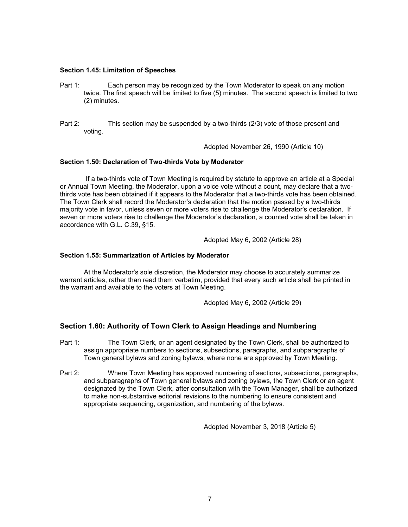### **Section 1.45: Limitation of Speeches**

- Part 1: Each person may be recognized by the Town Moderator to speak on any motion twice. The first speech will be limited to five (5) minutes. The second speech is limited to two (2) minutes.
- Part 2: This section may be suspended by a two-thirds (2/3) vote of those present and voting.

Adopted November 26, 1990 (Article 10)

### **Section 1.50: Declaration of Two-thirds Vote by Moderator**

 If a two-thirds vote of Town Meeting is required by statute to approve an article at a Special or Annual Town Meeting, the Moderator, upon a voice vote without a count, may declare that a twothirds vote has been obtained if it appears to the Moderator that a two-thirds vote has been obtained. The Town Clerk shall record the Moderator's declaration that the motion passed by a two-thirds majority vote in favor, unless seven or more voters rise to challenge the Moderator's declaration. If seven or more voters rise to challenge the Moderator's declaration, a counted vote shall be taken in accordance with G.L. C.39, §15.

Adopted May 6, 2002 (Article 28)

### **Section 1.55: Summarization of Articles by Moderator**

At the Moderator's sole discretion, the Moderator may choose to accurately summarize warrant articles, rather than read them verbatim, provided that every such article shall be printed in the warrant and available to the voters at Town Meeting.

Adopted May 6, 2002 (Article 29)

# **Section 1.60: Authority of Town Clerk to Assign Headings and Numbering**

- Part 1: The Town Clerk, or an agent designated by the Town Clerk, shall be authorized to assign appropriate numbers to sections, subsections, paragraphs, and subparagraphs of Town general bylaws and zoning bylaws, where none are approved by Town Meeting.
- Part 2: Where Town Meeting has approved numbering of sections, subsections, paragraphs, and subparagraphs of Town general bylaws and zoning bylaws, the Town Clerk or an agent designated by the Town Clerk, after consultation with the Town Manager, shall be authorized to make non-substantive editorial revisions to the numbering to ensure consistent and appropriate sequencing, organization, and numbering of the bylaws.

Adopted November 3, 2018 (Article 5)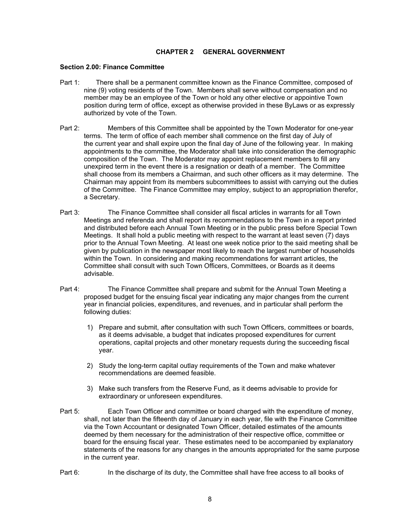# **CHAPTER 2 GENERAL GOVERNMENT**

## **Section 2.00: Finance Committee**

- Part 1: There shall be a permanent committee known as the Finance Committee, composed of nine (9) voting residents of the Town. Members shall serve without compensation and no member may be an employee of the Town or hold any other elective or appointive Town position during term of office, except as otherwise provided in these ByLaws or as expressly authorized by vote of the Town.
- Part 2: Members of this Committee shall be appointed by the Town Moderator for one-year terms. The term of office of each member shall commence on the first day of July of the current year and shall expire upon the final day of June of the following year. In making appointments to the committee, the Moderator shall take into consideration the demographic composition of the Town. The Moderator may appoint replacement members to fill any unexpired term in the event there is a resignation or death of a member. The Committee shall choose from its members a Chairman, and such other officers as it may determine. The Chairman may appoint from its members subcommittees to assist with carrying out the duties of the Committee. The Finance Committee may employ, subject to an appropriation therefor, a Secretary.
- Part 3: The Finance Committee shall consider all fiscal articles in warrants for all Town Meetings and referenda and shall report its recommendations to the Town in a report printed and distributed before each Annual Town Meeting or in the public press before Special Town Meetings. It shall hold a public meeting with respect to the warrant at least seven (7) days prior to the Annual Town Meeting. At least one week notice prior to the said meeting shall be given by publication in the newspaper most likely to reach the largest number of households within the Town. In considering and making recommendations for warrant articles, the Committee shall consult with such Town Officers, Committees, or Boards as it deems advisable.
- Part 4: The Finance Committee shall prepare and submit for the Annual Town Meeting a proposed budget for the ensuing fiscal year indicating any major changes from the current year in financial policies, expenditures, and revenues, and in particular shall perform the following duties:
	- 1) Prepare and submit, after consultation with such Town Officers, committees or boards, as it deems advisable, a budget that indicates proposed expenditures for current operations, capital projects and other monetary requests during the succeeding fiscal year.
	- 2) Study the long-term capital outlay requirements of the Town and make whatever recommendations are deemed feasible.
	- 3) Make such transfers from the Reserve Fund, as it deems advisable to provide for extraordinary or unforeseen expenditures.
- Part 5: Each Town Officer and committee or board charged with the expenditure of money, shall, not later than the fifteenth day of January in each year, file with the Finance Committee via the Town Accountant or designated Town Officer, detailed estimates of the amounts deemed by them necessary for the administration of their respective office, committee or board for the ensuing fiscal year. These estimates need to be accompanied by explanatory statements of the reasons for any changes in the amounts appropriated for the same purpose in the current year.
- Part 6: In the discharge of its duty, the Committee shall have free access to all books of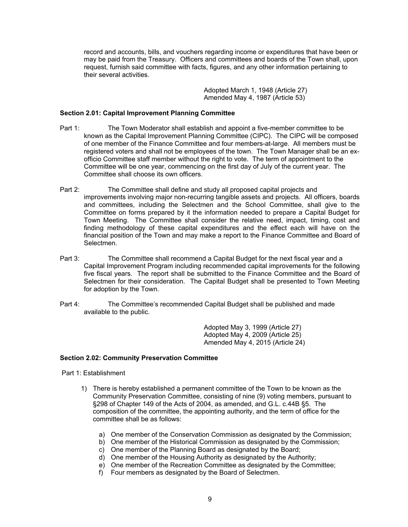record and accounts, bills, and vouchers regarding income or expenditures that have been or may be paid from the Treasury. Officers and committees and boards of the Town shall, upon request, furnish said committee with facts, figures, and any other information pertaining to their several activities.

> Adopted March 1, 1948 (Article 27) Amended May 4, 1987 (Article 53)

# **Section 2.01: Capital Improvement Planning Committee**

- Part 1: The Town Moderator shall establish and appoint a five-member committee to be known as the Capital Improvement Planning Committee (CIPC). The CIPC will be composed of one member of the Finance Committee and four members-at-large. All members must be registered voters and shall not be employees of the town. The Town Manager shall be an exofficio Committee staff member without the right to vote. The term of appointment to the Committee will be one year, commencing on the first day of July of the current year. The Committee shall choose its own officers.
- Part 2: The Committee shall define and study all proposed capital projects and improvements involving major non-recurring tangible assets and projects. All officers, boards and committees, including the Selectmen and the School Committee, shall give to the Committee on forms prepared by it the information needed to prepare a Capital Budget for Town Meeting. The Committee shall consider the relative need, impact, timing, cost and finding methodology of these capital expenditures and the effect each will have on the financial position of the Town and may make a report to the Finance Committee and Board of Selectmen.
- Part 3: The Committee shall recommend a Capital Budget for the next fiscal year and a Capital Improvement Program including recommended capital improvements for the following five fiscal years. The report shall be submitted to the Finance Committee and the Board of Selectmen for their consideration. The Capital Budget shall be presented to Town Meeting for adoption by the Town.
- Part 4: The Committee's recommended Capital Budget shall be published and made available to the public.

 Adopted May 3, 1999 (Article 27) Adopted May 4, 2009 (Article 25) Amended May 4, 2015 (Article 24)

# **Section 2.02: Community Preservation Committee**

Part 1: Establishment

- 1) There is hereby established a permanent committee of the Town to be known as the Community Preservation Committee, consisting of nine (9) voting members, pursuant to §298 of Chapter 149 of the Acts of 2004, as amended, and G.L. c.44B §5. The composition of the committee, the appointing authority, and the term of office for the committee shall be as follows:
	- a) One member of the Conservation Commission as designated by the Commission;
	- b) One member of the Historical Commission as designated by the Commission;
	- c) One member of the Planning Board as designated by the Board;
	- d) One member of the Housing Authority as designated by the Authority;
	- e) One member of the Recreation Committee as designated by the Committee;
	- f) Four members as designated by the Board of Selectmen.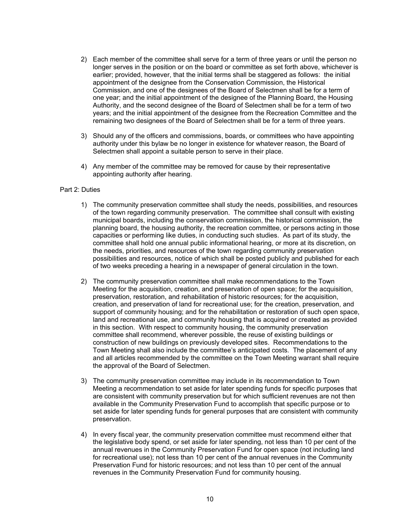- 2) Each member of the committee shall serve for a term of three years or until the person no longer serves in the position or on the board or committee as set forth above, whichever is earlier; provided, however, that the initial terms shall be staggered as follows: the initial appointment of the designee from the Conservation Commission, the Historical Commission, and one of the designees of the Board of Selectmen shall be for a term of one year; and the initial appointment of the designee of the Planning Board, the Housing Authority, and the second designee of the Board of Selectmen shall be for a term of two years; and the initial appointment of the designee from the Recreation Committee and the remaining two designees of the Board of Selectmen shall be for a term of three years.
- 3) Should any of the officers and commissions, boards, or committees who have appointing authority under this bylaw be no longer in existence for whatever reason, the Board of Selectmen shall appoint a suitable person to serve in their place.
- 4) Any member of the committee may be removed for cause by their representative appointing authority after hearing.

### Part 2: Duties

- 1) The community preservation committee shall study the needs, possibilities, and resources of the town regarding community preservation. The committee shall consult with existing municipal boards, including the conservation commission, the historical commission, the planning board, the housing authority, the recreation committee, or persons acting in those capacities or performing like duties, in conducting such studies. As part of its study, the committee shall hold one annual public informational hearing, or more at its discretion, on the needs, priorities, and resources of the town regarding community preservation possibilities and resources, notice of which shall be posted publicly and published for each of two weeks preceding a hearing in a newspaper of general circulation in the town.
- 2) The community preservation committee shall make recommendations to the Town Meeting for the acquisition, creation, and preservation of open space; for the acquisition, preservation, restoration, and rehabilitation of historic resources; for the acquisition, creation, and preservation of land for recreational use; for the creation, preservation, and support of community housing; and for the rehabilitation or restoration of such open space, land and recreational use, and community housing that is acquired or created as provided in this section. With respect to community housing, the community preservation committee shall recommend, wherever possible, the reuse of existing buildings or construction of new buildings on previously developed sites. Recommendations to the Town Meeting shall also include the committee's anticipated costs. The placement of any and all articles recommended by the committee on the Town Meeting warrant shall require the approval of the Board of Selectmen.
- 3) The community preservation committee may include in its recommendation to Town Meeting a recommendation to set aside for later spending funds for specific purposes that are consistent with community preservation but for which sufficient revenues are not then available in the Community Preservation Fund to accomplish that specific purpose or to set aside for later spending funds for general purposes that are consistent with community preservation.
- 4) In every fiscal year, the community preservation committee must recommend either that the legislative body spend, or set aside for later spending, not less than 10 per cent of the annual revenues in the Community Preservation Fund for open space (not including land for recreational use); not less than 10 per cent of the annual revenues in the Community Preservation Fund for historic resources; and not less than 10 per cent of the annual revenues in the Community Preservation Fund for community housing.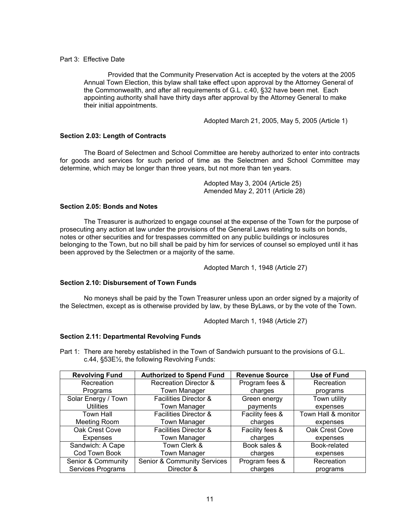# Part 3: Effective Date

Provided that the Community Preservation Act is accepted by the voters at the 2005 Annual Town Election, this bylaw shall take effect upon approval by the Attorney General of the Commonwealth, and after all requirements of G.L. c.40, §32 have been met. Each appointing authority shall have thirty days after approval by the Attorney General to make their initial appointments.

Adopted March 21, 2005, May 5, 2005 (Article 1)

# **Section 2.03: Length of Contracts**

The Board of Selectmen and School Committee are hereby authorized to enter into contracts for goods and services for such period of time as the Selectmen and School Committee may determine, which may be longer than three years, but not more than ten years.

> Adopted May 3, 2004 (Article 25) Amended May 2, 2011 (Article 28)

# **Section 2.05: Bonds and Notes**

The Treasurer is authorized to engage counsel at the expense of the Town for the purpose of prosecuting any action at law under the provisions of the General Laws relating to suits on bonds, notes or other securities and for trespasses committed on any public buildings or inclosures belonging to the Town, but no bill shall be paid by him for services of counsel so employed until it has been approved by the Selectmen or a majority of the same.

Adopted March 1, 1948 (Article 27)

# **Section 2.10: Disbursement of Town Funds**

 No moneys shall be paid by the Town Treasurer unless upon an order signed by a majority of the Selectmen, except as is otherwise provided by law, by these ByLaws, or by the vote of the Town.

Adopted March 1, 1948 (Article 27)

# **Section 2.11: Departmental Revolving Funds**

Part 1: There are hereby established in the Town of Sandwich pursuant to the provisions of G.L. c.44, §53E½, the following Revolving Funds:

| <b>Revolving Fund</b> | <b>Authorized to Spend Fund</b>        | <b>Revenue Source</b> | Use of Fund         |
|-----------------------|----------------------------------------|-----------------------|---------------------|
| Recreation            | <b>Recreation Director &amp;</b>       | Program fees &        | Recreation          |
| Programs              | Town Manager                           | charges               | programs            |
| Solar Energy / Town   | Facilities Director &                  | Green energy          | Town utility        |
| <b>Utilities</b>      | <b>Town Manager</b>                    | payments              | expenses            |
| Town Hall             | <b>Facilities Director &amp;</b>       | Facility fees &       | Town Hall & monitor |
| Meeting Room          | Town Manager                           | charges               | expenses            |
| Oak Crest Cove        | <b>Facilities Director &amp;</b>       | Facility fees &       | Oak Crest Cove      |
| <b>Expenses</b>       | Town Manager                           | charges               | expenses            |
| Sandwich: A Cape      | Town Clerk &                           | Book sales &          | Book-related        |
| Cod Town Book         | <b>Town Manager</b>                    | charges               | expenses            |
| Senior & Community    | <b>Senior &amp; Community Services</b> | Program fees &        | Recreation          |
| Services Programs     | Director &                             | charges               | programs            |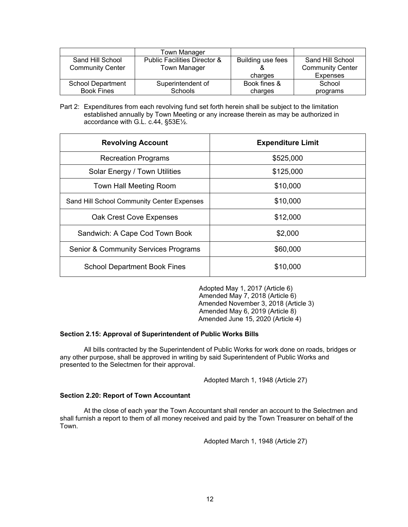|                          | <b>Town Manager</b>                     |                   |                         |
|--------------------------|-----------------------------------------|-------------------|-------------------------|
| Sand Hill School         | <b>Public Facilities Director &amp;</b> | Building use fees | Sand Hill School        |
| <b>Community Center</b>  | <b>Town Manager</b>                     |                   | <b>Community Center</b> |
|                          |                                         | charges           | <b>Expenses</b>         |
| <b>School Department</b> | Superintendent of                       | Book fines &      | School                  |
| <b>Book Fines</b>        | <b>Schools</b>                          | charges           | programs                |

Part 2: Expenditures from each revolving fund set forth herein shall be subject to the limitation established annually by Town Meeting or any increase therein as may be authorized in accordance with G.L. c.44, §53E½.

| <b>Revolving Account</b>                        | <b>Expenditure Limit</b> |  |
|-------------------------------------------------|--------------------------|--|
| <b>Recreation Programs</b>                      | \$525,000                |  |
| Solar Energy / Town Utilities                   | \$125,000                |  |
| Town Hall Meeting Room                          | \$10,000                 |  |
| Sand Hill School Community Center Expenses      | \$10,000                 |  |
| <b>Oak Crest Cove Expenses</b>                  | \$12,000                 |  |
| Sandwich: A Cape Cod Town Book                  | \$2,000                  |  |
| <b>Senior &amp; Community Services Programs</b> | \$60,000                 |  |
| <b>School Department Book Fines</b>             | \$10,000                 |  |

Adopted May 1, 2017 (Article 6) Amended May 7, 2018 (Article 6) Amended November 3, 2018 (Article 3) Amended May 6, 2019 (Article 8) Amended June 15, 2020 (Article 4)

# **Section 2.15: Approval of Superintendent of Public Works Bills**

 All bills contracted by the Superintendent of Public Works for work done on roads, bridges or any other purpose, shall be approved in writing by said Superintendent of Public Works and presented to the Selectmen for their approval.

Adopted March 1, 1948 (Article 27)

# **Section 2.20: Report of Town Accountant**

At the close of each year the Town Accountant shall render an account to the Selectmen and shall furnish a report to them of all money received and paid by the Town Treasurer on behalf of the Town.

Adopted March 1, 1948 (Article 27)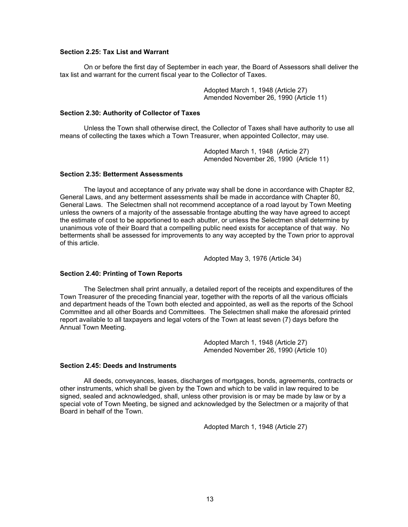# **Section 2.25: Tax List and Warrant**

On or before the first day of September in each year, the Board of Assessors shall deliver the tax list and warrant for the current fiscal year to the Collector of Taxes.

> Adopted March 1, 1948 (Article 27) Amended November 26, 1990 (Article 11)

### **Section 2.30: Authority of Collector of Taxes**

Unless the Town shall otherwise direct, the Collector of Taxes shall have authority to use all means of collecting the taxes which a Town Treasurer, when appointed Collector, may use.

> Adopted March 1, 1948 (Article 27) Amended November 26, 1990 (Article 11)

### **Section 2.35: Betterment Assessments**

 The layout and acceptance of any private way shall be done in accordance with Chapter 82, General Laws, and any betterment assessments shall be made in accordance with Chapter 80, General Laws. The Selectmen shall not recommend acceptance of a road layout by Town Meeting unless the owners of a majority of the assessable frontage abutting the way have agreed to accept the estimate of cost to be apportioned to each abutter, or unless the Selectmen shall determine by unanimous vote of their Board that a compelling public need exists for acceptance of that way. No betterments shall be assessed for improvements to any way accepted by the Town prior to approval of this article.

Adopted May 3, 1976 (Article 34)

# **Section 2.40: Printing of Town Reports**

 The Selectmen shall print annually, a detailed report of the receipts and expenditures of the Town Treasurer of the preceding financial year, together with the reports of all the various officials and department heads of the Town both elected and appointed, as well as the reports of the School Committee and all other Boards and Committees. The Selectmen shall make the aforesaid printed report available to all taxpayers and legal voters of the Town at least seven (7) days before the Annual Town Meeting.

> Adopted March 1, 1948 (Article 27) Amended November 26, 1990 (Article 10)

#### **Section 2.45: Deeds and Instruments**

 All deeds, conveyances, leases, discharges of mortgages, bonds, agreements, contracts or other instruments, which shall be given by the Town and which to be valid in law required to be signed, sealed and acknowledged, shall, unless other provision is or may be made by law or by a special vote of Town Meeting, be signed and acknowledged by the Selectmen or a majority of that Board in behalf of the Town.

Adopted March 1, 1948 (Article 27)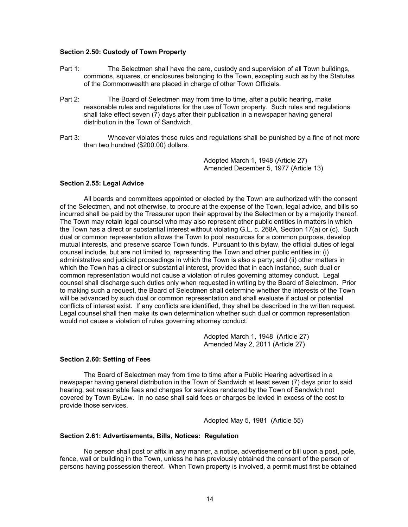## **Section 2.50: Custody of Town Property**

- Part 1: The Selectmen shall have the care, custody and supervision of all Town buildings, commons, squares, or enclosures belonging to the Town, excepting such as by the Statutes of the Commonwealth are placed in charge of other Town Officials.
- Part 2: The Board of Selectmen may from time to time, after a public hearing, make reasonable rules and regulations for the use of Town property. Such rules and regulations shall take effect seven (7) days after their publication in a newspaper having general distribution in the Town of Sandwich.
- Part 3: Whoever violates these rules and regulations shall be punished by a fine of not more than two hundred (\$200.00) dollars.

 Adopted March 1, 1948 (Article 27) Amended December 5, 1977 (Article 13)

# **Section 2.55: Legal Advice**

All boards and committees appointed or elected by the Town are authorized with the consent of the Selectmen, and not otherwise, to procure at the expense of the Town, legal advice, and bills so incurred shall be paid by the Treasurer upon their approval by the Selectmen or by a majority thereof. The Town may retain legal counsel who may also represent other public entities in matters in which the Town has a direct or substantial interest without violating G.L. c. 268A, Section 17(a) or (c). Such dual or common representation allows the Town to pool resources for a common purpose, develop mutual interests, and preserve scarce Town funds. Pursuant to this bylaw, the official duties of legal counsel include, but are not limited to, representing the Town and other public entities in: (i) administrative and judicial proceedings in which the Town is also a party; and (ii) other matters in which the Town has a direct or substantial interest, provided that in each instance, such dual or common representation would not cause a violation of rules governing attorney conduct. Legal counsel shall discharge such duties only when requested in writing by the Board of Selectmen. Prior to making such a request, the Board of Selectmen shall determine whether the interests of the Town will be advanced by such dual or common representation and shall evaluate if actual or potential conflicts of interest exist. If any conflicts are identified, they shall be described in the written request. Legal counsel shall then make its own determination whether such dual or common representation would not cause a violation of rules governing attorney conduct.

> Adopted March 1, 1948 (Article 27) Amended May 2, 2011 (Article 27)

#### **Section 2.60: Setting of Fees**

 The Board of Selectmen may from time to time after a Public Hearing advertised in a newspaper having general distribution in the Town of Sandwich at least seven (7) days prior to said hearing, set reasonable fees and charges for services rendered by the Town of Sandwich not covered by Town ByLaw. In no case shall said fees or charges be levied in excess of the cost to provide those services.

Adopted May 5, 1981 (Article 55)

## **Section 2.61: Advertisements, Bills, Notices: Regulation**

No person shall post or affix in any manner, a notice, advertisement or bill upon a post, pole, fence, wall or building in the Town, unless he has previously obtained the consent of the person or persons having possession thereof. When Town property is involved, a permit must first be obtained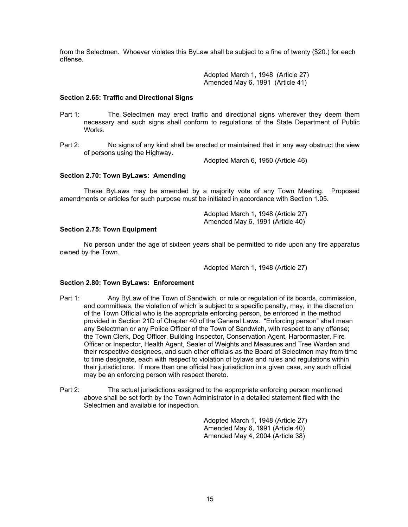from the Selectmen. Whoever violates this ByLaw shall be subject to a fine of twenty (\$20.) for each offense.

> Adopted March 1, 1948 (Article 27) Amended May 6, 1991 (Article 41)

### **Section 2.65: Traffic and Directional Signs**

- Part 1: The Selectmen may erect traffic and directional signs wherever they deem them necessary and such signs shall conform to regulations of the State Department of Public Works.
- Part 2: No signs of any kind shall be erected or maintained that in any way obstruct the view of persons using the Highway.

Adopted March 6, 1950 (Article 46)

# **Section 2.70: Town ByLaws: Amending**

 These ByLaws may be amended by a majority vote of any Town Meeting. Proposed amendments or articles for such purpose must be initiated in accordance with Section 1.05.

> Adopted March 1, 1948 (Article 27) Amended May 6, 1991 (Article 40)

## **Section 2.75: Town Equipment**

 No person under the age of sixteen years shall be permitted to ride upon any fire apparatus owned by the Town.

Adopted March 1, 1948 (Article 27)

#### **Section 2.80: Town ByLaws: Enforcement**

- Part 1: Any ByLaw of the Town of Sandwich, or rule or regulation of its boards, commission, and committees, the violation of which is subject to a specific penalty, may, in the discretion of the Town Official who is the appropriate enforcing person, be enforced in the method provided in Section 21D of Chapter 40 of the General Laws. "Enforcing person" shall mean any Selectman or any Police Officer of the Town of Sandwich, with respect to any offense; the Town Clerk, Dog Officer, Building Inspector, Conservation Agent, Harbormaster, Fire Officer or Inspector, Health Agent, Sealer of Weights and Measures and Tree Warden and their respective designees, and such other officials as the Board of Selectmen may from time to time designate, each with respect to violation of bylaws and rules and regulations within their jurisdictions. If more than one official has jurisdiction in a given case, any such official may be an enforcing person with respect thereto.
- Part 2: The actual jurisdictions assigned to the appropriate enforcing person mentioned above shall be set forth by the Town Administrator in a detailed statement filed with the Selectmen and available for inspection.

 Adopted March 1, 1948 (Article 27) Amended May 6, 1991 (Article 40) Amended May 4, 2004 (Article 38)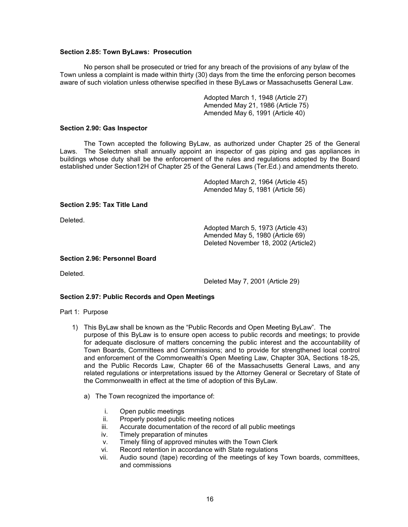## **Section 2.85: Town ByLaws: Prosecution**

No person shall be prosecuted or tried for any breach of the provisions of any bylaw of the Town unless a complaint is made within thirty (30) days from the time the enforcing person becomes aware of such violation unless otherwise specified in these ByLaws or Massachusetts General Law.

> Adopted March 1, 1948 (Article 27) Amended May 21, 1986 (Article 75) Amended May 6, 1991 (Article 40)

## **Section 2.90: Gas Inspector**

The Town accepted the following ByLaw, as authorized under Chapter 25 of the General Laws. The Selectmen shall annually appoint an inspector of gas piping and gas appliances in buildings whose duty shall be the enforcement of the rules and regulations adopted by the Board established under Section12H of Chapter 25 of the General Laws (Ter.Ed.) and amendments thereto.

> Adopted March 2, 1964 (Article 45) Amended May 5, 1981 (Article 56)

# **Section 2.95: Tax Title Land**

Deleted.

 Adopted March 5, 1973 (Article 43) Amended May 5, 1980 (Article 69) Deleted November 18, 2002 (Article2)

### **Section 2.96: Personnel Board**

Deleted.

Deleted May 7, 2001 (Article 29)

# **Section 2.97: Public Records and Open Meetings**

#### Part 1: Purpose

- 1) This ByLaw shall be known as the "Public Records and Open Meeting ByLaw". The purpose of this ByLaw is to ensure open access to public records and meetings; to provide for adequate disclosure of matters concerning the public interest and the accountability of Town Boards, Committees and Commissions; and to provide for strengthened local control and enforcement of the Commonwealth's Open Meeting Law, Chapter 30A, Sections 18-25, and the Public Records Law, Chapter 66 of the Massachusetts General Laws, and any related regulations or interpretations issued by the Attorney General or Secretary of State of the Commonwealth in effect at the time of adoption of this ByLaw.
	- a) The Town recognized the importance of:
		- i. Open public meetings
		- ii. Properly posted public meeting notices
		- iii. Accurate documentation of the record of all public meetings
		- iv. Timely preparation of minutes
		- v. Timely filing of approved minutes with the Town Clerk
		- vi. Record retention in accordance with State regulations
		- vii. Audio sound (tape) recording of the meetings of key Town boards, committees, and commissions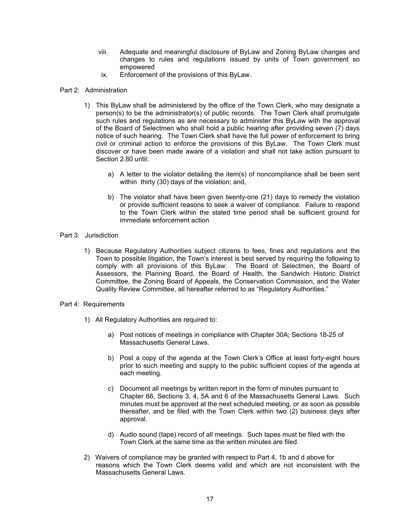- viii. Adequate and meaningful disclosure of ByLaw and Zoning ByLaw changes and changes to rules and regulations issued by units of Town government so empowered
- ix. Enforcement of the provisions of this ByLaw.

# Part 2: Administration

- 1) This ByLaw shall be administered by the office of the Town Clerk, who may designate a person(s) to be the administrator(s) of public records. The Town Clerk shall promulgate such rules and regulations as are necessary to administer this ByLaw with the approval of the Board of Selectmen who shall hold a public hearing after providing seven (7) days notice of such hearing. The Town Clerk shall have the full power of enforcement to bring civil or criminal action to enforce the provisions of this ByLaw. The Town Clerk must discover or have been made aware of a violation and shall not take action pursuant to Section 2.80 until:
	- a) A letter to the violator detailing the item(s) of noncompliance shall be been sent within thirty (30) days of the violation; and,
	- b) The violator shall have been given twenty-one (21) days to remedy the violation or provide sufficient reasons to seek a waiver of compliance. Failure to respond to the Town Clerk within the stated time period shall be sufficient ground for immediate enforcement action

# Part 3: Jurisdiction

- 1) Because Regulatory Authorities subject citizens to fees, fines and regulations and the Town to possible litigation, the Town's interest is best served by requiring the following to comply with all provisions of this ByLaw: The Board of Selectmen, the Board of Assessors, the Planning Board, the Board of Health, the Sandwich Historic District Committee, the Zoning Board of Appeals, the Conservation Commission, and the Water Quality Review Committee, all hereafter referred to as "Regulatory Authorities."
- Part 4: Requirements
	- 1) All Regulatory Authorities are required to:
		- a) Post notices of meetings in compliance with Chapter 30A, Sections 18-25 of Massachusetts General Laws.
		- b) Post a copy of the agenda at the Town Clerk's Office at least forty-eight hours prior to such meeting and supply to the public sufficient copies of the agenda at each meeting.
		- c) Document all meetings by written report in the form of minutes pursuant to Chapter 66, Sections 3, 4, 5A and 6 of the Massachusetts General Laws. Such minutes must be approved at the next scheduled meeting, or as soon as possible thereafter, and be filed with the Town Clerk within two (2) business days after approval.
		- d) Audio sound (tape) record of all meetings. Such tapes must be filed with the Town Clerk at the same time as the written minutes are filed.
	- 2) Waivers of compliance may be granted with respect to Part 4, 1b and d above for reasons which the Town Clerk deems valid and which are not inconsistent with the Massachusetts General Laws.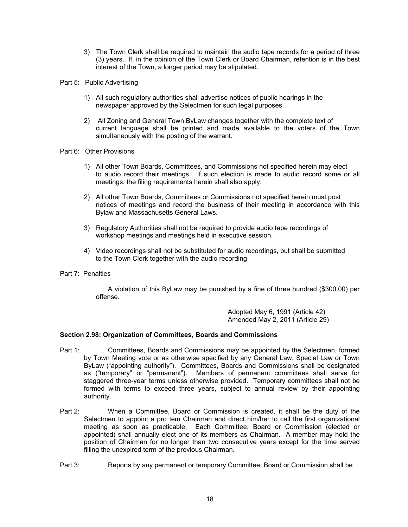- 3) The Town Clerk shall be required to maintain the audio tape records for a period of three (3) years. If, in the opinion of the Town Clerk or Board Chairman, retention is in the best interest of the Town, a longer period may be stipulated.
- Part 5: Public Advertising
	- 1) All such regulatory authorities shall advertise notices of public hearings in the newspaper approved by the Selectmen for such legal purposes.
	- 2) All Zoning and General Town ByLaw changes together with the complete text of current language shall be printed and made available to the voters of the Town simultaneously with the posting of the warrant.

### Part 6: Other Provisions

- 1) All other Town Boards, Committees, and Commissions not specified herein may elect to audio record their meetings. If such election is made to audio record some or all meetings, the filing requirements herein shall also apply.
- 2) All other Town Boards, Committees or Commissions not specified herein must post notices of meetings and record the business of their meeting in accordance with this Bylaw and Massachusetts General Laws.
- 3) Regulatory Authorities shall not be required to provide audio tape recordings of workshop meetings and meetings held in executive session.
- 4) Video recordings shall not be substituted for audio recordings, but shall be submitted to the Town Clerk together with the audio recording.

# Part 7: Penalties

A violation of this ByLaw may be punished by a fine of three hundred (\$300.00) per offense.

> Adopted May 6, 1991 (Article 42) Amended May 2, 2011 (Article 29)

# **Section 2.98: Organization of Committees, Boards and Commissions**

- Part 1: Committees, Boards and Commissions may be appointed by the Selectmen, formed by Town Meeting vote or as otherwise specified by any General Law, Special Law or Town ByLaw ("appointing authority"). Committees, Boards and Commissions shall be designated as ("temporary" or "permanent"). Members of permanent committees shall serve for staggered three-year terms unless otherwise provided. Temporary committees shall not be formed with terms to exceed three years, subject to annual review by their appointing authority.
- Part 2: When a Committee, Board or Commission is created, it shall be the duty of the Selectmen to appoint a pro tem Chairman and direct him/her to call the first organizational meeting as soon as practicable. Each Committee, Board or Commission (elected or appointed) shall annually elect one of its members as Chairman. A member may hold the position of Chairman for no longer than two consecutive years except for the time served filling the unexpired term of the previous Chairman.
- Part 3: Reports by any permanent or temporary Committee, Board or Commission shall be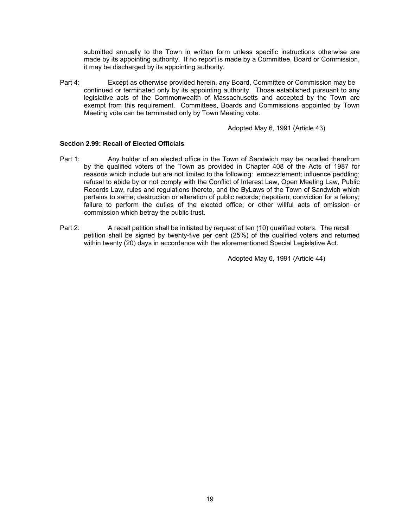submitted annually to the Town in written form unless specific instructions otherwise are made by its appointing authority. If no report is made by a Committee, Board or Commission, it may be discharged by its appointing authority.

Part 4: Except as otherwise provided herein, any Board, Committee or Commission may be continued or terminated only by its appointing authority. Those established pursuant to any legislative acts of the Commonwealth of Massachusetts and accepted by the Town are exempt from this requirement. Committees, Boards and Commissions appointed by Town Meeting vote can be terminated only by Town Meeting vote.

Adopted May 6, 1991 (Article 43)

# **Section 2.99: Recall of Elected Officials**

- Part 1: Any holder of an elected office in the Town of Sandwich may be recalled therefrom by the qualified voters of the Town as provided in Chapter 408 of the Acts of 1987 for reasons which include but are not limited to the following: embezzlement; influence peddling; refusal to abide by or not comply with the Conflict of Interest Law, Open Meeting Law, Public Records Law, rules and regulations thereto, and the ByLaws of the Town of Sandwich which pertains to same; destruction or alteration of public records; nepotism; conviction for a felony; failure to perform the duties of the elected office; or other willful acts of omission or commission which betray the public trust.
- Part 2: A recall petition shall be initiated by request of ten (10) qualified voters. The recall petition shall be signed by twenty-five per cent (25%) of the qualified voters and returned within twenty (20) days in accordance with the aforementioned Special Legislative Act.

Adopted May 6, 1991 (Article 44)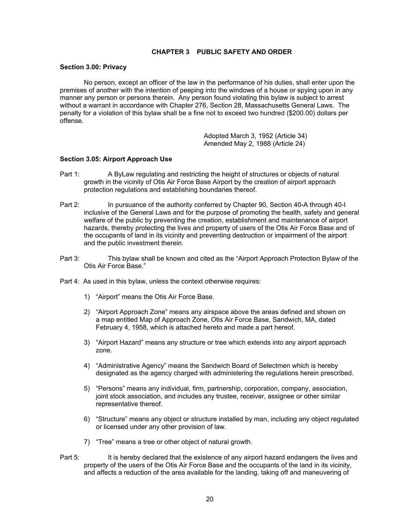# **CHAPTER 3 PUBLIC SAFETY AND ORDER**

### **Section 3.00: Privacy**

 No person, except an officer of the law in the performance of his duties, shall enter upon the premises of another with the intention of peeping into the windows of a house or spying upon in any manner any person or persons therein. Any person found violating this bylaw is subject to arrest without a warrant in accordance with Chapter 276, Section 28, Massachusetts General Laws. The penalty for a violation of this bylaw shall be a fine not to exceed two hundred (\$200.00) dollars per offense.

> Adopted March 3, 1952 (Article 34) Amended May 2, 1988 (Article 24)

### **Section 3.05: Airport Approach Use**

- Part 1: A ByLaw regulating and restricting the height of structures or objects of natural growth in the vicinity of Otis Air Force Base Airport by the creation of airport approach protection regulations and establishing boundaries thereof.
- Part 2: In pursuance of the authority conferred by Chapter 90, Section 40-A through 40-I inclusive of the General Laws and for the purpose of promoting the health, safety and general welfare of the public by preventing the creation, establishment and maintenance of airport hazards, thereby protecting the lives and property of users of the Otis Air Force Base and of the occupants of land in its vicinity and preventing destruction or impairment of the airport and the public investment therein.
- Part 3: This bylaw shall be known and cited as the "Airport Approach Protection Bylaw of the Otis Air Force Base."
- Part 4: As used in this bylaw, unless the context otherwise requires:
	- 1) "Airport" means the Otis Air Force Base.
	- 2) "Airport Approach Zone" means any airspace above the areas defined and shown on a map entitled Map of Approach Zone, Otis Air Force Base, Sandwich, MA, dated February 4, 1958, which is attached hereto and made a part hereof.
	- 3) "Airport Hazard" means any structure or tree which extends into any airport approach zone.
	- 4) "Administrative Agency" means the Sandwich Board of Selectmen which is hereby designated as the agency charged with administering the regulations herein prescribed.
	- 5) "Persons" means any individual, firm, partnership, corporation, company, association, joint stock association, and includes any trustee, receiver, assignee or other similar representative thereof.
	- 6) "Structure" means any object or structure installed by man, including any object regulated or licensed under any other provision of law.
	- 7) "Tree" means a tree or other object of natural growth.
- Part 5: It is hereby declared that the existence of any airport hazard endangers the lives and property of the users of the Otis Air Force Base and the occupants of the land in its vicinity, and affects a reduction of the area available for the landing, taking off and maneuvering of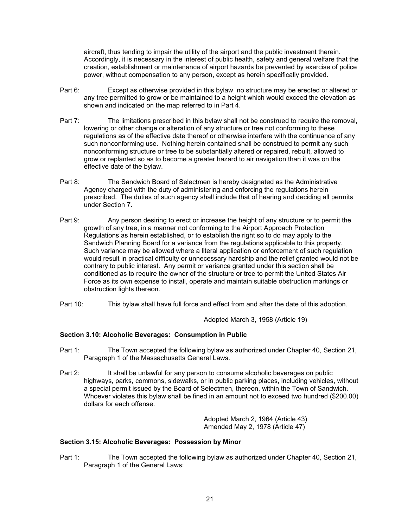aircraft, thus tending to impair the utility of the airport and the public investment therein. Accordingly, it is necessary in the interest of public health, safety and general welfare that the creation, establishment or maintenance of airport hazards be prevented by exercise of police power, without compensation to any person, except as herein specifically provided.

- Part 6: Except as otherwise provided in this bylaw, no structure may be erected or altered or any tree permitted to grow or be maintained to a height which would exceed the elevation as shown and indicated on the map referred to in Part 4.
- Part 7: The limitations prescribed in this bylaw shall not be construed to require the removal, lowering or other change or alteration of any structure or tree not conforming to these regulations as of the effective date thereof or otherwise interfere with the continuance of any such nonconforming use. Nothing herein contained shall be construed to permit any such nonconforming structure or tree to be substantially altered or repaired, rebuilt, allowed to grow or replanted so as to become a greater hazard to air navigation than it was on the effective date of the bylaw.
- Part 8: The Sandwich Board of Selectmen is hereby designated as the Administrative Agency charged with the duty of administering and enforcing the regulations herein prescribed. The duties of such agency shall include that of hearing and deciding all permits under Section 7.
- Part 9: Any person desiring to erect or increase the height of any structure or to permit the growth of any tree, in a manner not conforming to the Airport Approach Protection Regulations as herein established, or to establish the right so to do may apply to the Sandwich Planning Board for a variance from the regulations applicable to this property. Such variance may be allowed where a literal application or enforcement of such regulation would result in practical difficulty or unnecessary hardship and the relief granted would not be contrary to public interest. Any permit or variance granted under this section shall be conditioned as to require the owner of the structure or tree to permit the United States Air Force as its own expense to install, operate and maintain suitable obstruction markings or obstruction lights thereon.
- Part 10: This bylaw shall have full force and effect from and after the date of this adoption.

Adopted March 3, 1958 (Article 19)

# **Section 3.10: Alcoholic Beverages: Consumption in Public**

- Part 1: The Town accepted the following bylaw as authorized under Chapter 40, Section 21, Paragraph 1 of the Massachusetts General Laws.
- Part 2: It shall be unlawful for any person to consume alcoholic beverages on public highways, parks, commons, sidewalks, or in public parking places, including vehicles, without a special permit issued by the Board of Selectmen, thereon, within the Town of Sandwich. Whoever violates this bylaw shall be fined in an amount not to exceed two hundred (\$200.00) dollars for each offense.

 Adopted March 2, 1964 (Article 43) Amended May 2, 1978 (Article 47)

# **Section 3.15: Alcoholic Beverages: Possession by Minor**

Part 1: The Town accepted the following bylaw as authorized under Chapter 40, Section 21, Paragraph 1 of the General Laws: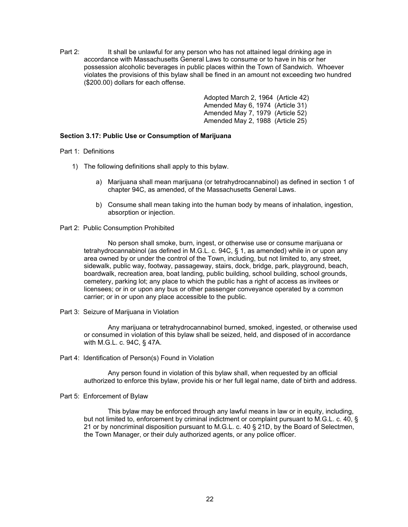Part 2: It shall be unlawful for any person who has not attained legal drinking age in accordance with Massachusetts General Laws to consume or to have in his or her possession alcoholic beverages in public places within the Town of Sandwich. Whoever violates the provisions of this bylaw shall be fined in an amount not exceeding two hundred (\$200.00) dollars for each offense.

> Adopted March 2, 1964 (Article 42) Amended May 6, 1974 (Article 31) Amended May 7, 1979 (Article 52) Amended May 2, 1988 (Article 25)

# **Section 3.17: Public Use or Consumption of Marijuana**

Part 1: Definitions

- 1) The following definitions shall apply to this bylaw.
	- a) Marijuana shall mean marijuana (or tetrahydrocannabinol) as defined in section 1 of chapter 94C, as amended, of the Massachusetts General Laws.
	- b) Consume shall mean taking into the human body by means of inhalation, ingestion, absorption or injection.

# Part 2: Public Consumption Prohibited

No person shall smoke, burn, ingest, or otherwise use or consume marijuana or tetrahydrocannabinol (as defined in M.G.L. c. 94C, § 1, as amended) while in or upon any area owned by or under the control of the Town, including, but not limited to, any street, sidewalk, public way, footway, passageway, stairs, dock, bridge, park, playground, beach, boardwalk, recreation area, boat landing, public building, school building, school grounds, cemetery, parking lot; any place to which the public has a right of access as invitees or licensees; or in or upon any bus or other passenger conveyance operated by a common carrier; or in or upon any place accessible to the public.

Part 3: Seizure of Marijuana in Violation

Any marijuana or tetrahydrocannabinol burned, smoked, ingested, or otherwise used or consumed in violation of this bylaw shall be seized, held, and disposed of in accordance with M.G.L. c. 94C, § 47A.

Part 4: Identification of Person(s) Found in Violation

Any person found in violation of this bylaw shall, when requested by an official authorized to enforce this bylaw, provide his or her full legal name, date of birth and address.

Part 5: Enforcement of Bylaw

This bylaw may be enforced through any lawful means in law or in equity, including, but not limited to, enforcement by criminal indictment or complaint pursuant to M.G.L. c. 40, § 21 or by noncriminal disposition pursuant to M.G.L. c. 40 § 21D, by the Board of Selectmen, the Town Manager, or their duly authorized agents, or any police officer.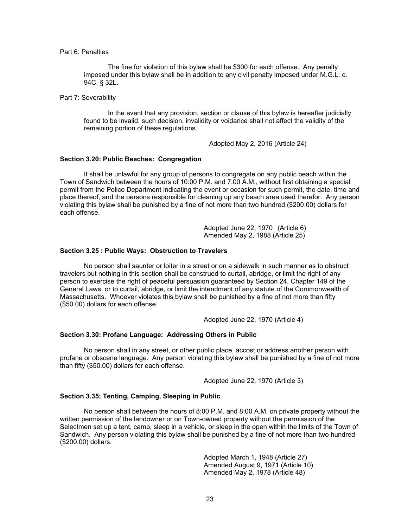## Part 6: Penalties

The fine for violation of this bylaw shall be \$300 for each offense. Any penalty imposed under this bylaw shall be in addition to any civil penalty imposed under M.G.L. c. 94C, § 32L.

Part 7: Severability

In the event that any provision, section or clause of this bylaw is hereafter judicially found to be invalid, such decision, invalidity or voidance shall not affect the validity of the remaining portion of these regulations.

Adopted May 2, 2016 (Article 24)

#### **Section 3.20: Public Beaches: Congregation**

 It shall be unlawful for any group of persons to congregate on any public beach within the Town of Sandwich between the hours of 10:00 P.M. and 7:00 A.M., without first obtaining a special permit from the Police Department indicating the event or occasion for such permit, the date, time and place thereof, and the persons responsible for cleaning up any beach area used therefor. Any person violating this bylaw shall be punished by a fine of not more than two hundred (\$200.00) dollars for each offense.

> Adopted June 22, 1970 (Article 6) Amended May 2, 1988 (Article 25)

### **Section 3.25 : Public Ways: Obstruction to Travelers**

 No person shall saunter or loiter in a street or on a sidewalk in such manner as to obstruct travelers but nothing in this section shall be construed to curtail, abridge, or limit the right of any person to exercise the right of peaceful persuasion guaranteed by Section 24, Chapter 149 of the General Laws, or to curtail, abridge, or limit the intendment of any statute of the Commonwealth of Massachusetts. Whoever violates this bylaw shall be punished by a fine of not more than fifty (\$50.00) dollars for each offense.

Adopted June 22, 1970 (Article 4)

## **Section 3.30: Profane Language: Addressing Others in Public**

 No person shall in any street, or other public place, accost or address another person with profane or obscene language. Any person violating this bylaw shall be punished by a fine of not more than fifty (\$50.00) dollars for each offense.

Adopted June 22, 1970 (Article 3)

#### **Section 3.35: Tenting, Camping, Sleeping in Public**

 No person shall between the hours of 8:00 P.M. and 8:00 A.M. on private property without the written permission of the landowner or on Town-owned property without the permission of the Selectmen set up a tent, camp, sleep in a vehicle, or sleep in the open within the limits of the Town of Sandwich. Any person violating this bylaw shall be punished by a fine of not more than two hundred (\$200.00) dollars.

> Adopted March 1, 1948 (Article 27) Amended August 9, 1971 (Article 10) Amended May 2, 1978 (Article 48)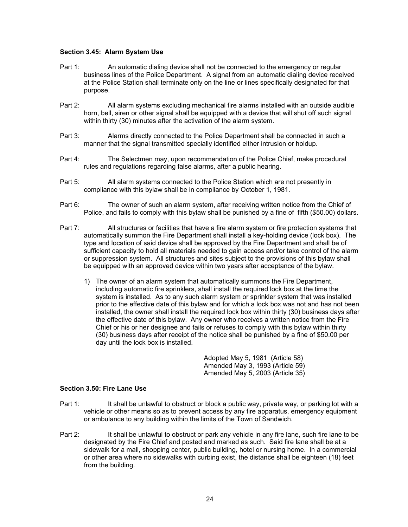# **Section 3.45: Alarm System Use**

- Part 1: An automatic dialing device shall not be connected to the emergency or regular business lines of the Police Department. A signal from an automatic dialing device received at the Police Station shall terminate only on the line or lines specifically designated for that purpose.
- Part 2: All alarm systems excluding mechanical fire alarms installed with an outside audible horn, bell, siren or other signal shall be equipped with a device that will shut off such signal within thirty (30) minutes after the activation of the alarm system.
- Part 3: Alarms directly connected to the Police Department shall be connected in such a manner that the signal transmitted specially identified either intrusion or holdup.
- Part 4: The Selectmen may, upon recommendation of the Police Chief, make procedural rules and regulations regarding false alarms, after a public hearing.
- Part 5: All alarm systems connected to the Police Station which are not presently in compliance with this bylaw shall be in compliance by October 1, 1981.
- Part 6: The owner of such an alarm system, after receiving written notice from the Chief of Police, and fails to comply with this bylaw shall be punished by a fine of fifth (\$50.00) dollars.
- Part 7: All structures or facilities that have a fire alarm system or fire protection systems that automatically summon the Fire Department shall install a key-holding device (lock box). The type and location of said device shall be approved by the Fire Department and shall be of sufficient capacity to hold all materials needed to gain access and/or take control of the alarm or suppression system. All structures and sites subject to the provisions of this bylaw shall be equipped with an approved device within two years after acceptance of the bylaw.
	- 1) The owner of an alarm system that automatically summons the Fire Department, including automatic fire sprinklers, shall install the required lock box at the time the system is installed. As to any such alarm system or sprinkler system that was installed prior to the effective date of this bylaw and for which a lock box was not and has not been installed, the owner shall install the required lock box within thirty (30) business days after the effective date of this bylaw. Any owner who receives a written notice from the Fire Chief or his or her designee and fails or refuses to comply with this bylaw within thirty (30) business days after receipt of the notice shall be punished by a fine of \$50.00 per day until the lock box is installed.

Adopted May 5, 1981 (Article 58) Amended May 3, 1993 (Article 59) Amended May 5, 2003 (Article 35)

# **Section 3.50: Fire Lane Use**

- Part 1: It shall be unlawful to obstruct or block a public way, private way, or parking lot with a vehicle or other means so as to prevent access by any fire apparatus, emergency equipment or ambulance to any building within the limits of the Town of Sandwich.
- Part 2: It shall be unlawful to obstruct or park any vehicle in any fire lane, such fire lane to be designated by the Fire Chief and posted and marked as such. Said fire lane shall be at a sidewalk for a mall, shopping center, public building, hotel or nursing home. In a commercial or other area where no sidewalks with curbing exist, the distance shall be eighteen (18) feet from the building.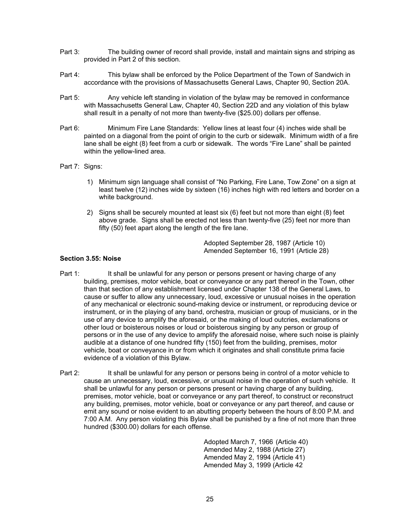- Part 3: The building owner of record shall provide, install and maintain signs and striping as provided in Part 2 of this section.
- Part 4: This bylaw shall be enforced by the Police Department of the Town of Sandwich in accordance with the provisions of Massachusetts General Laws, Chapter 90, Section 20A.
- Part 5: Any vehicle left standing in violation of the bylaw may be removed in conformance with Massachusetts General Law, Chapter 40, Section 22D and any violation of this bylaw shall result in a penalty of not more than twenty-five (\$25.00) dollars per offense.
- Part 6: Minimum Fire Lane Standards: Yellow lines at least four (4) inches wide shall be painted on a diagonal from the point of origin to the curb or sidewalk. Minimum width of a fire lane shall be eight (8) feet from a curb or sidewalk. The words "Fire Lane" shall be painted within the yellow-lined area.
- Part 7: Signs:
	- 1) Minimum sign language shall consist of "No Parking, Fire Lane, Tow Zone" on a sign at least twelve (12) inches wide by sixteen (16) inches high with red letters and border on a white background.
	- 2) Signs shall be securely mounted at least six (6) feet but not more than eight (8) feet above grade. Signs shall be erected not less than twenty-five (25) feet nor more than fifty (50) feet apart along the length of the fire lane.

 Adopted September 28, 1987 (Article 10) Amended September 16, 1991 (Article 28)

# **Section 3.55: Noise**

- Part 1: It shall be unlawful for any person or persons present or having charge of any building, premises, motor vehicle, boat or conveyance or any part thereof in the Town, other than that section of any establishment licensed under Chapter 138 of the General Laws, to cause or suffer to allow any unnecessary, loud, excessive or unusual noises in the operation of any mechanical or electronic sound-making device or instrument, or reproducing device or instrument, or in the playing of any band, orchestra, musician or group of musicians, or in the use of any device to amplify the aforesaid, or the making of loud outcries, exclamations or other loud or boisterous noises or loud or boisterous singing by any person or group of persons or in the use of any device to amplify the aforesaid noise, where such noise is plainly audible at a distance of one hundred fifty (150) feet from the building, premises, motor vehicle, boat or conveyance in or from which it originates and shall constitute prima facie evidence of a violation of this Bylaw.
- Part 2: It shall be unlawful for any person or persons being in control of a motor vehicle to cause an unnecessary, loud, excessive, or unusual noise in the operation of such vehicle. It shall be unlawful for any person or persons present or having charge of any building, premises, motor vehicle, boat or conveyance or any part thereof, to construct or reconstruct any building, premises, motor vehicle, boat or conveyance or any part thereof, and cause or emit any sound or noise evident to an abutting property between the hours of 8:00 P.M. and 7:00 A.M. Any person violating this Bylaw shall be punished by a fine of not more than three hundred (\$300.00) dollars for each offense.

Adopted March 7, 1966 (Article 40) Amended May 2, 1988 (Article 27) Amended May 2, 1994 (Article 41) Amended May 3, 1999 (Article 42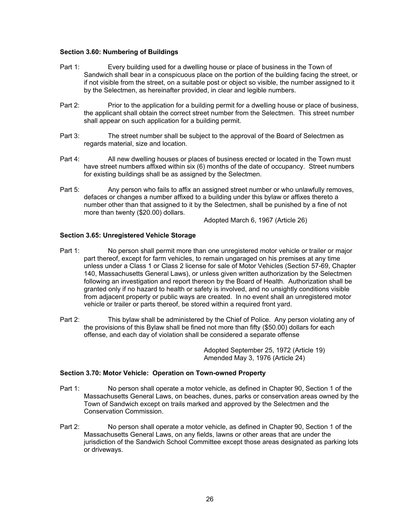# **Section 3.60: Numbering of Buildings**

- Part 1: Every building used for a dwelling house or place of business in the Town of Sandwich shall bear in a conspicuous place on the portion of the building facing the street, or if not visible from the street, on a suitable post or object so visible, the number assigned to it by the Selectmen, as hereinafter provided, in clear and legible numbers.
- Part 2: Prior to the application for a building permit for a dwelling house or place of business, the applicant shall obtain the correct street number from the Selectmen. This street number shall appear on such application for a building permit.
- Part 3: The street number shall be subject to the approval of the Board of Selectmen as regards material, size and location.
- Part 4: All new dwelling houses or places of business erected or located in the Town must have street numbers affixed within six (6) months of the date of occupancy. Street numbers for existing buildings shall be as assigned by the Selectmen.
- Part 5: Any person who fails to affix an assigned street number or who unlawfully removes, defaces or changes a number affixed to a building under this bylaw or affixes thereto a number other than that assigned to it by the Selectmen, shall be punished by a fine of not more than twenty (\$20.00) dollars.

Adopted March 6, 1967 (Article 26)

# **Section 3.65: Unregistered Vehicle Storage**

- Part 1: No person shall permit more than one unregistered motor vehicle or trailer or major part thereof, except for farm vehicles, to remain ungaraged on his premises at any time unless under a Class 1 or Class 2 license for sale of Motor Vehicles (Section 57-69, Chapter 140, Massachusetts General Laws), or unless given written authorization by the Selectmen following an investigation and report thereon by the Board of Health. Authorization shall be granted only if no hazard to health or safety is involved, and no unsightly conditions visible from adjacent property or public ways are created. In no event shall an unregistered motor vehicle or trailer or parts thereof, be stored within a required front yard.
- Part 2: This bylaw shall be administered by the Chief of Police. Any person violating any of the provisions of this Bylaw shall be fined not more than fifty (\$50.00) dollars for each offense, and each day of violation shall be considered a separate offense

 Adopted September 25, 1972 (Article 19) Amended May 3, 1976 (Article 24)

# **Section 3.70: Motor Vehicle: Operation on Town-owned Property**

- Part 1: No person shall operate a motor vehicle, as defined in Chapter 90, Section 1 of the Massachusetts General Laws, on beaches, dunes, parks or conservation areas owned by the Town of Sandwich except on trails marked and approved by the Selectmen and the Conservation Commission.
- Part 2: No person shall operate a motor vehicle, as defined in Chapter 90, Section 1 of the Massachusetts General Laws, on any fields, lawns or other areas that are under the jurisdiction of the Sandwich School Committee except those areas designated as parking lots or driveways.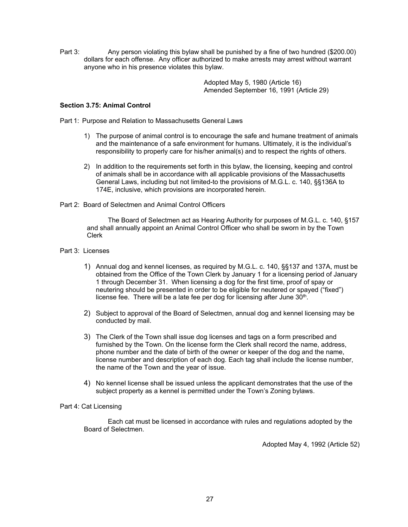Part 3: Any person violating this bylaw shall be punished by a fine of two hundred (\$200.00) dollars for each offense. Any officer authorized to make arrests may arrest without warrant anyone who in his presence violates this bylaw.

> Adopted May 5, 1980 (Article 16) Amended September 16, 1991 (Article 29)

# **Section 3.75: Animal Control**

Part 1: Purpose and Relation to Massachusetts General Laws

- 1) The purpose of animal control is to encourage the safe and humane treatment of animals and the maintenance of a safe environment for humans. Ultimately, it is the individual's responsibility to properly care for his/her animal(s) and to respect the rights of others.
- 2) In addition to the requirements set forth in this bylaw, the licensing, keeping and control of animals shall be in accordance with all applicable provisions of the Massachusetts General Laws, including but not limited-to the provisions of M.G.L. c. 140, §§136A to 174E, inclusive, which provisions are incorporated herein.
- Part 2: Board of Selectmen and Animal Control Officers

The Board of Selectmen act as Hearing Authority for purposes of M.G.L. c. 140, §157 and shall annually appoint an Animal Control Officer who shall be sworn in by the Town Clerk

# Part 3: Licenses

- 1) Annual dog and kennel licenses, as required by M.G.L. c. 140, §§137 and 137A, must be obtained from the Office of the Town Clerk by January 1 for a licensing period of January 1 through December 31. When licensing a dog for the first time, proof of spay or neutering should be presented in order to be eligible for neutered or spayed ("fixed") license fee. There will be a late fee per dog for licensing after June 30<sup>th</sup>.
- 2) Subject to approval of the Board of Selectmen, annual dog and kennel licensing may be conducted by mail.
- 3) The Clerk of the Town shall issue dog licenses and tags on a form prescribed and furnished by the Town. On the license form the Clerk shall record the name, address, phone number and the date of birth of the owner or keeper of the dog and the name, license number and description of each dog. Each tag shall include the license number, the name of the Town and the year of issue.
- 4) No kennel license shall be issued unless the applicant demonstrates that the use of the subject property as a kennel is permitted under the Town's Zoning bylaws.

# Part 4: Cat Licensing

Each cat must be licensed in accordance with rules and regulations adopted by the Board of Selectmen.

Adopted May 4, 1992 (Article 52)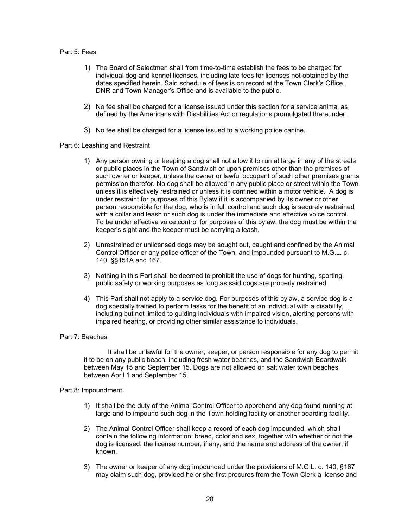#### Part 5: Fees

- 1) The Board of Selectmen shall from time-to-time establish the fees to be charged for individual dog and kennel licenses, including late fees for licenses not obtained by the dates specified herein. Said schedule of fees is on record at the Town Clerk's Office, DNR and Town Manager's Office and is available to the public.
- 2) No fee shall be charged for a license issued under this section for a service animal as defined by the Americans with Disabilities Act or regulations promulgated thereunder.
- 3) No fee shall be charged for a license issued to a working police canine.

# Part 6: Leashing and Restraint

- 1) Any person owning or keeping a dog shall not allow it to run at large in any of the streets or public places in the Town of Sandwich or upon premises other than the premises of such owner or keeper, unless the owner or lawful occupant of such other premises grants permission therefor. No dog shall be allowed in any public place or street within the Town unless it is effectively restrained or unless it is confined within a motor vehicle. A dog is under restraint for purposes of this Bylaw if it is accompanied by its owner or other person responsible for the dog, who is in full control and such dog is securely restrained with a collar and leash or such dog is under the immediate and effective voice control. To be under effective voice control for purposes of this bylaw, the dog must be within the keeper's sight and the keeper must be carrying a leash.
- 2) Unrestrained or unlicensed dogs may be sought out, caught and confined by the Animal Control Officer or any police officer of the Town, and impounded pursuant to M.G.L. c. 140, §§151A and 167.
- 3) Nothing in this Part shall be deemed to prohibit the use of dogs for hunting, sporting, public safety or working purposes as long as said dogs are properly restrained.
- 4) This Part shall not apply to a service dog. For purposes of this bylaw, a service dog is a dog specially trained to perform tasks for the benefit of an individual with a disability, including but not limited to guiding individuals with impaired vision, alerting persons with impaired hearing, or providing other similar assistance to individuals.

# Part 7: Beaches

It shall be unlawful for the owner, keeper, or person responsible for any dog to permit it to be on any public beach, including fresh water beaches, and the Sandwich Boardwalk between May 15 and September 15. Dogs are not allowed on salt water town beaches between April 1 and September 15.

#### Part 8: Impoundment

- 1) It shall be the duty of the Animal Control Officer to apprehend any dog found running at large and to impound such dog in the Town holding facility or another boarding facility.
- 2) The Animal Control Officer shall keep a record of each dog impounded, which shall contain the following information: breed, color and sex, together with whether or not the dog is licensed, the license number, if any, and the name and address of the owner, if known.
- 3) The owner or keeper of any dog impounded under the provisions of M.G.L. c. 140, §167 may claim such dog, provided he or she first procures from the Town Clerk a license and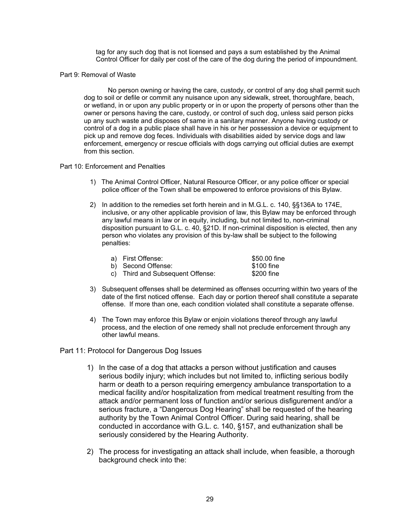tag for any such dog that is not licensed and pays a sum established by the Animal Control Officer for daily per cost of the care of the dog during the period of impoundment.

### Part 9: Removal of Waste

No person owning or having the care, custody, or control of any dog shall permit such dog to soil or defile or commit any nuisance upon any sidewalk, street, thoroughfare, beach, or wetland, in or upon any public property or in or upon the property of persons other than the owner or persons having the care, custody, or control of such dog, unless said person picks up any such waste and disposes of same in a sanitary manner. Anyone having custody or control of a dog in a public place shall have in his or her possession a device or equipment to pick up and remove dog feces. Individuals with disabilities aided by service dogs and law enforcement, emergency or rescue officials with dogs carrying out official duties are exempt from this section.

# Part 10: Enforcement and Penalties

- 1) The Animal Control Officer, Natural Resource Officer, or any police officer or special police officer of the Town shall be empowered to enforce provisions of this Bylaw.
- 2) In addition to the remedies set forth herein and in M.G.L. c. 140, §§136A to 174E, inclusive, or any other applicable provision of law, this Bylaw may be enforced through any lawful means in law or in equity, including, but not limited to, non-criminal disposition pursuant to G.L. c. 40, §21D. If non-criminal disposition is elected, then any person who violates any provision of this by-law shall be subject to the following penalties:

| a) First Offense:                | \$50.00 fine |
|----------------------------------|--------------|
| b) Second Offense:               | \$100 fine   |
| c) Third and Subsequent Offense: | \$200 fine   |

- 3) Subsequent offenses shall be determined as offenses occurring within two years of the date of the first noticed offense. Each day or portion thereof shall constitute a separate offense. If more than one, each condition violated shall constitute a separate offense.
- 4) The Town may enforce this Bylaw or enjoin violations thereof through any lawful process, and the election of one remedy shall not preclude enforcement through any other lawful means.

# Part 11: Protocol for Dangerous Dog Issues

- 1) In the case of a dog that attacks a person without justification and causes serious bodily injury; which includes but not limited to, inflicting serious bodily harm or death to a person requiring emergency ambulance transportation to a medical facility and/or hospitalization from medical treatment resulting from the attack and/or permanent loss of function and/or serious disfigurement and/or a serious fracture, a "Dangerous Dog Hearing" shall be requested of the hearing authority by the Town Animal Control Officer. During said hearing, shall be conducted in accordance with G.L. c. 140, §157, and euthanization shall be seriously considered by the Hearing Authority.
- 2) The process for investigating an attack shall include, when feasible, a thorough background check into the: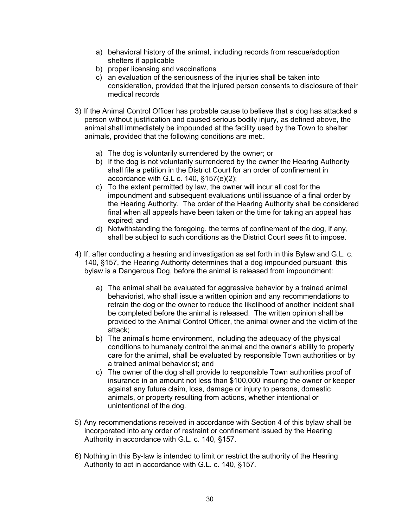- a) behavioral history of the animal, including records from rescue/adoption shelters if applicable
- b) proper licensing and vaccinations
- c) an evaluation of the seriousness of the injuries shall be taken into consideration, provided that the injured person consents to disclosure of their medical records
- 3) If the Animal Control Officer has probable cause to believe that a dog has attacked a person without justification and caused serious bodily injury, as defined above, the animal shall immediately be impounded at the facility used by the Town to shelter animals, provided that the following conditions are met:.
	- a) The dog is voluntarily surrendered by the owner; or
	- b) If the dog is not voluntarily surrendered by the owner the Hearing Authority shall file a petition in the District Court for an order of confinement in accordance with G.L c. 140, §157(e)(2);
	- c) To the extent permitted by law, the owner will incur all cost for the impoundment and subsequent evaluations until issuance of a final order by the Hearing Authority. The order of the Hearing Authority shall be considered final when all appeals have been taken or the time for taking an appeal has expired; and
	- d) Notwithstanding the foregoing, the terms of confinement of the dog, if any, shall be subject to such conditions as the District Court sees fit to impose.
- 4) If, after conducting a hearing and investigation as set forth in this Bylaw and G.L. c. 140, §157, the Hearing Authority determines that a dog impounded pursuant this bylaw is a Dangerous Dog, before the animal is released from impoundment:
	- a) The animal shall be evaluated for aggressive behavior by a trained animal behaviorist, who shall issue a written opinion and any recommendations to retrain the dog or the owner to reduce the likelihood of another incident shall be completed before the animal is released. The written opinion shall be provided to the Animal Control Officer, the animal owner and the victim of the attack;
	- b) The animal's home environment, including the adequacy of the physical conditions to humanely control the animal and the owner's ability to properly care for the animal, shall be evaluated by responsible Town authorities or by a trained animal behaviorist; and
	- c) The owner of the dog shall provide to responsible Town authorities proof of insurance in an amount not less than \$100,000 insuring the owner or keeper against any future claim, loss, damage or injury to persons, domestic animals, or property resulting from actions, whether intentional or unintentional of the dog.
- 5) Any recommendations received in accordance with Section 4 of this bylaw shall be incorporated into any order of restraint or confinement issued by the Hearing Authority in accordance with G.L. c. 140, §157.
- 6) Nothing in this By-law is intended to limit or restrict the authority of the Hearing Authority to act in accordance with G.L. c. 140, §157.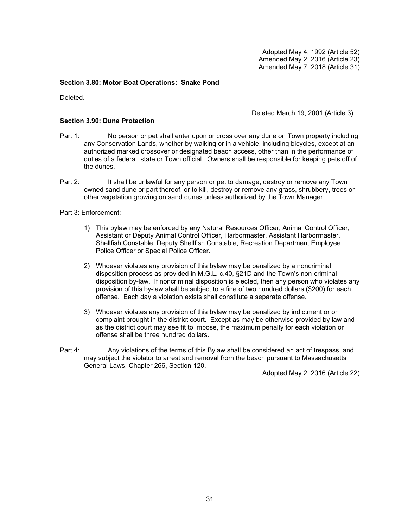Adopted May 4, 1992 (Article 52) Amended May 2, 2016 (Article 23) Amended May 7, 2018 (Article 31)

# **Section 3.80: Motor Boat Operations: Snake Pond**

Deleted.

Deleted March 19, 2001 (Article 3)

# **Section 3.90: Dune Protection**

- Part 1: No person or pet shall enter upon or cross over any dune on Town property including any Conservation Lands, whether by walking or in a vehicle, including bicycles, except at an authorized marked crossover or designated beach access, other than in the performance of duties of a federal, state or Town official. Owners shall be responsible for keeping pets off of the dunes.
- Part 2: It shall be unlawful for any person or pet to damage, destroy or remove any Town owned sand dune or part thereof, or to kill, destroy or remove any grass, shrubbery, trees or other vegetation growing on sand dunes unless authorized by the Town Manager.

Part 3: Enforcement:

- 1) This bylaw may be enforced by any Natural Resources Officer, Animal Control Officer, Assistant or Deputy Animal Control Officer, Harbormaster, Assistant Harbormaster, Shellfish Constable, Deputy Shellfish Constable, Recreation Department Employee, Police Officer or Special Police Officer.
- 2) Whoever violates any provision of this bylaw may be penalized by a noncriminal disposition process as provided in M.G.L. c.40, §21D and the Town's non-criminal disposition by-law. If noncriminal disposition is elected, then any person who violates any provision of this by-law shall be subject to a fine of two hundred dollars (\$200) for each offense. Each day a violation exists shall constitute a separate offense.
- 3) Whoever violates any provision of this bylaw may be penalized by indictment or on complaint brought in the district court. Except as may be otherwise provided by law and as the district court may see fit to impose, the maximum penalty for each violation or offense shall be three hundred dollars.
- Part 4: Any violations of the terms of this Bylaw shall be considered an act of trespass, and may subject the violator to arrest and removal from the beach pursuant to Massachusetts General Laws, Chapter 266, Section 120.

Adopted May 2, 2016 (Article 22)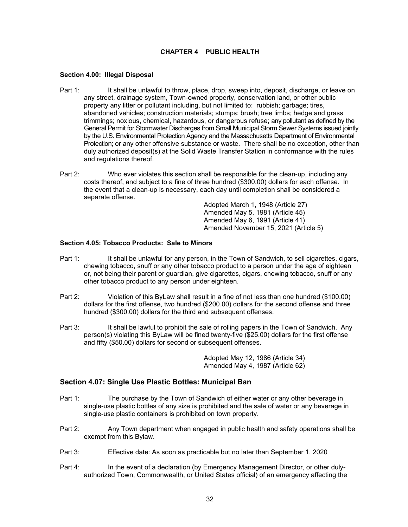# **CHAPTER 4 PUBLIC HEALTH**

## **Section 4.00: Illegal Disposal**

- Part 1: It shall be unlawful to throw, place, drop, sweep into, deposit, discharge, or leave on any street, drainage system, Town-owned property, conservation land, or other public property any litter or pollutant including, but not limited to: rubbish; garbage; tires, abandoned vehicles; construction materials; stumps; brush; tree limbs; hedge and grass trimmings; noxious, chemical, hazardous, or dangerous refuse; any pollutant as defined by the General Permit for Stormwater Discharges from Small Municipal Storm Sewer Systems issued jointly by the U.S. Environmental Protection Agency and the Massachusetts Department of Environmental Protection; or any other offensive substance or waste. There shall be no exception, other than duly authorized deposit(s) at the Solid Waste Transfer Station in conformance with the rules and regulations thereof.
- Part 2: Who ever violates this section shall be responsible for the clean-up, including any costs thereof, and subject to a fine of three hundred (\$300.00) dollars for each offense. In the event that a clean-up is necessary, each day until completion shall be considered a separate offense.

 Adopted March 1, 1948 (Article 27) Amended May 5, 1981 (Article 45) Amended May 6, 1991 (Article 41) Amended November 15, 2021 (Article 5)

# **Section 4.05: Tobacco Products: Sale to Minors**

- Part 1: It shall be unlawful for any person, in the Town of Sandwich, to sell cigarettes, cigars, chewing tobacco, snuff or any other tobacco product to a person under the age of eighteen or, not being their parent or guardian, give cigarettes, cigars, chewing tobacco, snuff or any other tobacco product to any person under eighteen.
- Part 2: Violation of this ByLaw shall result in a fine of not less than one hundred (\$100.00) dollars for the first offense, two hundred (\$200.00) dollars for the second offense and three hundred (\$300.00) dollars for the third and subsequent offenses.
- Part 3: It shall be lawful to prohibit the sale of rolling papers in the Town of Sandwich. Any person(s) violating this ByLaw will be fined twenty-five (\$25.00) dollars for the first offense and fifty (\$50.00) dollars for second or subsequent offenses.

 Adopted May 12, 1986 (Article 34) Amended May 4, 1987 (Article 62)

# **Section 4.07: Single Use Plastic Bottles: Municipal Ban**

- Part 1: The purchase by the Town of Sandwich of either water or any other beverage in single-use plastic bottles of any size is prohibited and the sale of water or any beverage in single-use plastic containers is prohibited on town property.
- Part 2: Any Town department when engaged in public health and safety operations shall be exempt from this Bylaw.
- Part 3: Effective date: As soon as practicable but no later than September 1, 2020
- Part 4: In the event of a declaration (by Emergency Management Director, or other dulyauthorized Town, Commonwealth, or United States official) of an emergency affecting the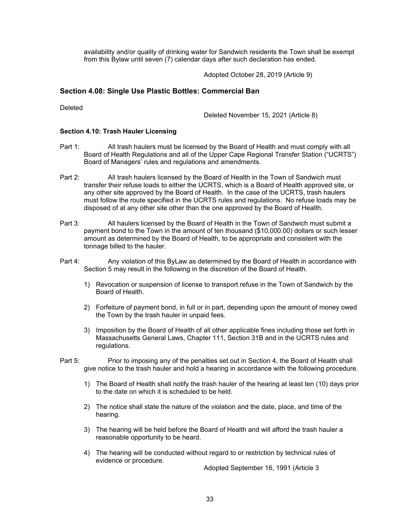availability and/or quality of drinking water for Sandwich residents the Town shall be exempt from this Bylaw until seven (7) calendar days after such declaration has ended.

Adopted October 28, 2019 (Article 9)

# **Section 4.08: Single Use Plastic Bottles: Commercial Ban**

Deleted

Deleted November 15, 2021 (Article 8)

## **Section 4.10: Trash Hauler Licensing**

- Part 1: All trash haulers must be licensed by the Board of Health and must comply with all Board of Health Regulations and all of the Upper Cape Regional Transfer Station ("UCRTS") Board of Managers' rules and regulations and amendments.
- Part 2: All trash haulers licensed by the Board of Health in the Town of Sandwich must transfer their refuse loads to either the UCRTS, which is a Board of Health approved site, or any other site approved by the Board of Health. In the case of the UCRTS, trash haulers must follow the route specified in the UCRTS rules and regulations. No refuse loads may be disposed of at any other site other than the one approved by the Board of Health.
- Part 3: All haulers licensed by the Board of Health in the Town of Sandwich must submit a payment bond to the Town in the amount of ten thousand (\$10,000.00) dollars or such lesser amount as determined by the Board of Health, to be appropriate and consistent with the tonnage billed to the hauler.
- Part 4: Any violation of this ByLaw as determined by the Board of Health in accordance with Section 5 may result in the following in the discretion of the Board of Health.
	- 1) Revocation or suspension of license to transport refuse in the Town of Sandwich by the Board of Health.
	- 2) Forfeiture of payment bond, in full or in part, depending upon the amount of money owed the Town by the trash hauler in unpaid fees.
	- 3) Imposition by the Board of Health of all other applicable fines including those set forth in Massachusetts General Laws, Chapter 111, Section 31B and in the UCRTS rules and regulations.
- Part 5: Prior to imposing any of the penalties set out in Section 4, the Board of Health shall give notice to the trash hauler and hold a hearing in accordance with the following procedure.
	- 1) The Board of Health shall notify the trash hauler of the hearing at least ten (10) days prior to the date on which it is scheduled to be held.
	- 2) The notice shall state the nature of the violation and the date, place, and time of the hearing.
	- 3) The hearing will be held before the Board of Health and will afford the trash hauler a reasonable opportunity to be heard.
	- 4) The hearing will be conducted without regard to or restriction by technical rules of evidence or procedure.

Adopted September 16, 1991 (Article 3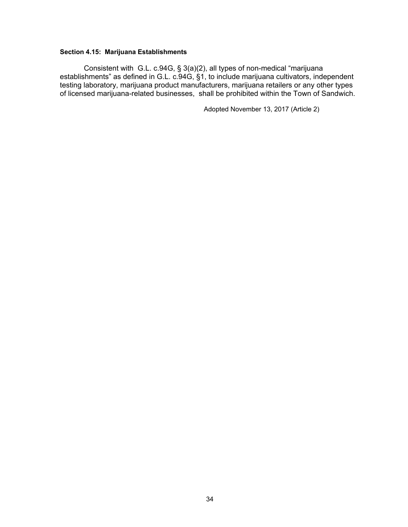# **Section 4.15: Marijuana Establishments**

Consistent with G.L. c.94G, § 3(a)(2), all types of non-medical "marijuana establishments" as defined in G.L. c.94G, §1, to include marijuana cultivators, independent testing laboratory, marijuana product manufacturers, marijuana retailers or any other types of licensed marijuana-related businesses, shall be prohibited within the Town of Sandwich.

Adopted November 13, 2017 (Article 2)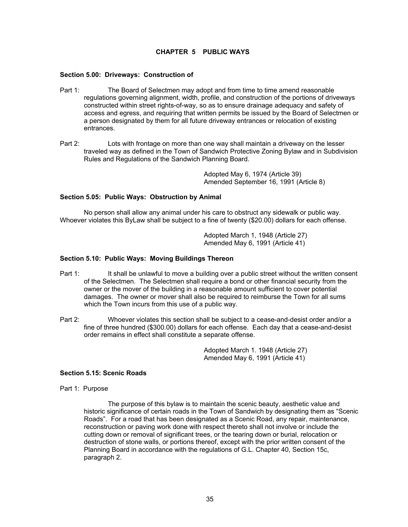# **CHAPTER 5 PUBLIC WAYS**

### **Section 5.00: Driveways: Construction of**

- Part 1: The Board of Selectmen may adopt and from time to time amend reasonable regulations governing alignment, width, profile, and construction of the portions of driveways constructed within street rights-of-way, so as to ensure drainage adequacy and safety of access and egress, and requiring that written permits be issued by the Board of Selectmen or a person designated by them for all future driveway entrances or relocation of existing entrances.
- Part 2: Lots with frontage on more than one way shall maintain a driveway on the lesser traveled way as defined in the Town of Sandwich Protective Zoning Bylaw and in Subdivision Rules and Regulations of the Sandwich Planning Board.

 Adopted May 6, 1974 (Article 39) Amended September 16, 1991 (Article 8)

# **Section 5.05: Public Ways: Obstruction by Animal**

No person shall allow any animal under his care to obstruct any sidewalk or public way. Whoever violates this ByLaw shall be subject to a fine of twenty (\$20.00) dollars for each offense.

> Adopted March 1, 1948 (Article 27) Amended May 6, 1991 (Article 41)

### **Section 5.10: Public Ways: Moving Buildings Thereon**

- Part 1: It shall be unlawful to move a building over a public street without the written consent of the Selectmen. The Selectmen shall require a bond or other financial security from the owner or the mover of the building in a reasonable amount sufficient to cover potential damages. The owner or mover shall also be required to reimburse the Town for all sums which the Town incurs from this use of a public way.
- Part 2: Whoever violates this section shall be subject to a cease-and-desist order and/or a fine of three hundred (\$300.00) dollars for each offense. Each day that a cease-and-desist order remains in effect shall constitute a separate offense.

 Adopted March 1. 1948 (Article 27) Amended May 6, 1991 (Article 41)

# **Section 5.15: Scenic Roads**

Part 1: Purpose

The purpose of this bylaw is to maintain the scenic beauty, aesthetic value and historic significance of certain roads in the Town of Sandwich by designating them as "Scenic Roads". For a road that has been designated as a Scenic Road, any repair, maintenance, reconstruction or paving work done with respect thereto shall not involve or include the cutting down or removal of significant trees, or the tearing down or burial, relocation or destruction of stone walls, or portions thereof, except with the prior written consent of the Planning Board in accordance with the regulations of G.L. Chapter 40, Section 15c, paragraph 2.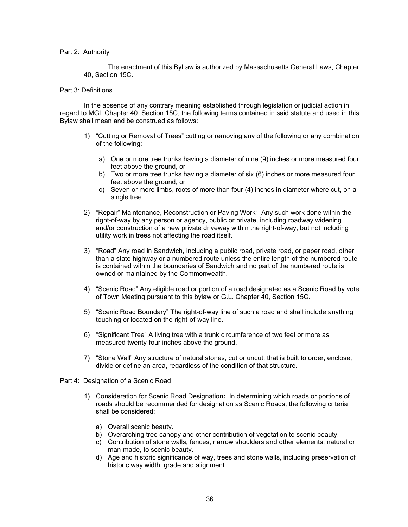#### Part 2: Authority

The enactment of this ByLaw is authorized by Massachusetts General Laws, Chapter 40, Section 15C.

#### Part 3: Definitions

In the absence of any contrary meaning established through legislation or judicial action in regard to MGL Chapter 40, Section 15C, the following terms contained in said statute and used in this Bylaw shall mean and be construed as follows:

- 1) "Cutting or Removal of Trees" cutting or removing any of the following or any combination of the following:
	- a) One or more tree trunks having a diameter of nine (9) inches or more measured four feet above the ground, or
	- b) Two or more tree trunks having a diameter of six (6) inches or more measured four feet above the ground, or
	- c) Seven or more limbs, roots of more than four (4) inches in diameter where cut, on a single tree.
- 2) "Repair" Maintenance, Reconstruction or Paving Work" Any such work done within the right-of-way by any person or agency, public or private, including roadway widening and/or construction of a new private driveway within the right-of-way, but not including utility work in trees not affecting the road itself.
- 3) "Road" Any road in Sandwich, including a public road, private road, or paper road, other than a state highway or a numbered route unless the entire length of the numbered route is contained within the boundaries of Sandwich and no part of the numbered route is owned or maintained by the Commonwealth.
- 4) "Scenic Road" Any eligible road or portion of a road designated as a Scenic Road by vote of Town Meeting pursuant to this bylaw or G.L. Chapter 40, Section 15C.
- 5) "Scenic Road Boundary" The right-of-way line of such a road and shall include anything touching or located on the right-of-way line.
- 6) "Significant Tree" A living tree with a trunk circumference of two feet or more as measured twenty-four inches above the ground.
- 7) "Stone Wall" Any structure of natural stones, cut or uncut, that is built to order, enclose, divide or define an area, regardless of the condition of that structure.
- Part 4: Designation of a Scenic Road
	- 1) Consideration for Scenic Road Designation**:** In determining which roads or portions of roads should be recommended for designation as Scenic Roads, the following criteria shall be considered:
		- a) Overall scenic beauty.
		- b) Overarching tree canopy and other contribution of vegetation to scenic beauty.
		- c) Contribution of stone walls, fences, narrow shoulders and other elements, natural or man-made, to scenic beauty.
		- d) Age and historic significance of way, trees and stone walls, including preservation of historic way width, grade and alignment.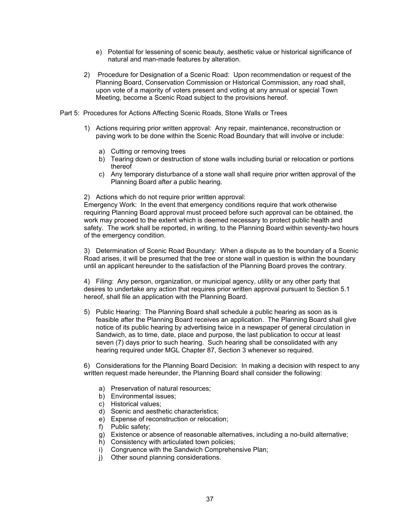- e) Potential for lessening of scenic beauty, aesthetic value or historical significance of natural and man-made features by alteration.
- 2) Procedure for Designation of a Scenic Road: Upon recommendation or request of the Planning Board, Conservation Commission or Historical Commission, any road shall, upon vote of a majority of voters present and voting at any annual or special Town Meeting, become a Scenic Road subject to the provisions hereof.
- Part 5: Procedures for Actions Affecting Scenic Roads, Stone Walls or Trees
	- 1) Actions requiring prior written approval: Any repair, maintenance, reconstruction or paving work to be done within the Scenic Road Boundary that will involve or include:
		- a) Cutting or removing trees
		- b) Tearing down or destruction of stone walls including burial or relocation or portions thereof
		- c) Any temporary disturbance of a stone wall shall require prior written approval of the Planning Board after a public hearing.

2) Actions which do not require prior written approval:

Emergency Work: In the event that emergency conditions require that work otherwise requiring Planning Board approval must proceed before such approval can be obtained, the work may proceed to the extent which is deemed necessary to protect public health and safety. The work shall be reported, in writing, to the Planning Board within seventy-two hours of the emergency condition.

3) Determination of Scenic Road Boundary: When a dispute as to the boundary of a Scenic Road arises, it will be presumed that the tree or stone wall in question is within the boundary until an applicant hereunder to the satisfaction of the Planning Board proves the contrary.

4) Filing: Any person, organization, or municipal agency, utility or any other party that desires to undertake any action that requires prior written approval pursuant to Section 5.1 hereof, shall file an application with the Planning Board.

5) Public Hearing: The Planning Board shall schedule a public hearing as soon as is feasible after the Planning Board receives an application. The Planning Board shall give notice of its public hearing by advertising twice in a newspaper of general circulation in Sandwich, as to time, date, place and purpose, the last publication to occur at least seven (7) days prior to such hearing. Such hearing shall be consolidated with any hearing required under MGL Chapter 87, Section 3 whenever so required.

6) Considerations for the Planning Board Decision: In making a decision with respect to any written request made hereunder, the Planning Board shall consider the following:

- a) Preservation of natural resources;
- b) Environmental issues;
- c) Historical values;
- d) Scenic and aesthetic characteristics;
- e) Expense of reconstruction or relocation;
- f) Public safety;
- g) Existence or absence of reasonable alternatives, including a no-build alternative;
- h) Consistency with articulated town policies;
- i) Congruence with the Sandwich Comprehensive Plan;
- j) Other sound planning considerations.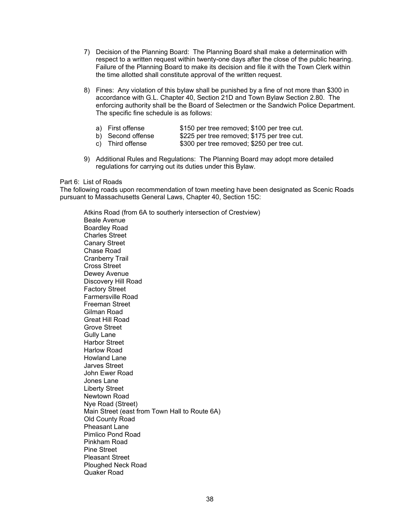- 7) Decision of the Planning Board: The Planning Board shall make a determination with respect to a written request within twenty-one days after the close of the public hearing. Failure of the Planning Board to make its decision and file it with the Town Clerk within the time allotted shall constitute approval of the written request.
- 8) Fines: Any violation of this bylaw shall be punished by a fine of not more than \$300 in accordance with G.L. Chapter 40, Section 21D and Town Bylaw Section 2.80. The enforcing authority shall be the Board of Selectmen or the Sandwich Police Department. The specific fine schedule is as follows:
	- a) First offense \$150 per tree removed; \$100 per tree cut.
	- b) Second offense \$225 per tree removed; \$175 per tree cut.<br>c) Third offense \$300 per tree removed; \$250 per tree cut.
	- \$300 per tree removed; \$250 per tree cut.
- 9) Additional Rules and Regulations: The Planning Board may adopt more detailed regulations for carrying out its duties under this Bylaw.

#### Part 6: List of Roads

The following roads upon recommendation of town meeting have been designated as Scenic Roads pursuant to Massachusetts General Laws, Chapter 40, Section 15C:

 Atkins Road (from 6A to southerly intersection of Crestview) Beale Avenue Boardley Road Charles Street Canary Street Chase Road Cranberry Trail Cross Street Dewey Avenue Discovery Hill Road Factory Street Farmersville Road Freeman Street Gilman Road Great Hill Road Grove Street Gully Lane Harbor Street Harlow Road Howland Lane Jarves Street John Ewer Road Jones Lane Liberty Street Newtown Road Nye Road (Street) Main Street (east from Town Hall to Route 6A) Old County Road Pheasant Lane Pimlico Pond Road Pinkham Road Pine Street Pleasant Street Ploughed Neck Road Quaker Road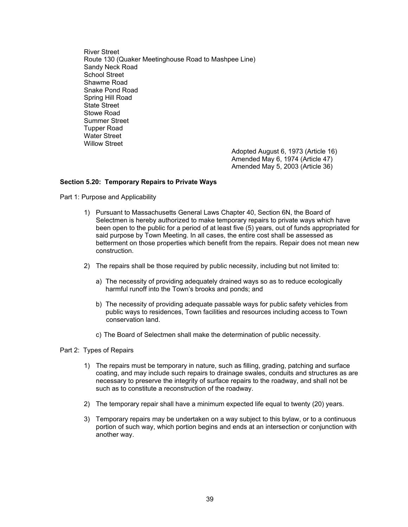River Street Route 130 (Quaker Meetinghouse Road to Mashpee Line) Sandy Neck Road School Street Shawme Road Snake Pond Road Spring Hill Road State Street Stowe Road Summer Street Tupper Road Water Street Willow Street

Adopted August 6, 1973 (Article 16) Amended May 6, 1974 (Article 47) Amended May 5, 2003 (Article 36)

### **Section 5.20: Temporary Repairs to Private Ways**

Part 1: Purpose and Applicability

- 1) Pursuant to Massachusetts General Laws Chapter 40, Section 6N, the Board of Selectmen is hereby authorized to make temporary repairs to private ways which have been open to the public for a period of at least five (5) years, out of funds appropriated for said purpose by Town Meeting. In all cases, the entire cost shall be assessed as betterment on those properties which benefit from the repairs. Repair does not mean new construction.
- 2) The repairs shall be those required by public necessity, including but not limited to:
	- a) The necessity of providing adequately drained ways so as to reduce ecologically harmful runoff into the Town's brooks and ponds; and
	- b) The necessity of providing adequate passable ways for public safety vehicles from public ways to residences, Town facilities and resources including access to Town conservation land.
	- c) The Board of Selectmen shall make the determination of public necessity.

Part 2: Types of Repairs

- 1) The repairs must be temporary in nature, such as filling, grading, patching and surface coating, and may include such repairs to drainage swales, conduits and structures as are necessary to preserve the integrity of surface repairs to the roadway, and shall not be such as to constitute a reconstruction of the roadway.
- 2) The temporary repair shall have a minimum expected life equal to twenty (20) years.
- 3) Temporary repairs may be undertaken on a way subject to this bylaw, or to a continuous portion of such way, which portion begins and ends at an intersection or conjunction with another way.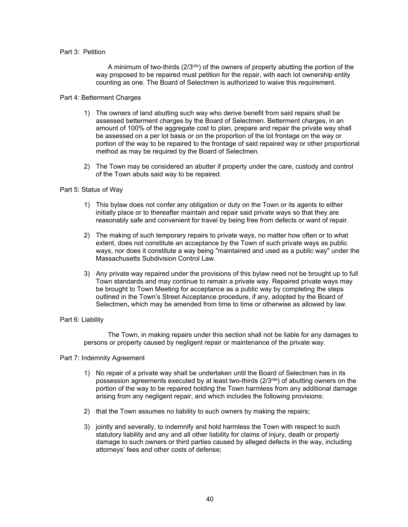### Part 3: Petition

A minimum of two-thirds  $(2/3^{rds})$  of the owners of property abutting the portion of the way proposed to be repaired must petition for the repair, with each lot ownership entity counting as one. The Board of Selectmen is authorized to waive this requirement.

### Part 4: Betterment Charges

- 1) The owners of land abutting such way who derive benefit from said repairs shall be assessed betterment charges by the Board of Selectmen. Betterment charges, in an amount of 100% of the aggregate cost to plan, prepare and repair the private way shall be assessed on a per lot basis or on the proportion of the lot frontage on the way or portion of the way to be repaired to the frontage of said repaired way or other proportional method as may be required by the Board of Selectmen.
- 2) The Town may be considered an abutter if property under the care, custody and control of the Town abuts said way to be repaired.

### Part 5: Status of Way

- 1) This bylaw does not confer any obligation or duty on the Town or its agents to either initially place or to thereafter maintain and repair said private ways so that they are reasonably safe and convenient for travel by being free from defects or want of repair.
- 2) The making of such temporary repairs to private ways, no matter how often or to what extent, does not constitute an acceptance by the Town of such private ways as public ways, nor does it constitute a way being "maintained and used as a public way" under the Massachusetts Subdivision Control Law.
- 3) Any private way repaired under the provisions of this bylaw need not be brought up to full Town standards and may continue to remain a private way. Repaired private ways may be brought to Town Meeting for acceptance as a public way by completing the steps outlined in the Town's Street Acceptance procedure, if any, adopted by the Board of Selectmen**,** which may be amended from time to time or otherwise as allowed by law.

## Part 6: Liability

The Town, in making repairs under this section shall not be liable for any damages to persons or property caused by negligent repair or maintenance of the private way.

#### Part 7: Indemnity Agreement

- 1) No repair of a private way shall be undertaken until the Board of Selectmen has in its possession agreements executed by at least two-thirds  $(2/3^{rds})$  of abutting owners on the portion of the way to be repaired holding the Town harmless from any additional damage arising from any negligent repair, and which includes the following provisions:
- 2) that the Town assumes no liability to such owners by making the repairs;
- 3) jointly and severally, to indemnify and hold harmless the Town with respect to such statutory liability and any and all other liability for claims of injury, death or property damage to such owners or third parties caused by alleged defects in the way, including attorneys' fees and other costs of defense;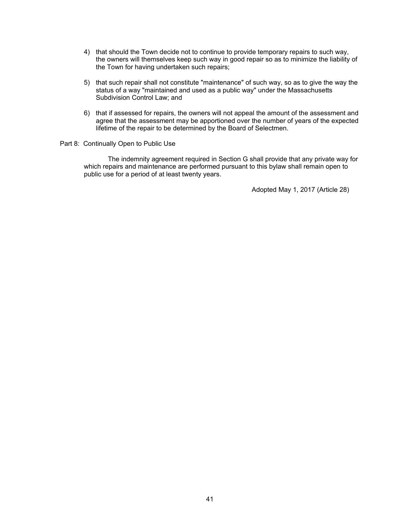- 4) that should the Town decide not to continue to provide temporary repairs to such way, the owners will themselves keep such way in good repair so as to minimize the liability of the Town for having undertaken such repairs;
- 5) that such repair shall not constitute "maintenance" of such way, so as to give the way the status of a way "maintained and used as a public way" under the Massachusetts Subdivision Control Law; and
- 6) that if assessed for repairs, the owners will not appeal the amount of the assessment and agree that the assessment may be apportioned over the number of years of the expected lifetime of the repair to be determined by the Board of Selectmen.

### Part 8: Continually Open to Public Use

The indemnity agreement required in Section G shall provide that any private way for which repairs and maintenance are performed pursuant to this bylaw shall remain open to public use for a period of at least twenty years.

Adopted May 1, 2017 (Article 28)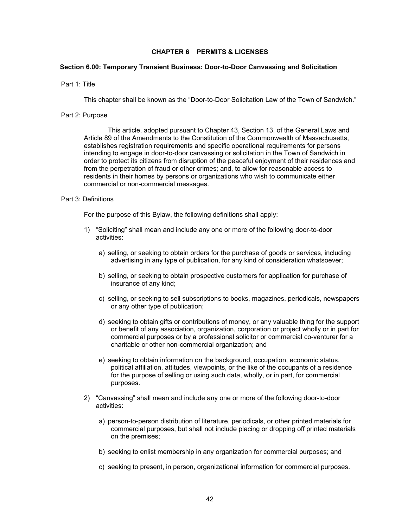## **CHAPTER 6 PERMITS & LICENSES**

#### **Section 6.00: Temporary Transient Business: Door-to-Door Canvassing and Solicitation**

#### Part 1: Title

This chapter shall be known as the "Door-to-Door Solicitation Law of the Town of Sandwich."

#### Part 2: Purpose

This article, adopted pursuant to Chapter 43, Section 13, of the General Laws and Article 89 of the Amendments to the Constitution of the Commonwealth of Massachusetts, establishes registration requirements and specific operational requirements for persons intending to engage in door-to-door canvassing or solicitation in the Town of Sandwich in order to protect its citizens from disruption of the peaceful enjoyment of their residences and from the perpetration of fraud or other crimes; and, to allow for reasonable access to residents in their homes by persons or organizations who wish to communicate either commercial or non-commercial messages.

# Part 3: Definitions

For the purpose of this Bylaw, the following definitions shall apply:

- 1) "Soliciting" shall mean and include any one or more of the following door-to-door activities:
	- a) selling, or seeking to obtain orders for the purchase of goods or services, including advertising in any type of publication, for any kind of consideration whatsoever;
	- b) selling, or seeking to obtain prospective customers for application for purchase of insurance of any kind;
	- c) selling, or seeking to sell subscriptions to books, magazines, periodicals, newspapers or any other type of publication;
	- d) seeking to obtain gifts or contributions of money, or any valuable thing for the support or benefit of any association, organization, corporation or project wholly or in part for commercial purposes or by a professional solicitor or commercial co-venturer for a charitable or other non-commercial organization; and
	- e) seeking to obtain information on the background, occupation, economic status, political affiliation, attitudes, viewpoints, or the like of the occupants of a residence for the purpose of selling or using such data, wholly, or in part, for commercial purposes.
- 2) "Canvassing" shall mean and include any one or more of the following door-to-door activities:
	- a) person-to-person distribution of literature, periodicals, or other printed materials for commercial purposes, but shall not include placing or dropping off printed materials on the premises;
	- b) seeking to enlist membership in any organization for commercial purposes; and
	- c) seeking to present, in person, organizational information for commercial purposes.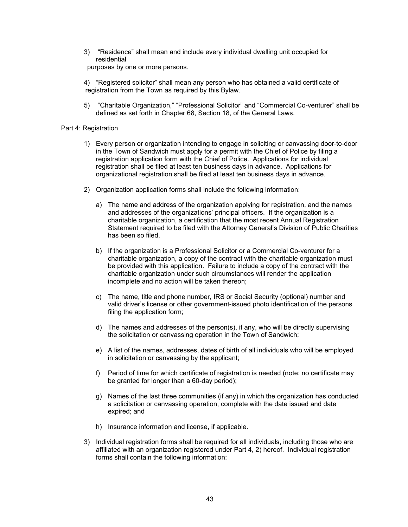3) "Residence" shall mean and include every individual dwelling unit occupied for residential

purposes by one or more persons.

4) "Registered solicitor" shall mean any person who has obtained a valid certificate of registration from the Town as required by this Bylaw.

5) "Charitable Organization," "Professional Solicitor" and "Commercial Co-venturer" shall be defined as set forth in Chapter 68, Section 18, of the General Laws.

## Part 4: Registration

- 1) Every person or organization intending to engage in soliciting or canvassing door-to-door in the Town of Sandwich must apply for a permit with the Chief of Police by filing a registration application form with the Chief of Police. Applications for individual registration shall be filed at least ten business days in advance. Applications for organizational registration shall be filed at least ten business days in advance.
- 2) Organization application forms shall include the following information:
	- a) The name and address of the organization applying for registration, and the names and addresses of the organizations' principal officers. If the organization is a charitable organization, a certification that the most recent Annual Registration Statement required to be filed with the Attorney General's Division of Public Charities has been so filed.
	- b) If the organization is a Professional Solicitor or a Commercial Co-venturer for a charitable organization, a copy of the contract with the charitable organization must be provided with this application. Failure to include a copy of the contract with the charitable organization under such circumstances will render the application incomplete and no action will be taken thereon;
	- c) The name, title and phone number, IRS or Social Security (optional) number and valid driver's license or other government-issued photo identification of the persons filing the application form;
	- d) The names and addresses of the person(s), if any, who will be directly supervising the solicitation or canvassing operation in the Town of Sandwich;
	- e) A list of the names, addresses, dates of birth of all individuals who will be employed in solicitation or canvassing by the applicant;
	- f) Period of time for which certificate of registration is needed (note: no certificate may be granted for longer than a 60-day period);
	- g) Names of the last three communities (if any) in which the organization has conducted a solicitation or canvassing operation, complete with the date issued and date expired; and
	- h) Insurance information and license, if applicable.
- 3) Individual registration forms shall be required for all individuals, including those who are affiliated with an organization registered under Part 4, 2) hereof. Individual registration forms shall contain the following information: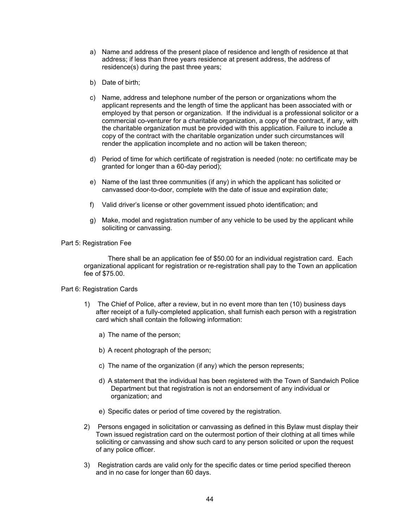- a) Name and address of the present place of residence and length of residence at that address; if less than three years residence at present address, the address of residence(s) during the past three years;
- b) Date of birth;
- c) Name, address and telephone number of the person or organizations whom the applicant represents and the length of time the applicant has been associated with or employed by that person or organization. If the individual is a professional solicitor or a commercial co-venturer for a charitable organization, a copy of the contract, if any, with the charitable organization must be provided with this application. Failure to include a copy of the contract with the charitable organization under such circumstances will render the application incomplete and no action will be taken thereon;
- d) Period of time for which certificate of registration is needed (note: no certificate may be granted for longer than a 60-day period);
- e) Name of the last three communities (if any) in which the applicant has solicited or canvassed door-to-door, complete with the date of issue and expiration date;
- f) Valid driver's license or other government issued photo identification; and
- g) Make, model and registration number of any vehicle to be used by the applicant while soliciting or canvassing.

### Part 5: Registration Fee

There shall be an application fee of \$50.00 for an individual registration card. Each organizational applicant for registration or re-registration shall pay to the Town an application fee of \$75.00.

## Part 6: Registration Cards

- 1) The Chief of Police, after a review, but in no event more than ten (10) business days after receipt of a fully-completed application, shall furnish each person with a registration card which shall contain the following information:
	- a) The name of the person;
	- b) A recent photograph of the person;
	- c) The name of the organization (if any) which the person represents;
	- d) A statement that the individual has been registered with the Town of Sandwich Police Department but that registration is not an endorsement of any individual or organization; and
	- e) Specific dates or period of time covered by the registration.
- 2) Persons engaged in solicitation or canvassing as defined in this Bylaw must display their Town issued registration card on the outermost portion of their clothing at all times while soliciting or canvassing and show such card to any person solicited or upon the request of any police officer.
- 3) Registration cards are valid only for the specific dates or time period specified thereon and in no case for longer than 60 days.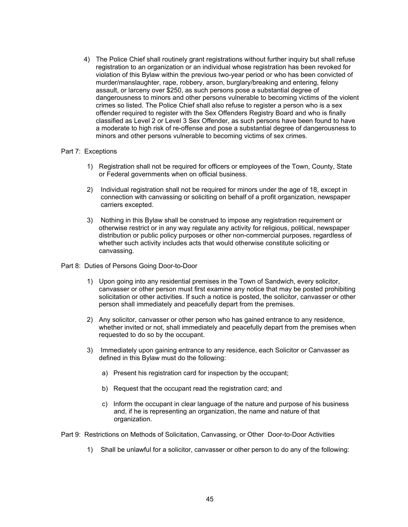4) The Police Chief shall routinely grant registrations without further inquiry but shall refuse registration to an organization or an individual whose registration has been revoked for violation of this Bylaw within the previous two-year period or who has been convicted of murder/manslaughter, rape, robbery, arson, burglary/breaking and entering, felony assault, or larceny over \$250, as such persons pose a substantial degree of dangerousness to minors and other persons vulnerable to becoming victims of the violent crimes so listed. The Police Chief shall also refuse to register a person who is a sex offender required to register with the Sex Offenders Registry Board and who is finally classified as Level 2 or Level 3 Sex Offender, as such persons have been found to have a moderate to high risk of re-offense and pose a substantial degree of dangerousness to minors and other persons vulnerable to becoming victims of sex crimes.

### Part 7: Exceptions

- 1) Registration shall not be required for officers or employees of the Town, County, State or Federal governments when on official business.
- 2) Individual registration shall not be required for minors under the age of 18, except in connection with canvassing or soliciting on behalf of a profit organization, newspaper carriers excepted.
- 3) Nothing in this Bylaw shall be construed to impose any registration requirement or otherwise restrict or in any way regulate any activity for religious, political, newspaper distribution or public policy purposes or other non-commercial purposes, regardless of whether such activity includes acts that would otherwise constitute soliciting or canvassing.
- Part 8: Duties of Persons Going Door-to-Door
	- 1) Upon going into any residential premises in the Town of Sandwich, every solicitor, canvasser or other person must first examine any notice that may be posted prohibiting solicitation or other activities. If such a notice is posted, the solicitor, canvasser or other person shall immediately and peacefully depart from the premises.
	- 2) Any solicitor, canvasser or other person who has gained entrance to any residence, whether invited or not, shall immediately and peacefully depart from the premises when requested to do so by the occupant.
	- 3) Immediately upon gaining entrance to any residence, each Solicitor or Canvasser as defined in this Bylaw must do the following:
		- a) Present his registration card for inspection by the occupant;
		- b) Request that the occupant read the registration card; and
		- c) Inform the occupant in clear language of the nature and purpose of his business and, if he is representing an organization, the name and nature of that organization.
- Part 9: Restrictions on Methods of Solicitation, Canvassing, or Other Door-to-Door Activities
	- 1) Shall be unlawful for a solicitor, canvasser or other person to do any of the following: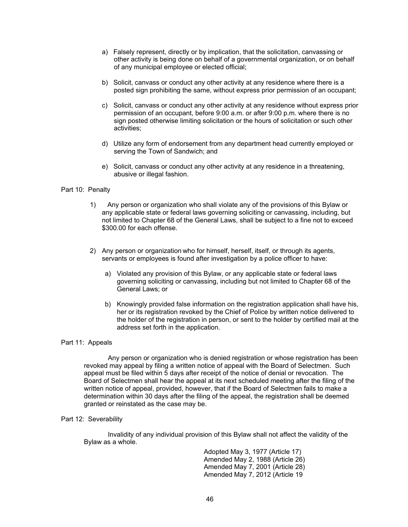- a) Falsely represent, directly or by implication, that the solicitation, canvassing or other activity is being done on behalf of a governmental organization, or on behalf of any municipal employee or elected official;
- b) Solicit, canvass or conduct any other activity at any residence where there is a posted sign prohibiting the same, without express prior permission of an occupant;
- c) Solicit, canvass or conduct any other activity at any residence without express prior permission of an occupant, before 9:00 a.m. or after 9:00 p.m. where there is no sign posted otherwise limiting solicitation or the hours of solicitation or such other activities;
- d) Utilize any form of endorsement from any department head currently employed or serving the Town of Sandwich; and
- e) Solicit, canvass or conduct any other activity at any residence in a threatening, abusive or illegal fashion.

## Part 10: Penalty

- 1) Any person or organization who shall violate any of the provisions of this Bylaw or any applicable state or federal laws governing soliciting or canvassing, including, but not limited to Chapter 68 of the General Laws, shall be subject to a fine not to exceed \$300.00 for each offense.
- 2) Any person or organization who for himself, herself, itself, or through its agents, servants or employees is found after investigation by a police officer to have:
	- a) Violated any provision of this Bylaw, or any applicable state or federal laws governing soliciting or canvassing, including but not limited to Chapter 68 of the General Laws; or
	- b) Knowingly provided false information on the registration application shall have his, her or its registration revoked by the Chief of Police by written notice delivered to the holder of the registration in person, or sent to the holder by certified mail at the address set forth in the application.

## Part 11: Appeals

Any person or organization who is denied registration or whose registration has been revoked may appeal by filing a written notice of appeal with the Board of Selectmen. Such appeal must be filed within 5 days after receipt of the notice of denial or revocation. The Board of Selectmen shall hear the appeal at its next scheduled meeting after the filing of the written notice of appeal, provided, however, that if the Board of Selectmen fails to make a determination within 30 days after the filing of the appeal, the registration shall be deemed granted or reinstated as the case may be.

## Part 12: Severability

Invalidity of any individual provision of this Bylaw shall not affect the validity of the Bylaw as a whole.

> Adopted May 3, 1977 (Article 17) Amended May 2, 1988 (Article 26) Amended May 7, 2001 (Article 28) Amended May 7, 2012 (Article 19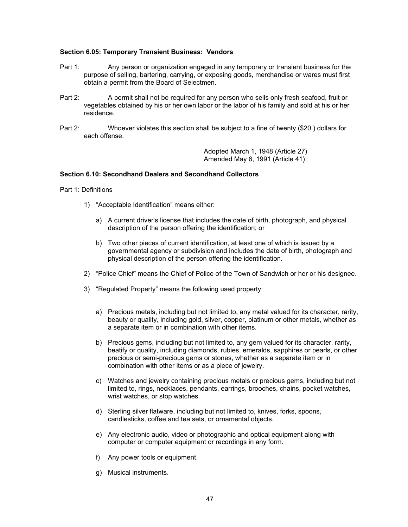## **Section 6.05: Temporary Transient Business: Vendors**

- Part 1:Any person or organization engaged in any temporary or transient business for the purpose of selling, bartering, carrying, or exposing goods, merchandise or wares must first obtain a permit from the Board of Selectmen.
- Part 2: A permit shall not be required for any person who sells only fresh seafood, fruit or vegetables obtained by his or her own labor or the labor of his family and sold at his or her residence.
- Part 2: Whoever violates this section shall be subject to a fine of twenty (\$20.) dollars for each offense.

 Adopted March 1, 1948 (Article 27) Amended May 6, 1991 (Article 41)

# **Section 6.10: Secondhand Dealers and Secondhand Collectors**

Part 1: Definitions

- 1) "Acceptable Identification" means either:
	- a) A current driver's license that includes the date of birth, photograph, and physical description of the person offering the identification; or
	- b) Two other pieces of current identification, at least one of which is issued by a governmental agency or subdivision and includes the date of birth, photograph and physical description of the person offering the identification.
- 2) "Police Chief" means the Chief of Police of the Town of Sandwich or her or his designee.
- 3) "Regulated Property" means the following used property:
	- a) Precious metals, including but not limited to, any metal valued for its character, rarity, beauty or quality, including gold, silver, copper, platinum or other metals, whether as a separate item or in combination with other items.
	- b) Precious gems, including but not limited to, any gem valued for its character, rarity, beatify or quality, including diamonds, rubies, emeralds, sapphires or pearls, or other precious or semi-precious gems or stones, whether as a separate item or in combination with other items or as a piece of jewelry.
	- c) Watches and jewelry containing precious metals or precious gems, including but not limited to, rings, necklaces, pendants, earrings, brooches, chains, pocket watches, wrist watches, or stop watches.
	- d) Sterling silver flatware, including but not limited to, knives, forks, spoons, candlesticks, coffee and tea sets, or ornamental objects.
	- e) Any electronic audio, video or photographic and optical equipment along with computer or computer equipment or recordings in any form.
	- f) Any power tools or equipment.
	- g) Musical instruments.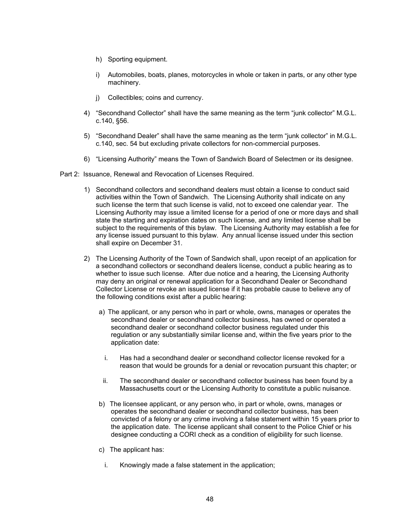- h) Sporting equipment.
- i) Automobiles, boats, planes, motorcycles in whole or taken in parts, or any other type machinery.
- j) Collectibles; coins and currency.
- 4) "Secondhand Collector" shall have the same meaning as the term "junk collector" M.G.L. c.140, §56.
- 5) "Secondhand Dealer" shall have the same meaning as the term "junk collector" in M.G.L. c.140, sec. 54 but excluding private collectors for non-commercial purposes.
- 6) "Licensing Authority" means the Town of Sandwich Board of Selectmen or its designee.

Part 2: Issuance, Renewal and Revocation of Licenses Required.

- 1) Secondhand collectors and secondhand dealers must obtain a license to conduct said activities within the Town of Sandwich. The Licensing Authority shall indicate on any such license the term that such license is valid, not to exceed one calendar year. The Licensing Authority may issue a limited license for a period of one or more days and shall state the starting and expiration dates on such license, and any limited license shall be subject to the requirements of this bylaw. The Licensing Authority may establish a fee for any license issued pursuant to this bylaw. Any annual license issued under this section shall expire on December 31.
- 2) The Licensing Authority of the Town of Sandwich shall, upon receipt of an application for a secondhand collectors or secondhand dealers license, conduct a public hearing as to whether to issue such license. After due notice and a hearing, the Licensing Authority may deny an original or renewal application for a Secondhand Dealer or Secondhand Collector License or revoke an issued license if it has probable cause to believe any of the following conditions exist after a public hearing:
	- a) The applicant, or any person who in part or whole, owns, manages or operates the secondhand dealer or secondhand collector business, has owned or operated a secondhand dealer or secondhand collector business regulated under this regulation or any substantially similar license and, within the five years prior to the application date:
		- i. Has had a secondhand dealer or secondhand collector license revoked for a reason that would be grounds for a denial or revocation pursuant this chapter; or
		- ii. The secondhand dealer or secondhand collector business has been found by a Massachusetts court or the Licensing Authority to constitute a public nuisance.
	- b) The licensee applicant, or any person who, in part or whole, owns, manages or operates the secondhand dealer or secondhand collector business, has been convicted of a felony or any crime involving a false statement within 15 years prior to the application date. The license applicant shall consent to the Police Chief or his designee conducting a CORI check as a condition of eligibility for such license.
	- c) The applicant has:
	- i. Knowingly made a false statement in the application;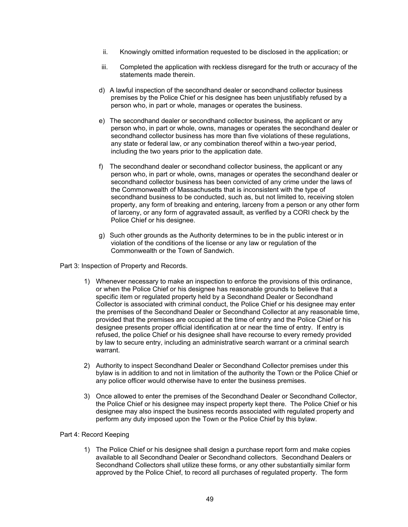- ii. Knowingly omitted information requested to be disclosed in the application; or
- iii. Completed the application with reckless disregard for the truth or accuracy of the statements made therein.
- d) A lawful inspection of the secondhand dealer or secondhand collector business premises by the Police Chief or his designee has been unjustifiably refused by a person who, in part or whole, manages or operates the business.
- e) The secondhand dealer or secondhand collector business, the applicant or any person who, in part or whole, owns, manages or operates the secondhand dealer or secondhand collector business has more than five violations of these regulations, any state or federal law, or any combination thereof within a two-year period, including the two years prior to the application date.
- f) The secondhand dealer or secondhand collector business, the applicant or any person who, in part or whole, owns, manages or operates the secondhand dealer or secondhand collector business has been convicted of any crime under the laws of the Commonwealth of Massachusetts that is inconsistent with the type of secondhand business to be conducted, such as, but not limited to, receiving stolen property, any form of breaking and entering, larceny from a person or any other form of larceny, or any form of aggravated assault, as verified by a CORI check by the Police Chief or his designee.
- g) Such other grounds as the Authority determines to be in the public interest or in violation of the conditions of the license or any law or regulation of the Commonwealth or the Town of Sandwich.

Part 3: Inspection of Property and Records.

- 1) Whenever necessary to make an inspection to enforce the provisions of this ordinance, or when the Police Chief or his designee has reasonable grounds to believe that a specific item or regulated property held by a Secondhand Dealer or Secondhand Collector is associated with criminal conduct, the Police Chief or his designee may enter the premises of the Secondhand Dealer or Secondhand Collector at any reasonable time, provided that the premises are occupied at the time of entry and the Police Chief or his designee presents proper official identification at or near the time of entry. If entry is refused, the police Chief or his designee shall have recourse to every remedy provided by law to secure entry, including an administrative search warrant or a criminal search warrant.
- 2) Authority to inspect Secondhand Dealer or Secondhand Collector premises under this bylaw is in addition to and not in limitation of the authority the Town or the Police Chief or any police officer would otherwise have to enter the business premises.
- 3) Once allowed to enter the premises of the Secondhand Dealer or Secondhand Collector, the Police Chief or his designee may inspect property kept there. The Police Chief or his designee may also inspect the business records associated with regulated property and perform any duty imposed upon the Town or the Police Chief by this bylaw.

## Part 4: Record Keeping

1) The Police Chief or his designee shall design a purchase report form and make copies available to all Secondhand Dealer or Secondhand collectors. Secondhand Dealers or Secondhand Collectors shall utilize these forms, or any other substantially similar form approved by the Police Chief, to record all purchases of regulated property. The form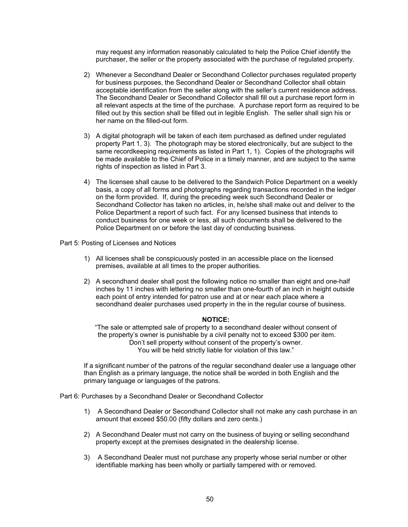may request any information reasonably calculated to help the Police Chief identify the purchaser, the seller or the property associated with the purchase of regulated property.

- 2) Whenever a Secondhand Dealer or Secondhand Collector purchases regulated property for business purposes, the Secondhand Dealer or Secondhand Collector shall obtain acceptable identification from the seller along with the seller's current residence address. The Secondhand Dealer or Secondhand Collector shall fill out a purchase report form in all relevant aspects at the time of the purchase. A purchase report form as required to be filled out by this section shall be filled out in legible English. The seller shall sign his or her name on the filled-out form.
- 3) A digital photograph will be taken of each item purchased as defined under regulated property Part 1, 3). The photograph may be stored electronically, but are subject to the same recordkeeping requirements as listed in Part 1, 1). Copies of the photographs will be made available to the Chief of Police in a timely manner, and are subject to the same rights of inspection as listed in Part 3.
- 4) The licensee shall cause to be delivered to the Sandwich Police Department on a weekly basis, a copy of all forms and photographs regarding transactions recorded in the ledger on the form provided. If, during the preceding week such Secondhand Dealer or Secondhand Collector has taken no articles, in, he/she shall make out and deliver to the Police Department a report of such fact. For any licensed business that intends to conduct business for one week or less, all such documents shall be delivered to the Police Department on or before the last day of conducting business.

Part 5: Posting of Licenses and Notices

- 1) All licenses shall be conspicuously posted in an accessible place on the licensed premises, available at all times to the proper authorities.
- 2) A secondhand dealer shall post the following notice no smaller than eight and one-half inches by 11 inches with lettering no smaller than one-fourth of an inch in height outside each point of entry intended for patron use and at or near each place where a secondhand dealer purchases used property in the in the regular course of business.

#### **NOTICE:**

"The sale or attempted sale of property to a secondhand dealer without consent of the property's owner is punishable by a civil penalty not to exceed \$300 per item. Don't sell property without consent of the property's owner. You will be held strictly liable for violation of this law."

If a significant number of the patrons of the regular secondhand dealer use a language other than English as a primary language, the notice shall be worded in both English and the primary language or languages of the patrons.

Part 6: Purchases by a Secondhand Dealer or Secondhand Collector

- 1) A Secondhand Dealer or Secondhand Collector shall not make any cash purchase in an amount that exceed \$50.00 (fifty dollars and zero cents.)
- 2) A Secondhand Dealer must not carry on the business of buying or selling secondhand property except at the premises designated in the dealership license.
- 3) A Secondhand Dealer must not purchase any property whose serial number or other identifiable marking has been wholly or partially tampered with or removed.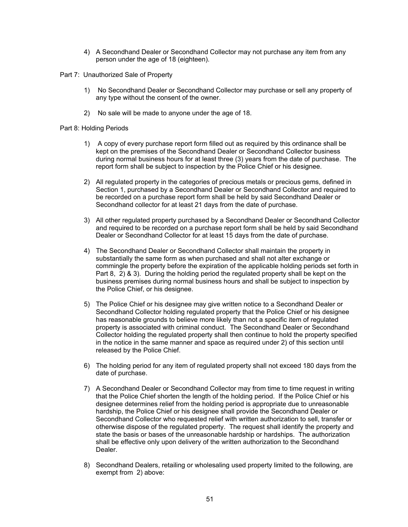- 4) A Secondhand Dealer or Secondhand Collector may not purchase any item from any person under the age of 18 (eighteen).
- Part 7: Unauthorized Sale of Property
	- 1) No Secondhand Dealer or Secondhand Collector may purchase or sell any property of any type without the consent of the owner.
	- 2) No sale will be made to anyone under the age of 18.

# Part 8: Holding Periods

- 1) A copy of every purchase report form filled out as required by this ordinance shall be kept on the premises of the Secondhand Dealer or Secondhand Collector business during normal business hours for at least three (3) years from the date of purchase. The report form shall be subject to inspection by the Police Chief or his designee.
- 2) All regulated property in the categories of precious metals or precious gems, defined in Section 1, purchased by a Secondhand Dealer or Secondhand Collector and required to be recorded on a purchase report form shall be held by said Secondhand Dealer or Secondhand collector for at least 21 days from the date of purchase.
- 3) All other regulated property purchased by a Secondhand Dealer or Secondhand Collector and required to be recorded on a purchase report form shall be held by said Secondhand Dealer or Secondhand Collector for at least 15 days from the date of purchase.
- 4) The Secondhand Dealer or Secondhand Collector shall maintain the property in substantially the same form as when purchased and shall not alter exchange or commingle the property before the expiration of the applicable holding periods set forth in Part 8, 2) & 3). During the holding period the regulated property shall be kept on the business premises during normal business hours and shall be subject to inspection by the Police Chief, or his designee.
- 5) The Police Chief or his designee may give written notice to a Secondhand Dealer or Secondhand Collector holding regulated property that the Police Chief or his designee has reasonable grounds to believe more likely than not a specific item of regulated property is associated with criminal conduct. The Secondhand Dealer or Secondhand Collector holding the regulated property shall then continue to hold the property specified in the notice in the same manner and space as required under 2) of this section until released by the Police Chief.
- 6) The holding period for any item of regulated property shall not exceed 180 days from the date of purchase.
- 7) A Secondhand Dealer or Secondhand Collector may from time to time request in writing that the Police Chief shorten the length of the holding period. If the Police Chief or his designee determines relief from the holding period is appropriate due to unreasonable hardship, the Police Chief or his designee shall provide the Secondhand Dealer or Secondhand Collector who requested relief with written authorization to sell, transfer or otherwise dispose of the regulated property. The request shall identify the property and state the basis or bases of the unreasonable hardship or hardships. The authorization shall be effective only upon delivery of the written authorization to the Secondhand Dealer.
- 8) Secondhand Dealers, retailing or wholesaling used property limited to the following, are exempt from 2) above: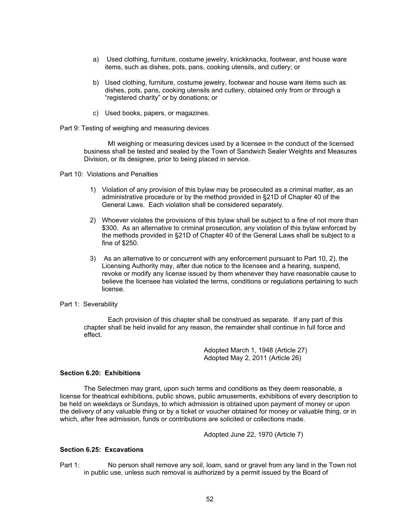- a) Used clothing, furniture, costume jewelry, knickknacks, footwear, and house ware items, such as dishes, pots, pans, cooking utensils, and cutlery; or
- b) Used clothing, furniture, costume jewelry, footwear and house ware items such as dishes, pots, pans, cooking utensils and cutlery, obtained only from or through a "registered charity" or by donations; or
- c) Used books, papers, or magazines.
- Part 9: Testing of weighing and measuring devices

MI weighing or measuring devices used by a licensee in the conduct of the licensed business shall be tested and sealed by the Town of Sandwich Sealer Weights and Measures Division, or its designee, prior to being placed in service.

Part 10: Violations and Penalties

- 1) Violation of any provision of this bylaw may be prosecuted as a criminal matter, as an administrative procedure or by the method provided in §21D of Chapter 40 of the General Laws. Each violation shall be considered separately.
- 2) Whoever violates the provisions of this bylaw shall be subject to a fine of not more than \$300. As an alternative to criminal prosecution, any violation of this bylaw enforced by the methods provided in §21D of Chapter 40 of the General Laws shall be subject to a fine of \$250.
- 3) As an alternative to or concurrent with any enforcement pursuant to Part 10, 2), the Licensing Authority may, after due notice to the licensee and a hearing, suspend, revoke or modify any license issued by them whenever they have reasonable cause to believe the licensee has violated the terms, conditions or regulations pertaining to such license.

#### Part 1: Severability

Each provision of this chapter shall be construed as separate. If any part of this chapter shall be held invalid for any reason, the remainder shall continue in full force and effect.

> Adopted March 1, 1948 (Article 27) Adopted May 2, 2011 (Article 26)

### **Section 6.20: Exhibitions**

The Selectmen may grant, upon such terms and conditions as they deem reasonable, a license for theatrical exhibitions, public shows, public amusements, exhibitions of every description to be held on weekdays or Sundays, to which admission is obtained upon payment of money or upon the delivery of any valuable thing or by a ticket or voucher obtained for money or valuable thing, or in which, after free admission, funds or contributions are solicited or collections made.

Adopted June 22, 1970 (Article 7)

# **Section 6.25: Excavations**

Part 1: No person shall remove any soil, loam, sand or gravel from any land in the Town not in public use, unless such removal is authorized by a permit issued by the Board of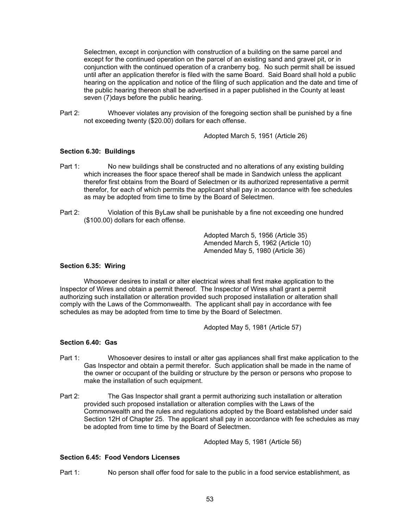Selectmen, except in conjunction with construction of a building on the same parcel and except for the continued operation on the parcel of an existing sand and gravel pit, or in conjunction with the continued operation of a cranberry bog. No such permit shall be issued until after an application therefor is filed with the same Board. Said Board shall hold a public hearing on the application and notice of the filing of such application and the date and time of the public hearing thereon shall be advertised in a paper published in the County at least seven (7)days before the public hearing.

Part 2: Whoever violates any provision of the foregoing section shall be punished by a fine not exceeding twenty (\$20.00) dollars for each offense.

Adopted March 5, 1951 (Article 26)

# **Section 6.30: Buildings**

- Part 1: No new buildings shall be constructed and no alterations of any existing building which increases the floor space thereof shall be made in Sandwich unless the applicant therefor first obtains from the Board of Selectmen or its authorized representative a permit therefor, for each of which permits the applicant shall pay in accordance with fee schedules as may be adopted from time to time by the Board of Selectmen.
- Part 2: Violation of this ByLaw shall be punishable by a fine not exceeding one hundred (\$100.00) dollars for each offense.

Adopted March 5, 1956 (Article 35) Amended March 5, 1962 (Article 10) Amended May 5, 1980 (Article 36)

## **Section 6.35: Wiring**

 Whosoever desires to install or alter electrical wires shall first make application to the Inspector of Wires and obtain a permit thereof. The Inspector of Wires shall grant a permit authorizing such installation or alteration provided such proposed installation or alteration shall comply with the Laws of the Commonwealth. The applicant shall pay in accordance with fee schedules as may be adopted from time to time by the Board of Selectmen.

Adopted May 5, 1981 (Article 57)

# **Section 6.40: Gas**

- Part 1: Whosoever desires to install or alter gas appliances shall first make application to the Gas Inspector and obtain a permit therefor. Such application shall be made in the name of the owner or occupant of the building or structure by the person or persons who propose to make the installation of such equipment.
- Part 2: The Gas Inspector shall grant a permit authorizing such installation or alteration provided such proposed installation or alteration complies with the Laws of the Commonwealth and the rules and regulations adopted by the Board established under said Section 12H of Chapter 25. The applicant shall pay in accordance with fee schedules as may be adopted from time to time by the Board of Selectmen.

Adopted May 5, 1981 (Article 56)

# **Section 6.45: Food Vendors Licenses**

Part 1: No person shall offer food for sale to the public in a food service establishment, as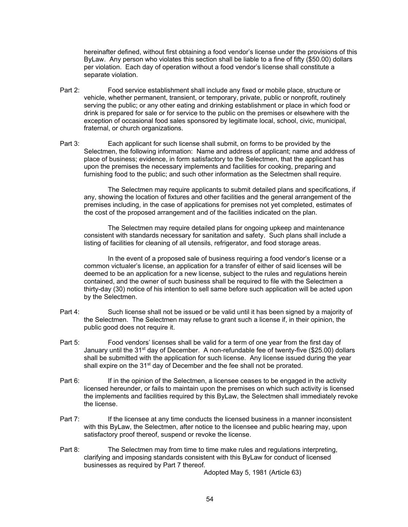hereinafter defined, without first obtaining a food vendor's license under the provisions of this ByLaw. Any person who violates this section shall be liable to a fine of fifty (\$50.00) dollars per violation. Each day of operation without a food vendor's license shall constitute a separate violation.

- Part 2: Food service establishment shall include any fixed or mobile place, structure or vehicle, whether permanent, transient, or temporary, private, public or nonprofit, routinely serving the public; or any other eating and drinking establishment or place in which food or drink is prepared for sale or for service to the public on the premises or elsewhere with the exception of occasional food sales sponsored by legitimate local, school, civic, municipal, fraternal, or church organizations.
- Part 3: Each applicant for such license shall submit, on forms to be provided by the Selectmen, the following information: Name and address of applicant; name and address of place of business; evidence, in form satisfactory to the Selectmen, that the applicant has upon the premises the necessary implements and facilities for cooking, preparing and furnishing food to the public; and such other information as the Selectmen shall require.

The Selectmen may require applicants to submit detailed plans and specifications, if any, showing the location of fixtures and other facilities and the general arrangement of the premises including, in the case of applications for premises not yet completed, estimates of the cost of the proposed arrangement and of the facilities indicated on the plan.

The Selectmen may require detailed plans for ongoing upkeep and maintenance consistent with standards necessary for sanitation and safety. Such plans shall include a listing of facilities for cleaning of all utensils, refrigerator, and food storage areas.

In the event of a proposed sale of business requiring a food vendor's license or a common victualer's license, an application for a transfer of either of said licenses will be deemed to be an application for a new license, subject to the rules and regulations herein contained, and the owner of such business shall be required to file with the Selectmen a thirty-day (30) notice of his intention to sell same before such application will be acted upon by the Selectmen.

- Part 4: Such license shall not be issued or be valid until it has been signed by a majority of the Selectmen. The Selectmen may refuse to grant such a license if, in their opinion, the public good does not require it.
- Part 5: Food vendors' licenses shall be valid for a term of one year from the first day of January until the 31<sup>st</sup> day of December. A non-refundable fee of twenty-five (\$25.00) dollars shall be submitted with the application for such license. Any license issued during the year shall expire on the 31<sup>st</sup> day of December and the fee shall not be prorated.
- Part 6: If in the opinion of the Selectmen, a licensee ceases to be engaged in the activity licensed hereunder, or fails to maintain upon the premises on which such activity is licensed the implements and facilities required by this ByLaw, the Selectmen shall immediately revoke the license.
- Part 7: If the licensee at any time conducts the licensed business in a manner inconsistent with this ByLaw, the Selectmen, after notice to the licensee and public hearing may, upon satisfactory proof thereof, suspend or revoke the license.
- Part 8: The Selectmen may from time to time make rules and regulations interpreting, clarifying and imposing standards consistent with this ByLaw for conduct of licensed businesses as required by Part 7 thereof.

Adopted May 5, 1981 (Article 63)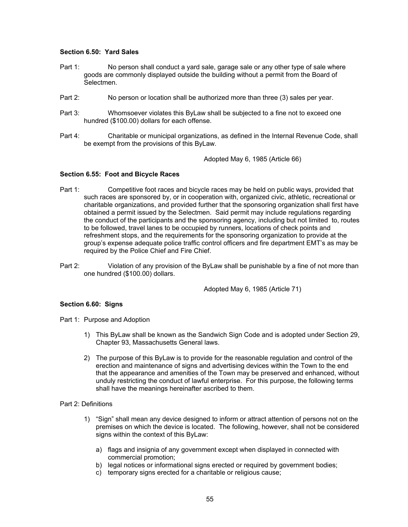### **Section 6.50: Yard Sales**

- Part 1: No person shall conduct a yard sale, garage sale or any other type of sale where goods are commonly displayed outside the building without a permit from the Board of Selectmen.
- Part 2: No person or location shall be authorized more than three (3) sales per year.
- Part 3: Whomsoever violates this ByLaw shall be subjected to a fine not to exceed one hundred (\$100.00) dollars for each offense.
- Part 4: Charitable or municipal organizations, as defined in the Internal Revenue Code, shall be exempt from the provisions of this ByLaw.

Adopted May 6, 1985 (Article 66)

### **Section 6.55: Foot and Bicycle Races**

- Part 1: Competitive foot races and bicycle races may be held on public ways, provided that such races are sponsored by, or in cooperation with, organized civic, athletic, recreational or charitable organizations, and provided further that the sponsoring organization shall first have obtained a permit issued by the Selectmen. Said permit may include regulations regarding the conduct of the participants and the sponsoring agency, including but not limited to, routes to be followed, travel lanes to be occupied by runners, locations of check points and refreshment stops, and the requirements for the sponsoring organization to provide at the group's expense adequate police traffic control officers and fire department EMT's as may be required by the Police Chief and Fire Chief.
- Part 2: Violation of any provision of the ByLaw shall be punishable by a fine of not more than one hundred (\$100.00) dollars.

Adopted May 6, 1985 (Article 71)

## **Section 6.60: Signs**

- Part 1: Purpose and Adoption
	- 1) This ByLaw shall be known as the Sandwich Sign Code and is adopted under Section 29, Chapter 93, Massachusetts General laws.
	- 2) The purpose of this ByLaw is to provide for the reasonable regulation and control of the erection and maintenance of signs and advertising devices within the Town to the end that the appearance and amenities of the Town may be preserved and enhanced, without unduly restricting the conduct of lawful enterprise. For this purpose, the following terms shall have the meanings hereinafter ascribed to them.

#### Part 2: Definitions

- 1) "Sign" shall mean any device designed to inform or attract attention of persons not on the premises on which the device is located. The following, however, shall not be considered signs within the context of this ByLaw:
	- a) flags and insignia of any government except when displayed in connected with commercial promotion;
	- b) legal notices or informational signs erected or required by government bodies;
	- c) temporary signs erected for a charitable or religious cause;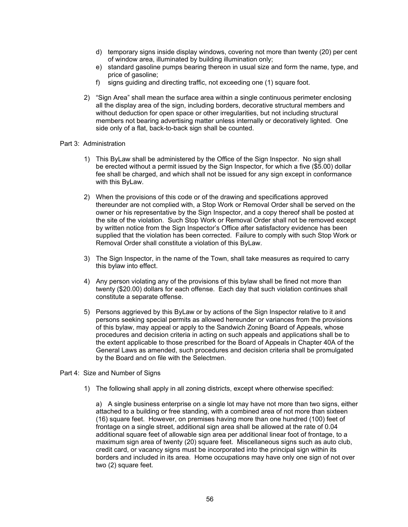- d) temporary signs inside display windows, covering not more than twenty (20) per cent of window area, illuminated by building illumination only;
- e) standard gasoline pumps bearing thereon in usual size and form the name, type, and price of gasoline;
- f) signs guiding and directing traffic, not exceeding one (1) square foot.
- 2) "Sign Area" shall mean the surface area within a single continuous perimeter enclosing all the display area of the sign, including borders, decorative structural members and without deduction for open space or other irregularities, but not including structural members not bearing advertising matter unless internally or decoratively lighted. One side only of a flat, back-to-back sign shall be counted.

## Part 3: Administration

- 1) This ByLaw shall be administered by the Office of the Sign Inspector. No sign shall be erected without a permit issued by the Sign Inspector, for which a five (\$5.00) dollar fee shall be charged, and which shall not be issued for any sign except in conformance with this ByLaw.
- 2) When the provisions of this code or of the drawing and specifications approved thereunder are not complied with, a Stop Work or Removal Order shall be served on the owner or his representative by the Sign Inspector, and a copy thereof shall be posted at the site of the violation. Such Stop Work or Removal Order shall not be removed except by written notice from the Sign Inspector's Office after satisfactory evidence has been supplied that the violation has been corrected. Failure to comply with such Stop Work or Removal Order shall constitute a violation of this ByLaw.
- 3) The Sign Inspector, in the name of the Town, shall take measures as required to carry this bylaw into effect.
- 4) Any person violating any of the provisions of this bylaw shall be fined not more than twenty (\$20.00) dollars for each offense. Each day that such violation continues shall constitute a separate offense.
- 5) Persons aggrieved by this ByLaw or by actions of the Sign Inspector relative to it and persons seeking special permits as allowed hereunder or variances from the provisions of this bylaw, may appeal or apply to the Sandwich Zoning Board of Appeals, whose procedures and decision criteria in acting on such appeals and applications shall be to the extent applicable to those prescribed for the Board of Appeals in Chapter 40A of the General Laws as amended, such procedures and decision criteria shall be promulgated by the Board and on file with the Selectmen.

## Part 4: Size and Number of Signs

1) The following shall apply in all zoning districts, except where otherwise specified:

a) A single business enterprise on a single lot may have not more than two signs, either attached to a building or free standing, with a combined area of not more than sixteen (16) square feet. However, on premises having more than one hundred (100) feet of frontage on a single street, additional sign area shall be allowed at the rate of 0.04 additional square feet of allowable sign area per additional linear foot of frontage, to a maximum sign area of twenty (20) square feet. Miscellaneous signs such as auto club, credit card, or vacancy signs must be incorporated into the principal sign within its borders and included in its area. Home occupations may have only one sign of not over two (2) square feet.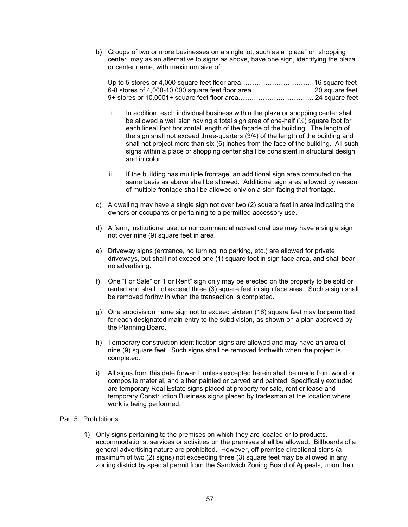b) Groups of two or more businesses on a single lot, such as a "plaza" or "shopping center" may as an alternative to signs as above, have one sign, identifying the plaza or center name, with maximum size of:

- i. In addition, each individual business within the plaza or shopping center shall be allowed a wall sign having a total sign area of one-half (½) square foot for each lineal foot horizontal length of the façade of the building. The length of the sign shall not exceed three-quarters (3/4) of the length of the building and shall not project more than six (6) inches from the face of the building. All such signs within a place or shopping center shall be consistent in structural design and in color.
- ii. If the building has multiple frontage, an additional sign area computed on the same basis as above shall be allowed. Additional sign area allowed by reason of multiple frontage shall be allowed only on a sign facing that frontage.
- c) A dwelling may have a single sign not over two (2) square feet in area indicating the owners or occupants or pertaining to a permitted accessory use.
- d) A farm, institutional use, or noncommercial recreational use may have a single sign not over nine (9) square feet in area.
- e) Driveway signs (entrance, no turning, no parking, etc.) are allowed for private driveways, but shall not exceed one (1) square foot in sign face area, and shall bear no advertising.
- f) One "For Sale" or "For Rent" sign only may be erected on the property to be sold or rented and shall not exceed three (3) square feet in sign face area. Such a sign shall be removed forthwith when the transaction is completed.
- g) One subdivision name sign not to exceed sixteen (16) square feet may be permitted for each designated main entry to the subdivision, as shown on a plan approved by the Planning Board.
- h) Temporary construction identification signs are allowed and may have an area of nine (9) square feet. Such signs shall be removed forthwith when the project is completed.
- i) All signs from this date forward, unless excepted herein shall be made from wood or composite material, and either painted or carved and painted. Specifically excluded are temporary Real Estate signs placed at property for sale, rent or lease and temporary Construction Business signs placed by tradesman at the location where work is being performed.

# Part 5: Prohibitions

1) Only signs pertaining to the premises on which they are located or to products, accommodations, services or activities on the premises shall be allowed. Billboards of a general advertising nature are prohibited. However, off-premise directional signs (a maximum of two (2) signs) not exceeding three (3) square feet may be allowed in any zoning district by special permit from the Sandwich Zoning Board of Appeals, upon their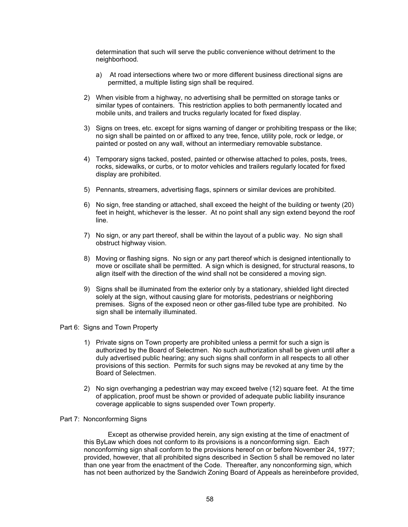determination that such will serve the public convenience without detriment to the neighborhood.

- a) At road intersections where two or more different business directional signs are permitted, a multiple listing sign shall be required.
- 2) When visible from a highway, no advertising shall be permitted on storage tanks or similar types of containers. This restriction applies to both permanently located and mobile units, and trailers and trucks regularly located for fixed display.
- 3) Signs on trees, etc. except for signs warning of danger or prohibiting trespass or the like; no sign shall be painted on or affixed to any tree, fence, utility pole, rock or ledge, or painted or posted on any wall, without an intermediary removable substance.
- 4) Temporary signs tacked, posted, painted or otherwise attached to poles, posts, trees, rocks, sidewalks, or curbs, or to motor vehicles and trailers regularly located for fixed display are prohibited.
- 5) Pennants, streamers, advertising flags, spinners or similar devices are prohibited.
- 6) No sign, free standing or attached, shall exceed the height of the building or twenty (20) feet in height, whichever is the lesser. At no point shall any sign extend beyond the roof line.
- 7) No sign, or any part thereof, shall be within the layout of a public way. No sign shall obstruct highway vision.
- 8) Moving or flashing signs. No sign or any part thereof which is designed intentionally to move or oscillate shall be permitted. A sign which is designed, for structural reasons, to align itself with the direction of the wind shall not be considered a moving sign.
- 9) Signs shall be illuminated from the exterior only by a stationary, shielded light directed solely at the sign, without causing glare for motorists, pedestrians or neighboring premises. Signs of the exposed neon or other gas-filled tube type are prohibited. No sign shall be internally illuminated.

#### Part 6: Signs and Town Property

- 1) Private signs on Town property are prohibited unless a permit for such a sign is authorized by the Board of Selectmen. No such authorization shall be given until after a duly advertised public hearing; any such signs shall conform in all respects to all other provisions of this section. Permits for such signs may be revoked at any time by the Board of Selectmen.
- 2) No sign overhanging a pedestrian way may exceed twelve (12) square feet. At the time of application, proof must be shown or provided of adequate public liability insurance coverage applicable to signs suspended over Town property.

#### Part 7: Nonconforming Signs

Except as otherwise provided herein, any sign existing at the time of enactment of this ByLaw which does not conform to its provisions is a nonconforming sign. Each nonconforming sign shall conform to the provisions hereof on or before November 24, 1977; provided, however, that all prohibited signs described in Section 5 shall be removed no later than one year from the enactment of the Code. Thereafter, any nonconforming sign, which has not been authorized by the Sandwich Zoning Board of Appeals as hereinbefore provided,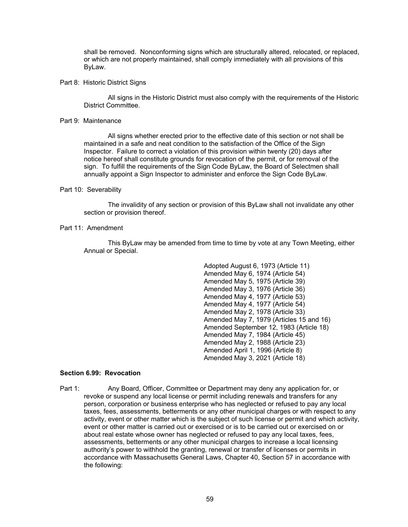shall be removed. Nonconforming signs which are structurally altered, relocated, or replaced, or which are not properly maintained, shall comply immediately with all provisions of this ByLaw.

#### Part 8: Historic District Signs

 All signs in the Historic District must also comply with the requirements of the Historic District Committee.

#### Part 9: Maintenance

 All signs whether erected prior to the effective date of this section or not shall be maintained in a safe and neat condition to the satisfaction of the Office of the Sign Inspector. Failure to correct a violation of this provision within twenty (20) days after notice hereof shall constitute grounds for revocation of the permit, or for removal of the sign. To fulfill the requirements of the Sign Code ByLaw, the Board of Selectmen shall annually appoint a Sign Inspector to administer and enforce the Sign Code ByLaw.

### Part 10: Severability

The invalidity of any section or provision of this ByLaw shall not invalidate any other section or provision thereof.

## Part 11: Amendment

This ByLaw may be amended from time to time by vote at any Town Meeting, either Annual or Special.

> Adopted August 6, 1973 (Article 11) Amended May 6, 1974 (Article 54) Amended May 5, 1975 (Article 39) Amended May 3, 1976 (Article 36) Amended May 4, 1977 (Article 53) Amended May 4, 1977 (Article 54) Amended May 2, 1978 (Article 33) Amended May 7, 1979 (Articles 15 and 16) Amended September 12, 1983 (Article 18) Amended May 7, 1984 (Article 45) Amended May 2, 1988 (Article 23) Amended April 1, 1996 (Article 8) Amended May 3, 2021 (Article 18)

# **Section 6.99: Revocation**

Part 1: Any Board, Officer, Committee or Department may deny any application for, or revoke or suspend any local license or permit including renewals and transfers for any person, corporation or business enterprise who has neglected or refused to pay any local taxes, fees, assessments, betterments or any other municipal charges or with respect to any activity, event or other matter which is the subject of such license or permit and which activity, event or other matter is carried out or exercised or is to be carried out or exercised on or about real estate whose owner has neglected or refused to pay any local taxes, fees, assessments, betterments or any other municipal charges to increase a local licensing authority's power to withhold the granting, renewal or transfer of licenses or permits in accordance with Massachusetts General Laws, Chapter 40, Section 57 in accordance with the following: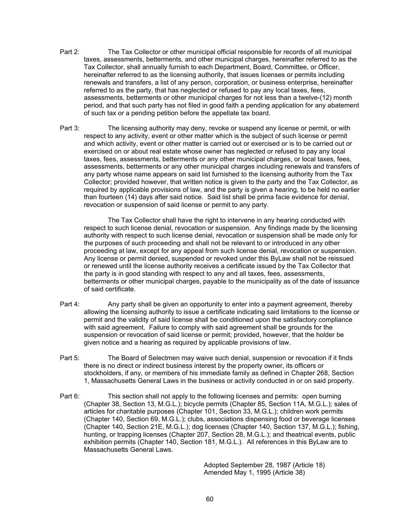- Part 2: The Tax Collector or other municipal official responsible for records of all municipal taxes, assessments, betterments, and other municipal charges, hereinafter referred to as the Tax Collector, shall annually furnish to each Department, Board, Committee, or Officer, hereinafter referred to as the licensing authority, that issues licenses or permits including renewals and transfers, a list of any person, corporation, or business enterprise, hereinafter referred to as the party, that has neglected or refused to pay any local taxes, fees, assessments, betterments or other municipal charges for not less than a twelve-(12) month period, and that such party has not filed in good faith a pending application for any abatement of such tax or a pending petition before the appellate tax board.
- Part 3: The licensing authority may deny, revoke or suspend any license or permit, or with respect to any activity, event or other matter which is the subject of such license or permit and which activity, event or other matter is carried out or exercised or is to be carried out or exercised on or about real estate whose owner has neglected or refused to pay any local taxes, fees, assessments, betterments or any other municipal charges, or local taxes, fees, assessments, betterments or any other municipal charges including renewals and transfers of any party whose name appears on said list furnished to the licensing authority from the Tax Collector; provided however, that written notice is given to the party and the Tax Collector, as required by applicable provisions of law, and the party is given a hearing, to be held no earlier than fourteen (14) days after said notice. Said list shall be prima facie evidence for denial, revocation or suspension of said license or permit to any party.

The Tax Collector shall have the right to intervene in any hearing conducted with respect to such license denial, revocation or suspension. Any findings made by the licensing authority with respect to such license denial, revocation or suspension shall be made only for the purposes of such proceeding and shall not be relevant to or introduced in any other proceeding at law, except for any appeal from such license denial, revocation or suspension. Any license or permit denied, suspended or revoked under this ByLaw shall not be reissued or renewed until the license authority receives a certificate issued by the Tax Collector that the party is in good standing with respect to any and all taxes, fees, assessments, betterments or other municipal charges, payable to the municipality as of the date of issuance of said certificate.

- Part 4: Any party shall be given an opportunity to enter into a payment agreement, thereby allowing the licensing authority to issue a certificate indicating said limitations to the license or permit and the validity of said license shall be conditioned upon the satisfactory compliance with said agreement. Failure to comply with said agreement shall be grounds for the suspension or revocation of said license or permit; provided, however, that the holder be given notice and a hearing as required by applicable provisions of law.
- Part 5: The Board of Selectmen may waive such denial, suspension or revocation if it finds there is no direct or indirect business interest by the property owner, its officers or stockholders, if any, or members of his immediate family as defined in Chapter 268, Section 1, Massachusetts General Laws in the business or activity conducted in or on said property.
- Part 6: This section shall not apply to the following licenses and permits: open burning (Chapter 38, Section 13, M.G.L.); bicycle permits (Chapter 85, Section 11A, M.G.L.); sales of articles for charitable purposes (Chapter 101, Section 33, M.G.L.); children work permits (Chapter 140, Section 69, M.G.L.); clubs, associations dispensing food or beverage licenses (Chapter 140, Section 21E, M.G.L.); dog licenses (Chapter 140, Section 137, M.G.L.); fishing, hunting, or trapping licenses (Chapter 207, Section 28, M.G.L.); and theatrical events, public exhibition permits (Chapter 140, Section 181, M.G.L.). All references in this ByLaw are to Massachusetts General Laws.

 Adopted September 28, 1987 (Article 18) Amended May 1, 1995 (Article 38)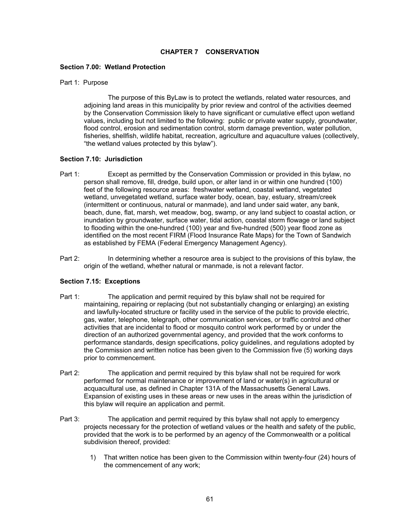# **CHAPTER 7 CONSERVATION**

### **Section 7.00: Wetland Protection**

### Part 1: Purpose

 The purpose of this ByLaw is to protect the wetlands, related water resources, and adjoining land areas in this municipality by prior review and control of the activities deemed by the Conservation Commission likely to have significant or cumulative effect upon wetland values, including but not limited to the following: public or private water supply, groundwater, flood control, erosion and sedimentation control, storm damage prevention, water pollution, fisheries, shellfish, wildlife habitat, recreation, agriculture and aquaculture values (collectively, "the wetland values protected by this bylaw").

## **Section 7.10: Jurisdiction**

- Part 1: Except as permitted by the Conservation Commission or provided in this bylaw, no person shall remove, fill, dredge, build upon, or alter land in or within one hundred (100) feet of the following resource areas: freshwater wetland, coastal wetland, vegetated wetland, unvegetated wetland, surface water body, ocean, bay, estuary, stream/creek (intermittent or continuous, natural or manmade), and land under said water, any bank, beach, dune, flat, marsh, wet meadow, bog, swamp, or any land subject to coastal action, or inundation by groundwater, surface water, tidal action, coastal storm flowage or land subject to flooding within the one-hundred (100) year and five-hundred (500) year flood zone as identified on the most recent FIRM (Flood Insurance Rate Maps) for the Town of Sandwich as established by FEMA (Federal Emergency Management Agency).
- Part 2: In determining whether a resource area is subject to the provisions of this bylaw, the origin of the wetland, whether natural or manmade, is not a relevant factor.

## **Section 7.15: Exceptions**

- Part 1: The application and permit required by this bylaw shall not be required for maintaining, repairing or replacing (but not substantially changing or enlarging) an existing and lawfully-located structure or facility used in the service of the public to provide electric, gas, water, telephone, telegraph, other communication services, or traffic control and other activities that are incidental to flood or mosquito control work performed by or under the direction of an authorized governmental agency, and provided that the work conforms to performance standards, design specifications, policy guidelines, and regulations adopted by the Commission and written notice has been given to the Commission five (5) working days prior to commencement.
- Part 2: The application and permit required by this bylaw shall not be required for work performed for normal maintenance or improvement of land or water(s) in agricultural or acquacultural use, as defined in Chapter 131A of the Massachusetts General Laws. Expansion of existing uses in these areas or new uses in the areas within the jurisdiction of this bylaw will require an application and permit.
- Part 3: The application and permit required by this bylaw shall not apply to emergency projects necessary for the protection of wetland values or the health and safety of the public, provided that the work is to be performed by an agency of the Commonwealth or a political subdivision thereof, provided:
	- 1) That written notice has been given to the Commission within twenty-four (24) hours of the commencement of any work;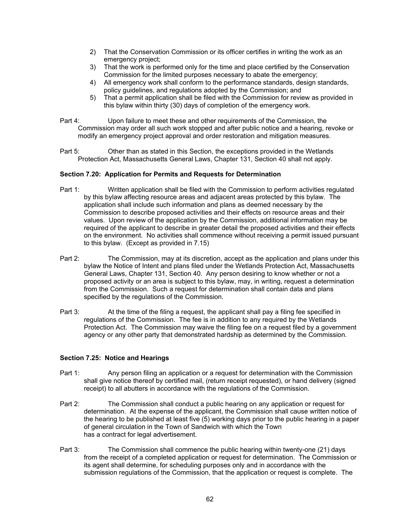- 2) That the Conservation Commission or its officer certifies in writing the work as an emergency project;
- 3) That the work is performed only for the time and place certified by the Conservation Commission for the limited purposes necessary to abate the emergency;
- 4) All emergency work shall conform to the performance standards, design standards, policy guidelines, and regulations adopted by the Commission; and
- 5) That a permit application shall be filed with the Commission for review as provided in this bylaw within thirty (30) days of completion of the emergency work.
- Part 4: Upon failure to meet these and other requirements of the Commission, the Commission may order all such work stopped and after public notice and a hearing, revoke or modify an emergency project approval and order restoration and mitigation measures.
- Part 5: Other than as stated in this Section, the exceptions provided in the Wetlands Protection Act, Massachusetts General Laws, Chapter 131, Section 40 shall not apply.

## **Section 7.20: Application for Permits and Requests for Determination**

- Part 1: Written application shall be filed with the Commission to perform activities regulated by this bylaw affecting resource areas and adjacent areas protected by this bylaw. The application shall include such information and plans as deemed necessary by the Commission to describe proposed activities and their effects on resource areas and their values. Upon review of the application by the Commission, additional information may be required of the applicant to describe in greater detail the proposed activities and their effects on the environment. No activities shall commence without receiving a permit issued pursuant to this bylaw. (Except as provided in 7.15)
- Part 2: The Commission, may at its discretion, accept as the application and plans under this bylaw the Notice of Intent and plans filed under the Wetlands Protection Act, Massachusetts General Laws, Chapter 131, Section 40. Any person desiring to know whether or not a proposed activity or an area is subject to this bylaw, may, in writing, request a determination from the Commission. Such a request for determination shall contain data and plans specified by the regulations of the Commission.
- Part 3: At the time of the filing a request, the applicant shall pay a filing fee specified in regulations of the Commission. The fee is in addition to any required by the Wetlands Protection Act. The Commission may waive the filing fee on a request filed by a government agency or any other party that demonstrated hardship as determined by the Commission.

## **Section 7.25: Notice and Hearings**

- Part 1: Any person filing an application or a request for determination with the Commission shall give notice thereof by certified mail, (return receipt requested), or hand delivery (signed receipt) to all abutters in accordance with the regulations of the Commission.
- Part 2: The Commission shall conduct a public hearing on any application or request for determination. At the expense of the applicant, the Commission shall cause written notice of the hearing to be published at least five (5) working days prior to the public hearing in a paper of general circulation in the Town of Sandwich with which the Town has a contract for legal advertisement.
- Part 3: The Commission shall commence the public hearing within twenty-one (21) days from the receipt of a completed application or request for determination. The Commission or its agent shall determine, for scheduling purposes only and in accordance with the submission regulations of the Commission, that the application or request is complete. The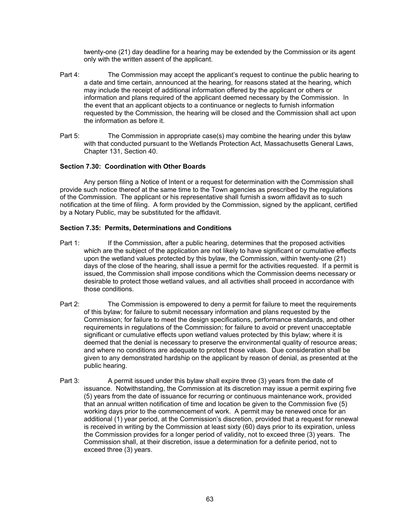twenty-one (21) day deadline for a hearing may be extended by the Commission or its agent only with the written assent of the applicant.

- Part 4: The Commission may accept the applicant's request to continue the public hearing to a date and time certain, announced at the hearing, for reasons stated at the hearing, which may include the receipt of additional information offered by the applicant or others or information and plans required of the applicant deemed necessary by the Commission. In the event that an applicant objects to a continuance or neglects to furnish information requested by the Commission, the hearing will be closed and the Commission shall act upon the information as before it.
- Part 5: The Commission in appropriate case(s) may combine the hearing under this bylaw with that conducted pursuant to the Wetlands Protection Act, Massachusetts General Laws, Chapter 131, Section 40.

# **Section 7.30: Coordination with Other Boards**

Any person filing a Notice of Intent or a request for determination with the Commission shall provide such notice thereof at the same time to the Town agencies as prescribed by the regulations of the Commission. The applicant or his representative shall furnish a sworn affidavit as to such notification at the time of filing. A form provided by the Commission, signed by the applicant, certified by a Notary Public, may be substituted for the affidavit.

# **Section 7.35: Permits, Determinations and Conditions**

- Part 1: If the Commission, after a public hearing, determines that the proposed activities which are the subject of the application are not likely to have significant or cumulative effects upon the wetland values protected by this bylaw, the Commission, within twenty-one (21) days of the close of the hearing, shall issue a permit for the activities requested. If a permit is issued, the Commission shall impose conditions which the Commission deems necessary or desirable to protect those wetland values, and all activities shall proceed in accordance with those conditions.
- Part 2: The Commission is empowered to deny a permit for failure to meet the requirements of this bylaw; for failure to submit necessary information and plans requested by the Commission; for failure to meet the design specifications, performance standards, and other requirements in regulations of the Commission; for failure to avoid or prevent unacceptable significant or cumulative effects upon wetland values protected by this bylaw; where it is deemed that the denial is necessary to preserve the environmental quality of resource areas; and where no conditions are adequate to protect those values. Due consideration shall be given to any demonstrated hardship on the applicant by reason of denial, as presented at the public hearing.
- Part 3: A permit issued under this bylaw shall expire three (3) years from the date of issuance. Notwithstanding, the Commission at its discretion may issue a permit expiring five (5) years from the date of issuance for recurring or continuous maintenance work, provided that an annual written notification of time and location be given to the Commission five (5) working days prior to the commencement of work. A permit may be renewed once for an additional (1) year period, at the Commission's discretion, provided that a request for renewal is received in writing by the Commission at least sixty (60) days prior to its expiration, unless the Commission provides for a longer period of validity, not to exceed three (3) years. The Commission shall, at their discretion, issue a determination for a definite period, not to exceed three (3) years.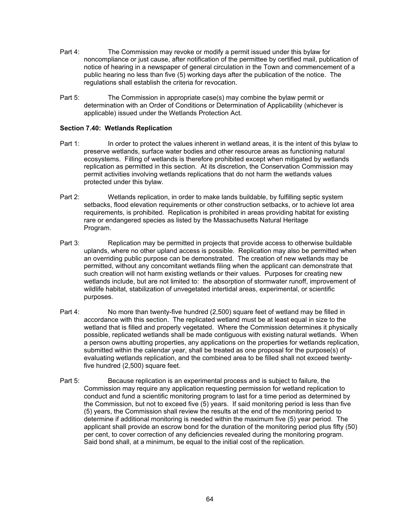- Part 4: The Commission may revoke or modify a permit issued under this bylaw for noncompliance or just cause, after notification of the permittee by certified mail, publication of notice of hearing in a newspaper of general circulation in the Town and commencement of a public hearing no less than five (5) working days after the publication of the notice. The regulations shall establish the criteria for revocation.
- Part 5: The Commission in appropriate case(s) may combine the bylaw permit or determination with an Order of Conditions or Determination of Applicability (whichever is applicable) issued under the Wetlands Protection Act.

# **Section 7.40: Wetlands Replication**

- Part 1: In order to protect the values inherent in wetland areas, it is the intent of this bylaw to preserve wetlands, surface water bodies and other resource areas as functioning natural ecosystems. Filling of wetlands is therefore prohibited except when mitigated by wetlands replication as permitted in this section. At its discretion, the Conservation Commission may permit activities involving wetlands replications that do not harm the wetlands values protected under this bylaw.
- Part 2: Wetlands replication, in order to make lands buildable, by fulfilling septic system setbacks, flood elevation requirements or other construction setbacks, or to achieve lot area requirements, is prohibited. Replication is prohibited in areas providing habitat for existing rare or endangered species as listed by the Massachusetts Natural Heritage Program.
- Part 3: Replication may be permitted in projects that provide access to otherwise buildable uplands, where no other upland access is possible. Replication may also be permitted when an overriding public purpose can be demonstrated. The creation of new wetlands may be permitted, without any concomitant wetlands filing when the applicant can demonstrate that such creation will not harm existing wetlands or their values. Purposes for creating new wetlands include, but are not limited to: the absorption of stormwater runoff, improvement of wildlife habitat, stabilization of unvegetated intertidal areas, experimental, or scientific purposes.
- Part 4: No more than twenty-five hundred (2,500) square feet of wetland may be filled in accordance with this section. The replicated wetland must be at least equal in size to the wetland that is filled and properly vegetated. Where the Commission determines it physically possible, replicated wetlands shall be made contiguous with existing natural wetlands. When a person owns abutting properties, any applications on the properties for wetlands replication, submitted within the calendar year, shall be treated as one proposal for the purpose(s) of evaluating wetlands replication, and the combined area to be filled shall not exceed twentyfive hundred (2,500) square feet.
- Part 5: Because replication is an experimental process and is subject to failure, the Commission may require any application requesting permission for wetland replication to conduct and fund a scientific monitoring program to last for a time period as determined by the Commission, but not to exceed five (5) years. If said monitoring period is less than five (5) years, the Commission shall review the results at the end of the monitoring period to determine if additional monitoring is needed within the maximum five (5) year period. The applicant shall provide an escrow bond for the duration of the monitoring period plus fifty (50) per cent, to cover correction of any deficiencies revealed during the monitoring program. Said bond shall, at a minimum, be equal to the initial cost of the replication.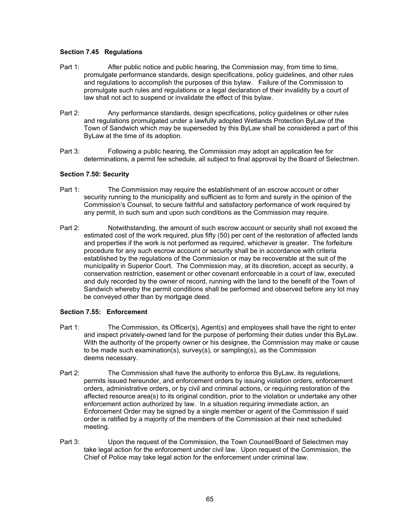# **Section 7.45 Regulations**

- Part 1: After public notice and public hearing, the Commission may, from time to time, promulgate performance standards, design specifications, policy guidelines, and other rules and regulations to accomplish the purposes of this bylaw. Failure of the Commission to promulgate such rules and regulations or a legal declaration of their invalidity by a court of law shall not act to suspend or invalidate the effect of this bylaw.
- Part 2: Any performance standards, design specifications, policy guidelines or other rules and regulations promulgated under a lawfully adopted Wetlands Protection ByLaw of the Town of Sandwich which may be superseded by this ByLaw shall be considered a part of this ByLaw at the time of its adoption.
- Part 3: Following a public hearing, the Commission may adopt an application fee for determinations, a permit fee schedule, all subject to final approval by the Board of Selectmen.

# **Section 7.50: Security**

- Part 1: The Commission may require the establishment of an escrow account or other security running to the municipality and sufficient as to form and surety in the opinion of the Commission's Counsel, to secure faithful and satisfactory performance of work required by any permit, in such sum and upon such conditions as the Commission may require.
- Part 2: Notwithstanding, the amount of such escrow account or security shall not exceed the estimated cost of the work required, plus fifty (50) per cent of the restoration of affected lands and properties if the work is not performed as required, whichever is greater. The forfeiture procedure for any such escrow account or security shall be in accordance with criteria established by the regulations of the Commission or may be recoverable at the suit of the municipality in Superior Court. The Commission may, at its discretion, accept as security, a conservation restriction, easement or other covenant enforceable in a court of law, executed and duly recorded by the owner of record, running with the land to the benefit of the Town of Sandwich whereby the permit conditions shall be performed and observed before any lot may be conveyed other than by mortgage deed.

## **Section 7.55: Enforcement**

- Part 1: The Commission, its Officer(s), Agent(s) and employees shall have the right to enter and inspect privately-owned land for the purpose of performing their duties under this ByLaw. With the authority of the property owner or his designee, the Commission may make or cause to be made such examination(s), survey(s), or sampling(s), as the Commission deems necessary.
- Part 2: The Commission shall have the authority to enforce this ByLaw, its regulations, permits issued hereunder, and enforcement orders by issuing violation orders, enforcement orders, administrative orders, or by civil and criminal actions, or requiring restoration of the affected resource area(s) to its original condition, prior to the violation or undertake any other enforcement action authorized by law. In a situation requiring immediate action, an Enforcement Order may be signed by a single member or agent of the Commission if said order is ratified by a majority of the members of the Commission at their next scheduled meeting.
- Part 3: Upon the request of the Commission, the Town Counsel/Board of Selectmen may take legal action for the enforcement under civil law. Upon request of the Commission, the Chief of Police may take legal action for the enforcement under criminal law.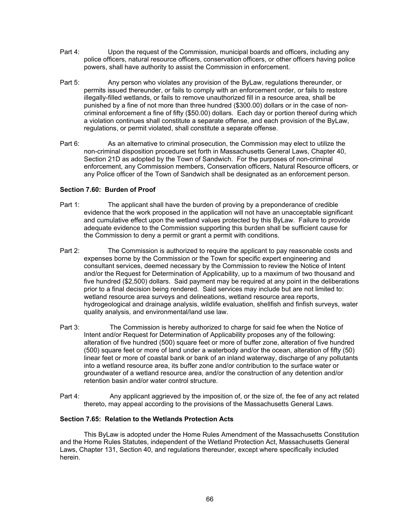- Part 4: Upon the request of the Commission, municipal boards and officers, including any police officers, natural resource officers, conservation officers, or other officers having police powers, shall have authority to assist the Commission in enforcement.
- Part 5: Any person who violates any provision of the ByLaw, regulations thereunder, or permits issued thereunder, or fails to comply with an enforcement order, or fails to restore illegally-filled wetlands, or fails to remove unauthorized fill in a resource area, shall be punished by a fine of not more than three hundred (\$300.00) dollars or in the case of noncriminal enforcement a fine of fifty (\$50.00) dollars. Each day or portion thereof during which a violation continues shall constitute a separate offense, and each provision of the ByLaw, regulations, or permit violated, shall constitute a separate offense.
- Part 6: As an alternative to criminal prosecution, the Commission may elect to utilize the non-criminal disposition procedure set forth in Massachusetts General Laws, Chapter 40, Section 21D as adopted by the Town of Sandwich. For the purposes of non-criminal enforcement, any Commission members, Conservation officers, Natural Resource officers, or any Police officer of the Town of Sandwich shall be designated as an enforcement person.

# **Section 7.60: Burden of Proof**

- Part 1: The applicant shall have the burden of proving by a preponderance of credible evidence that the work proposed in the application will not have an unacceptable significant and cumulative effect upon the wetland values protected by this ByLaw. Failure to provide adequate evidence to the Commission supporting this burden shall be sufficient cause for the Commission to deny a permit or grant a permit with conditions.
- Part 2: The Commission is authorized to require the applicant to pay reasonable costs and expenses borne by the Commission or the Town for specific expert engineering and consultant services, deemed necessary by the Commission to review the Notice of Intent and/or the Request for Determination of Applicability, up to a maximum of two thousand and five hundred (\$2,500) dollars. Said payment may be required at any point in the deliberations prior to a final decision being rendered. Said services may include but are not limited to: wetland resource area surveys and delineations, wetland resource area reports, hydrogeological and drainage analysis, wildlife evaluation, shellfish and finfish surveys, water quality analysis, and environmental/land use law.
- Part 3: The Commission is hereby authorized to charge for said fee when the Notice of Intent and/or Request for Determination of Applicability proposes any of the following: alteration of five hundred (500) square feet or more of buffer zone, alteration of five hundred (500) square feet or more of land under a waterbody and/or the ocean, alteration of fifty (50) linear feet or more of coastal bank or bank of an inland waterway, discharge of any pollutants into a wetland resource area, its buffer zone and/or contribution to the surface water or groundwater of a wetland resource area, and/or the construction of any detention and/or retention basin and/or water control structure.
- Part 4: Any applicant aggrieved by the imposition of, or the size of, the fee of any act related thereto, may appeal according to the provisions of the Massachusetts General Laws.

## **Section 7.65: Relation to the Wetlands Protection Acts**

This ByLaw is adopted under the Home Rules Amendment of the Massachusetts Constitution and the Home Rules Statutes, independent of the Wetland Protection Act, Massachusetts General Laws, Chapter 131, Section 40, and regulations thereunder, except where specifically included herein.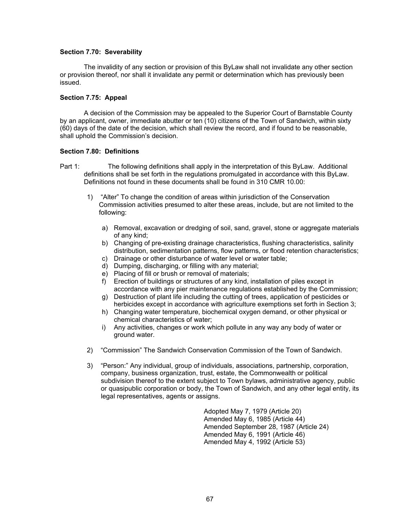### **Section 7.70: Severability**

 The invalidity of any section or provision of this ByLaw shall not invalidate any other section or provision thereof, nor shall it invalidate any permit or determination which has previously been issued.

### **Section 7.75: Appeal**

 A decision of the Commission may be appealed to the Superior Court of Barnstable County by an applicant, owner, immediate abutter or ten (10) citizens of the Town of Sandwich, within sixty (60) days of the date of the decision, which shall review the record, and if found to be reasonable, shall uphold the Commission's decision.

### **Section 7.80: Definitions**

- Part 1: The following definitions shall apply in the interpretation of this ByLaw. Additional definitions shall be set forth in the regulations promulgated in accordance with this ByLaw. Definitions not found in these documents shall be found in 310 CMR 10.00:
	- 1) "Alter" To change the condition of areas within jurisdiction of the Conservation Commission activities presumed to alter these areas, include, but are not limited to the following:
		- a) Removal, excavation or dredging of soil, sand, gravel, stone or aggregate materials of any kind;
		- b) Changing of pre-existing drainage characteristics, flushing characteristics, salinity distribution, sedimentation patterns, flow patterns, or flood retention characteristics;
		- c) Drainage or other disturbance of water level or water table;
		- d) Dumping, discharging, or filling with any material;
		- e) Placing of fill or brush or removal of materials;
		- f) Erection of buildings or structures of any kind, installation of piles except in accordance with any pier maintenance regulations established by the Commission;
		- g) Destruction of plant life including the cutting of trees, application of pesticides or herbicides except in accordance with agriculture exemptions set forth in Section 3;
		- h) Changing water temperature, biochemical oxygen demand, or other physical or chemical characteristics of water;
		- i) Any activities, changes or work which pollute in any way any body of water or ground water.
	- 2) "Commission" The Sandwich Conservation Commission of the Town of Sandwich.
	- 3) "Person:" Any individual, group of individuals, associations, partnership, corporation, company, business organization, trust, estate, the Commonwealth or political subdivision thereof to the extent subject to Town bylaws, administrative agency, public or quasipublic corporation or body, the Town of Sandwich, and any other legal entity, its legal representatives, agents or assigns.

 Adopted May 7, 1979 (Article 20) Amended May 6, 1985 (Article 44) Amended September 28, 1987 (Article 24) Amended May 6, 1991 (Article 46) Amended May 4, 1992 (Article 53)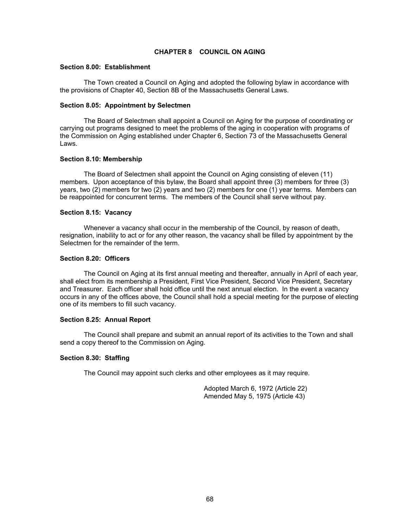## **CHAPTER 8 COUNCIL ON AGING**

### **Section 8.00: Establishment**

 The Town created a Council on Aging and adopted the following bylaw in accordance with the provisions of Chapter 40, Section 8B of the Massachusetts General Laws.

### **Section 8.05: Appointment by Selectmen**

The Board of Selectmen shall appoint a Council on Aging for the purpose of coordinating or carrying out programs designed to meet the problems of the aging in cooperation with programs of the Commission on Aging established under Chapter 6, Section 73 of the Massachusetts General Laws.

### **Section 8.10: Membership**

The Board of Selectmen shall appoint the Council on Aging consisting of eleven (11) members. Upon acceptance of this bylaw, the Board shall appoint three (3) members for three (3) years, two (2) members for two (2) years and two (2) members for one (1) year terms. Members can be reappointed for concurrent terms. The members of the Council shall serve without pay.

## **Section 8.15: Vacancy**

 Whenever a vacancy shall occur in the membership of the Council, by reason of death, resignation, inability to act or for any other reason, the vacancy shall be filled by appointment by the Selectmen for the remainder of the term.

### **Section 8.20: Officers**

 The Council on Aging at its first annual meeting and thereafter, annually in April of each year, shall elect from its membership a President, First Vice President, Second Vice President, Secretary and Treasurer. Each officer shall hold office until the next annual election. In the event a vacancy occurs in any of the offices above, the Council shall hold a special meeting for the purpose of electing one of its members to fill such vacancy.

#### **Section 8.25: Annual Report**

 The Council shall prepare and submit an annual report of its activities to the Town and shall send a copy thereof to the Commission on Aging.

## **Section 8.30: Staffing**

The Council may appoint such clerks and other employees as it may require.

 Adopted March 6, 1972 (Article 22) Amended May 5, 1975 (Article 43)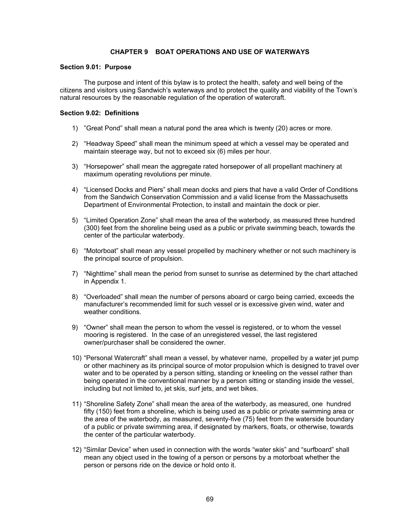# **CHAPTER 9 BOAT OPERATIONS AND USE OF WATERWAYS**

### **Section 9.01: Purpose**

The purpose and intent of this bylaw is to protect the health, safety and well being of the citizens and visitors using Sandwich's waterways and to protect the quality and viability of the Town's natural resources by the reasonable regulation of the operation of watercraft.

### **Section 9.02: Definitions**

- 1) "Great Pond" shall mean a natural pond the area which is twenty (20) acres or more.
- 2) "Headway Speed" shall mean the minimum speed at which a vessel may be operated and maintain steerage way, but not to exceed six (6) miles per hour.
- 3) "Horsepower" shall mean the aggregate rated horsepower of all propellant machinery at maximum operating revolutions per minute.
- 4) "Licensed Docks and Piers" shall mean docks and piers that have a valid Order of Conditions from the Sandwich Conservation Commission and a valid license from the Massachusetts Department of Environmental Protection, to install and maintain the dock or pier.
- 5) "Limited Operation Zone" shall mean the area of the waterbody, as measured three hundred (300) feet from the shoreline being used as a public or private swimming beach, towards the center of the particular waterbody.
- 6) "Motorboat" shall mean any vessel propelled by machinery whether or not such machinery is the principal source of propulsion.
- 7) "Nighttime" shall mean the period from sunset to sunrise as determined by the chart attached in Appendix 1.
- 8) "Overloaded" shall mean the number of persons aboard or cargo being carried, exceeds the manufacturer's recommended limit for such vessel or is excessive given wind, water and weather conditions.
- 9) "Owner" shall mean the person to whom the vessel is registered, or to whom the vessel mooring is registered. In the case of an unregistered vessel, the last registered owner/purchaser shall be considered the owner.
- 10) "Personal Watercraft" shall mean a vessel, by whatever name, propelled by a water jet pump or other machinery as its principal source of motor propulsion which is designed to travel over water and to be operated by a person sitting, standing or kneeling on the vessel rather than being operated in the conventional manner by a person sitting or standing inside the vessel, including but not limited to, jet skis, surf jets, and wet bikes.
- 11) "Shoreline Safety Zone" shall mean the area of the waterbody, as measured, one hundred fifty (150) feet from a shoreline, which is being used as a public or private swimming area or the area of the waterbody, as measured, seventy-five (75) feet from the waterside boundary of a public or private swimming area, if designated by markers, floats, or otherwise, towards the center of the particular waterbody.
- 12) "Similar Device" when used in connection with the words "water skis" and "surfboard" shall mean any object used in the towing of a person or persons by a motorboat whether the person or persons ride on the device or hold onto it.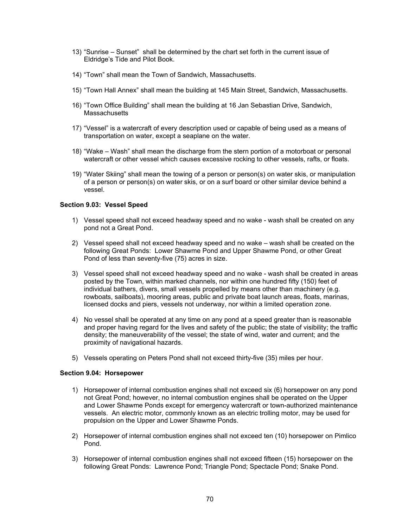- 13) "Sunrise Sunset" shall be determined by the chart set forth in the current issue of Eldridge's Tide and Pilot Book.
- 14) "Town" shall mean the Town of Sandwich, Massachusetts.
- 15) "Town Hall Annex" shall mean the building at 145 Main Street, Sandwich, Massachusetts.
- 16) "Town Office Building" shall mean the building at 16 Jan Sebastian Drive, Sandwich, **Massachusetts**
- 17) "Vessel" is a watercraft of every description used or capable of being used as a means of transportation on water, except a seaplane on the water.
- 18) "Wake Wash" shall mean the discharge from the stern portion of a motorboat or personal watercraft or other vessel which causes excessive rocking to other vessels, rafts, or floats.
- 19) "Water Skiing" shall mean the towing of a person or person(s) on water skis, or manipulation of a person or person(s) on water skis, or on a surf board or other similar device behind a vessel.

## **Section 9.03: Vessel Speed**

- 1) Vessel speed shall not exceed headway speed and no wake wash shall be created on any pond not a Great Pond.
- 2) Vessel speed shall not exceed headway speed and no wake wash shall be created on the following Great Ponds: Lower Shawme Pond and Upper Shawme Pond, or other Great Pond of less than seventy-five (75) acres in size.
- 3) Vessel speed shall not exceed headway speed and no wake wash shall be created in areas posted by the Town, within marked channels, nor within one hundred fifty (150) feet of individual bathers, divers, small vessels propelled by means other than machinery (e.g. rowboats, sailboats), mooring areas, public and private boat launch areas, floats, marinas, licensed docks and piers, vessels not underway, nor within a limited operation zone.
- 4) No vessel shall be operated at any time on any pond at a speed greater than is reasonable and proper having regard for the lives and safety of the public; the state of visibility; the traffic density; the maneuverability of the vessel; the state of wind, water and current; and the proximity of navigational hazards.
- 5) Vessels operating on Peters Pond shall not exceed thirty-five (35) miles per hour.

#### **Section 9.04: Horsepower**

- 1) Horsepower of internal combustion engines shall not exceed six (6) horsepower on any pond not Great Pond; however, no internal combustion engines shall be operated on the Upper and Lower Shawme Ponds except for emergency watercraft or town-authorized maintenance vessels. An electric motor, commonly known as an electric trolling motor, may be used for propulsion on the Upper and Lower Shawme Ponds.
- 2) Horsepower of internal combustion engines shall not exceed ten (10) horsepower on Pimlico Pond.
- 3) Horsepower of internal combustion engines shall not exceed fifteen (15) horsepower on the following Great Ponds: Lawrence Pond; Triangle Pond; Spectacle Pond; Snake Pond.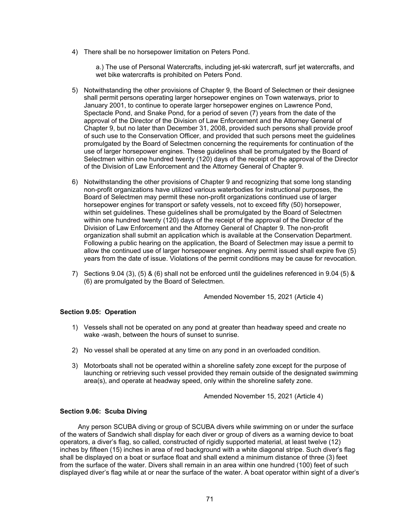4) There shall be no horsepower limitation on Peters Pond.

a.) The use of Personal Watercrafts, including jet-ski watercraft, surf jet watercrafts, and wet bike watercrafts is prohibited on Peters Pond.

- 5) Notwithstanding the other provisions of Chapter 9, the Board of Selectmen or their designee shall permit persons operating larger horsepower engines on Town waterways, prior to January 2001, to continue to operate larger horsepower engines on Lawrence Pond, Spectacle Pond, and Snake Pond, for a period of seven (7) years from the date of the approval of the Director of the Division of Law Enforcement and the Attorney General of Chapter 9, but no later than December 31, 2008, provided such persons shall provide proof of such use to the Conservation Officer, and provided that such persons meet the guidelines promulgated by the Board of Selectmen concerning the requirements for continuation of the use of larger horsepower engines. These guidelines shall be promulgated by the Board of Selectmen within one hundred twenty (120) days of the receipt of the approval of the Director of the Division of Law Enforcement and the Attorney General of Chapter 9.
- 6) Notwithstanding the other provisions of Chapter 9 and recognizing that some long standing non-profit organizations have utilized various waterbodies for instructional purposes, the Board of Selectmen may permit these non-profit organizations continued use of larger horsepower engines for transport or safety vessels, not to exceed fifty (50) horsepower, within set guidelines. These guidelines shall be promulgated by the Board of Selectmen within one hundred twenty (120) days of the receipt of the approval of the Director of the Division of Law Enforcement and the Attorney General of Chapter 9. The non-profit organization shall submit an application which is available at the Conservation Department. Following a public hearing on the application, the Board of Selectmen may issue a permit to allow the continued use of larger horsepower engines. Any permit issued shall expire five (5) years from the date of issue. Violations of the permit conditions may be cause for revocation.
- 7) Sections 9.04 (3), (5) & (6) shall not be enforced until the guidelines referenced in 9.04 (5) & (6) are promulgated by the Board of Selectmen.

Amended November 15, 2021 (Article 4)

## **Section 9.05: Operation**

- 1) Vessels shall not be operated on any pond at greater than headway speed and create no wake -wash, between the hours of sunset to sunrise.
- 2) No vessel shall be operated at any time on any pond in an overloaded condition.
- 3) Motorboats shall not be operated within a shoreline safety zone except for the purpose of launching or retrieving such vessel provided they remain outside of the designated swimming area(s), and operate at headway speed, only within the shoreline safety zone.

Amended November 15, 2021 (Article 4)

## **Section 9.06: Scuba Diving**

Any person SCUBA diving or group of SCUBA divers while swimming on or under the surface of the waters of Sandwich shall display for each diver or group of divers as a warning device to boat operators, a diver's flag, so called, constructed of rigidly supported material, at least twelve (12) inches by fifteen (15) inches in area of red background with a white diagonal stripe. Such diver's flag shall be displayed on a boat or surface float and shall extend a minimum distance of three (3) feet from the surface of the water. Divers shall remain in an area within one hundred (100) feet of such displayed diver's flag while at or near the surface of the water. A boat operator within sight of a diver's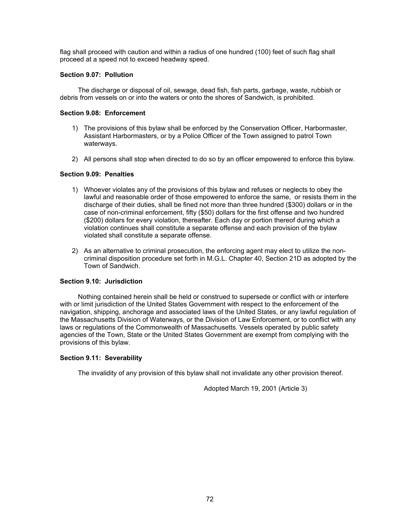flag shall proceed with caution and within a radius of one hundred (100) feet of such flag shall proceed at a speed not to exceed headway speed.

## **Section 9.07: Pollution**

The discharge or disposal of oil, sewage, dead fish, fish parts, garbage, waste, rubbish or debris from vessels on or into the waters or onto the shores of Sandwich, is prohibited.

## **Section 9.08: Enforcement**

- 1) The provisions of this bylaw shall be enforced by the Conservation Officer, Harbormaster, Assistant Harbormasters, or by a Police Officer of the Town assigned to patrol Town waterways.
- 2) All persons shall stop when directed to do so by an officer empowered to enforce this bylaw.

# **Section 9.09: Penalties**

- 1) Whoever violates any of the provisions of this bylaw and refuses or neglects to obey the lawful and reasonable order of those empowered to enforce the same, or resists them in the discharge of their duties, shall be fined not more than three hundred (\$300) dollars or in the case of non-criminal enforcement, fifty (\$50) dollars for the first offense and two hundred (\$200) dollars for every violation, thereafter. Each day or portion thereof during which a violation continues shall constitute a separate offense and each provision of the bylaw violated shall constitute a separate offense.
- 2) As an alternative to criminal prosecution, the enforcing agent may elect to utilize the noncriminal disposition procedure set forth in M.G.L. Chapter 40, Section 21D as adopted by the Town of Sandwich.

## **Section 9.10: Jurisdiction**

Nothing contained herein shall be held or construed to supersede or conflict with or interfere with or limit jurisdiction of the United States Government with respect to the enforcement of the navigation, shipping, anchorage and associated laws of the United States, or any lawful regulation of the Massachusetts Division of Waterways, or the Division of Law Enforcement, or to conflict with any laws or regulations of the Commonwealth of Massachusetts. Vessels operated by public safety agencies of the Town, State or the United States Government are exempt from complying with the provisions of this bylaw.

## **Section 9.11: Severability**

The invalidity of any provision of this bylaw shall not invalidate any other provision thereof.

Adopted March 19, 2001 (Article 3)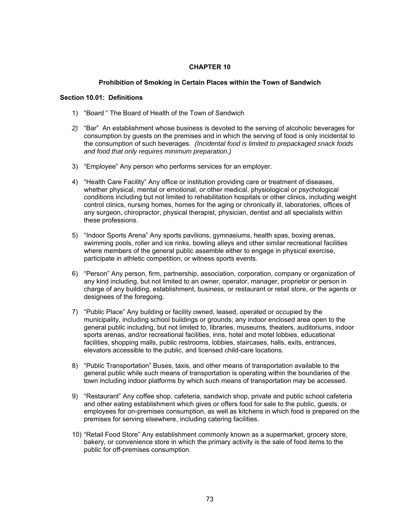# **CHAPTER 10**

# **Prohibition of Smoking in Certain Places within the Town of Sandwich**

## **Section 10.01: Definitions**

- 1) "Board " The Board of Health of the Town of Sandwich
- *2)* "Bar" An establishment whose business is devoted to the serving of alcoholic beverages for consumption by guests on the premises and in which the serving of food is only incidental to the consumption of such beverages. *(Incidental food is limited to prepackaged snack foods and food that only requires minimum preparation.)*
- 3) "Employee" Any person who performs services for an employer.
- 4) "Health Care Facility" Any office or institution providing care or treatment of diseases, whether physical, mental or emotional, or other medical, physiological or psychological conditions including but not limited to rehabilitation hospitals or other clinics, including weight control clinics, nursing homes, homes for the aging or chronically ill, laboratories, offices of any surgeon, chiropractor, physical therapist, physician, dentist and all specialists within these professions.
- 5) "Indoor Sports Arena" Any sports pavilions, gymnasiums, health spas, boxing arenas, swimming pools, roller and ice rinks, bowling alleys and other similar recreational facilities where members of the general public assemble either to engage in physical exercise, participate in athletic competition, or witness sports events.
- 6) "Person" Any person, firm, partnership, association, corporation, company or organization of any kind including, but not limited to an owner, operator, manager, proprietor or person in charge of any building, establishment, business, or restaurant or retail store, or the agents or designees of the foregoing.
- 7) "Public Place" Any building or facility owned, leased, operated or occupied by the municipality, including school buildings or grounds; any indoor enclosed area open to the general public including, but not limited to, libraries, museums, theaters, auditoriums, indoor sports arenas, and/or recreational facilities, inns, hotel and motel lobbies, educational facilities, shopping malls, public restrooms, lobbies, staircases, halls, exits, entrances, elevators accessible to the public, and licensed child-care locations.
- 8) "Public Transportation" Buses, taxis, and other means of transportation available to the general public while such means of transportation is operating within the boundaries of the town including indoor platforms by which such means of transportation may be accessed.
- 9) "Restaurant" Any coffee shop, cafeteria, sandwich shop, private and public school cafeteria and other eating establishment which gives or offers food for sale to the public, guests, or employees for on-premises consumption, as well as kitchens in which food is prepared on the premises for serving elsewhere, including catering facilities.
- 10) "Retail Food Store" Any establishment commonly known as a supermarket, grocery store, bakery, or convenience store in which the primary activity is the sale of food items to the public for off-premises consumption.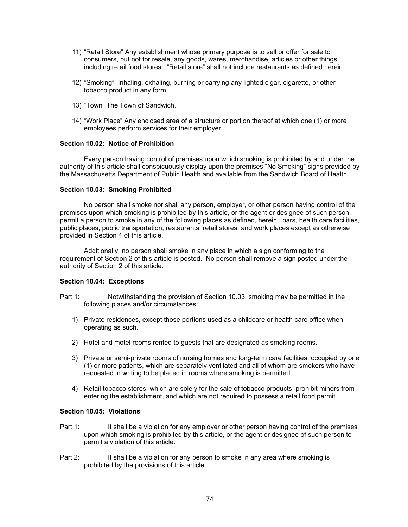- 11) "Retail Store" Any establishment whose primary purpose is to sell or offer for sale to consumers, but not for resale, any goods, wares, merchandise, articles or other things, including retail food stores. "Retail store" shall not include restaurants as defined herein.
- 12) "Smoking" Inhaling, exhaling, burning or carrying any lighted cigar, cigarette, or other tobacco product in any form.
- 13) "Town" The Town of Sandwich.
- 14) "Work Place" Any enclosed area of a structure or portion thereof at which one (1) or more employees perform services for their employer.

# **Section 10.02: Notice of Prohibition**

Every person having control of premises upon which smoking is prohibited by and under the authority of this article shall conspicuously display upon the premises "No Smoking" signs provided by the Massachusetts Department of Public Health and available from the Sandwich Board of Health.

#### **Section 10.03: Smoking Prohibited**

No person shall smoke nor shall any person, employer, or other person having control of the premises upon which smoking is prohibited by this article, or the agent or designee of such person, permit a person to smoke in any of the following places as defined, herein: bars, health care facilities, public places, public transportation, restaurants, retail stores, and work places except as otherwise provided in Section 4 of this article.

Additionally, no person shall smoke in any place in which a sign conforming to the requirement of Section 2 of this article is posted. No person shall remove a sign posted under the authority of Section 2 of this article.

## **Section 10.04: Exceptions**

- Part 1: Notwithstanding the provision of Section 10.03, smoking may be permitted in the following places and/or circumstances:
	- 1) Private residences, except those portions used as a childcare or health care office when operating as such.
	- 2) Hotel and motel rooms rented to guests that are designated as smoking rooms.
	- 3) Private or semi-private rooms of nursing homes and long-term care facilities, occupied by one (1) or more patients, which are separately ventilated and all of whom are smokers who have requested in writing to be placed in rooms where smoking is permitted.
	- 4) Retail tobacco stores, which are solely for the sale of tobacco products, prohibit minors from entering the establishment, and which are not required to possess a retail food permit.

## **Section 10.05: Violations**

- Part 1: It shall be a violation for any employer or other person having control of the premises upon which smoking is prohibited by this article, or the agent or designee of such person to permit a violation of this article.
- Part 2: It shall be a violation for any person to smoke in any area where smoking is prohibited by the provisions of this article.